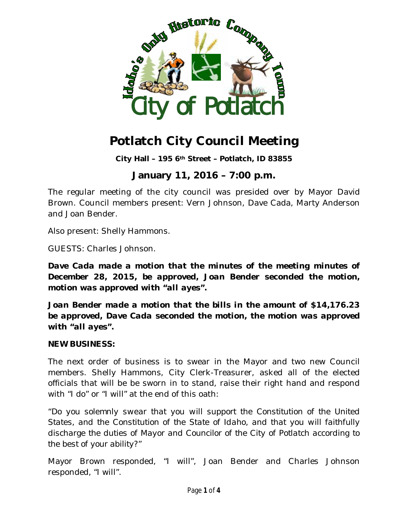

# **Potlatch City Council Meeting**

**City Hall – 195 6th Street – Potlatch, ID 83855**

# **January 11, 2016 – 7:00 p.m.**

The regular meeting of the city council was presided over by Mayor David Brown. Council members present: Vern Johnson, Dave Cada, Marty Anderson and Joan Bender.

Also present: Shelly Hammons.

GUESTS: Charles Johnson.

*Dave Cada made a motion that the minutes of the meeting minutes of December 28, 2015, be approved, Joan Bender seconded the motion, motion was approved with "all ayes".*

*Joan Bender made a motion that the bills in the amount of \$14,176.23 be approved, Dave Cada seconded the motion, the motion was approved with "all ayes".*

#### **NEW BUSINESS:**

The next order of business is to swear in the Mayor and two new Council members. Shelly Hammons, City Clerk-Treasurer, asked all of the elected officials that will be be sworn in to stand, raise their right hand and respond with "I do" or "I will" at the end of this oath:

*"Do you solemnly swear that you will support the Constitution of the United States, and the Constitution of the State of Idaho, and that you will faithfully discharge the duties of Mayor and Councilor of the City of Potlatch according to the best of your ability?"*

Mayor Brown responded, "I will", Joan Bender and Charles Johnson responded, "I will".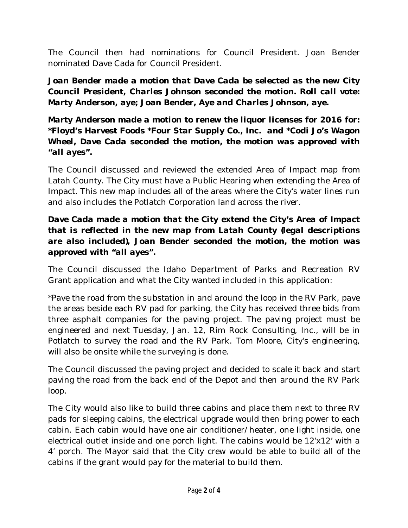The Council then had nominations for Council President. Joan Bender nominated Dave Cada for Council President.

*Joan Bender made a motion that Dave Cada be selected as the new City Council President, Charles Johnson seconded the motion. Roll call vote: Marty Anderson, aye; Joan Bender, Aye and Charles Johnson, aye.*

*Marty Anderson made a motion to renew the liquor licenses for 2016 for: \*Floyd's Harvest Foods \*Four Star Supply Co., Inc. and \*Codi Jo's Wagon Wheel, Dave Cada seconded the motion, the motion was approved with "all ayes".*

The Council discussed and reviewed the extended Area of Impact map from Latah County. The City must have a Public Hearing when extending the Area of Impact. This new map includes all of the areas where the City's water lines run and also includes the Potlatch Corporation land across the river.

### *Dave Cada made a motion that the City extend the City's Area of Impact that is reflected in the new map from Latah County (legal descriptions are also included), Joan Bender seconded the motion, the motion was approved with "all ayes".*

The Council discussed the Idaho Department of Parks and Recreation RV Grant application and what the City wanted included in this application:

\*Pave the road from the substation in and around the loop in the RV Park, pave the areas beside each RV pad for parking, the City has received three bids from three asphalt companies for the paving project. The paving project must be engineered and next Tuesday, Jan. 12, Rim Rock Consulting, Inc., will be in Potlatch to survey the road and the RV Park. Tom Moore, City's engineering, will also be onsite while the surveying is done.

The Council discussed the paving project and decided to scale it back and start paving the road from the back end of the Depot and then around the RV Park loop.

The City would also like to build three cabins and place them next to three RV pads for sleeping cabins, the electrical upgrade would then bring power to each cabin. Each cabin would have one air conditioner/heater, one light inside, one electrical outlet inside and one porch light. The cabins would be 12'x12' with a 4' porch. The Mayor said that the City crew would be able to build all of the cabins if the grant would pay for the material to build them.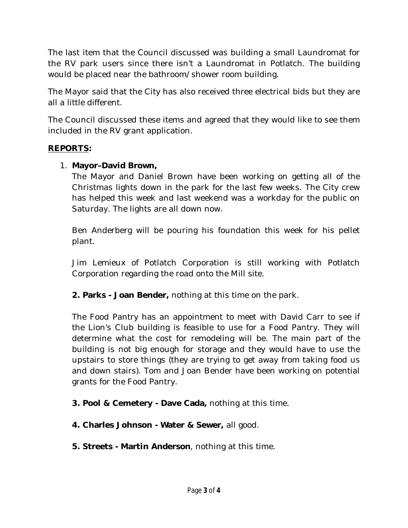The last item that the Council discussed was building a small Laundromat for the RV park users since there isn't a Laundromat in Potlatch. The building would be placed near the bathroom/shower room building.

The Mayor said that the City has also received three electrical bids but they are all a little different.

The Council discussed these items and agreed that they would like to see them included in the RV grant application.

#### **REPORTS:**

#### 1. **Mayor–David Brown,**

The Mayor and Daniel Brown have been working on getting all of the Christmas lights down in the park for the last few weeks. The City crew has helped this week and last weekend was a workday for the public on Saturday. The lights are all down now.

Ben Anderberg will be pouring his foundation this week for his pellet plant.

Jim Lemieux of Potlatch Corporation is still working with Potlatch Corporation regarding the road onto the Mill site.

**2. Parks - Joan Bender,** nothing at this time on the park.

The Food Pantry has an appointment to meet with David Carr to see if the Lion's Club building is feasible to use for a Food Pantry. They will determine what the cost for remodeling will be. The main part of the building is not big enough for storage and they would have to use the upstairs to store things (they are trying to get away from taking food us and down stairs). Tom and Joan Bender have been working on potential grants for the Food Pantry.

**3. Pool & Cemetery - Dave Cada,** nothing at this time.

**4. Charles Johnson - Water & Sewer,** all good.

**5. Streets - Martin Anderson**, nothing at this time.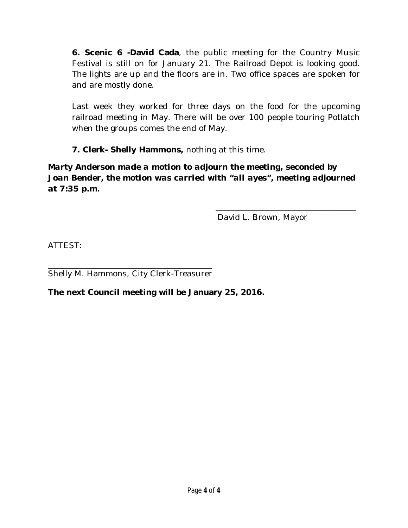**6. Scenic 6 -David Cada**, the public meeting for the Country Music Festival is still on for January 21. The Railroad Depot is looking good. The lights are up and the floors are in. Two office spaces are spoken for and are mostly done.

Last week they worked for three days on the food for the upcoming railroad meeting in May. There will be over 100 people touring Potlatch when the groups comes the end of May.

**7. Clerk- Shelly Hammons,** nothing at this time.

*Marty Anderson made a motion to adjourn the meeting, seconded by Joan Bender, the motion was carried with "all ayes", meeting adjourned at 7:35 p.m.*

David L. Brown, Mayor

\_\_\_\_\_\_\_\_\_\_\_\_\_\_\_\_\_\_\_\_\_\_\_\_\_\_\_\_\_\_\_\_\_\_\_

ATTEST:

\_\_\_\_\_\_\_\_\_\_\_\_\_\_\_\_\_\_\_\_\_\_\_\_\_\_\_\_\_\_\_\_\_\_\_\_\_\_\_\_\_ Shelly M. Hammons, City Clerk-Treasurer

**The next Council meeting will be January 25, 2016.**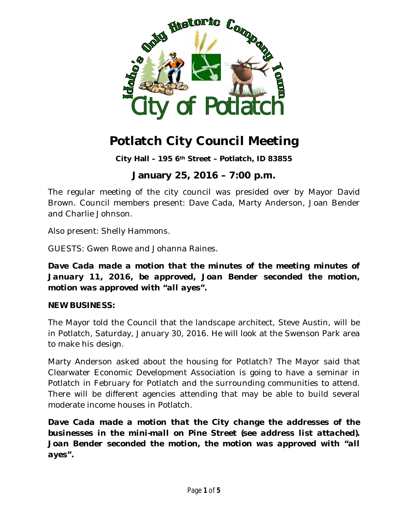

# **Potlatch City Council Meeting**

**City Hall – 195 6th Street – Potlatch, ID 83855**

# **January 25, 2016 – 7:00 p.m.**

The regular meeting of the city council was presided over by Mayor David Brown. Council members present: Dave Cada, Marty Anderson, Joan Bender and Charlie Johnson.

Also present: Shelly Hammons.

GUESTS: Gwen Rowe and Johanna Raines.

*Dave Cada made a motion that the minutes of the meeting minutes of January 11, 2016, be approved, Joan Bender seconded the motion, motion was approved with "all ayes".*

#### **NEW BUSINESS:**

The Mayor told the Council that the landscape architect, Steve Austin, will be in Potlatch, Saturday, January 30, 2016. He will look at the Swenson Park area to make his design.

Marty Anderson asked about the housing for Potlatch? The Mayor said that Clearwater Economic Development Association is going to have a seminar in Potlatch in February for Potlatch and the surrounding communities to attend. There will be different agencies attending that may be able to build several moderate income houses in Potlatch.

*Dave Cada made a motion that the City change the addresses of the businesses in the mini-mall on Pine Street (see address list attached). Joan Bender seconded the motion, the motion was approved with "all ayes".*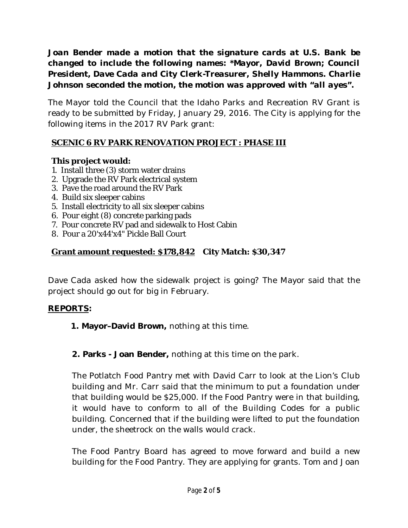*Joan Bender made a motion that the signature cards at U.S. Bank be changed to include the following names: \*Mayor, David Brown; Council President, Dave Cada and City Clerk-Treasurer, Shelly Hammons. Charlie Johnson seconded the motion, the motion was approved with "all ayes".*

The Mayor told the Council that the Idaho Parks and Recreation RV Grant is ready to be submitted by Friday, January 29, 2016. The City is applying for the following items in the 2017 RV Park grant:

## **SCENIC 6 RV PARK RENOVATION PROJECT : PHASE III**

## **This project would:**

- 1. Install three (3) storm water drains
- 2. Upgrade the RV Park electrical system
- 3. Pave the road around the RV Park
- 4. Build six sleeper cabins
- 5. Install electricity to all six sleeper cabins
- 6. Pour eight (8) concrete parking pads
- 7. Pour concrete RV pad and sidewalk to Host Cabin
- 8. Pour a 20'x44'x4" Pickle Ball Court

## **Grant amount requested: \$178,842 City Match: \$30,347**

Dave Cada asked how the sidewalk project is going? The Mayor said that the project should go out for big in February.

### **REPORTS:**

 **1. Mayor–David Brown,** nothing at this time.

## **2. Parks - Joan Bender,** nothing at this time on the park.

The Potlatch Food Pantry met with David Carr to look at the Lion's Club building and Mr. Carr said that the minimum to put a foundation under that building would be \$25,000. If the Food Pantry were in that building, it would have to conform to all of the Building Codes for a public building. Concerned that if the building were lifted to put the foundation under, the sheetrock on the walls would crack.

The Food Pantry Board has agreed to move forward and build a new building for the Food Pantry. They are applying for grants. Tom and Joan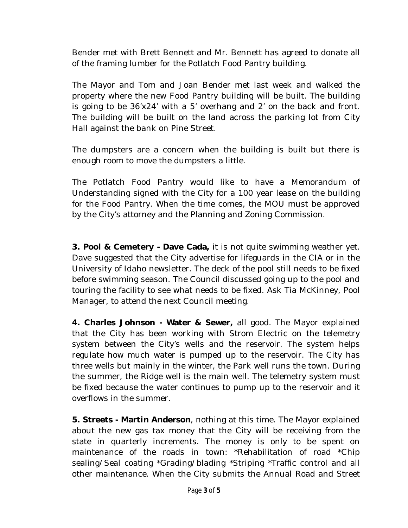Bender met with Brett Bennett and Mr. Bennett has agreed to donate all of the framing lumber for the Potlatch Food Pantry building.

The Mayor and Tom and Joan Bender met last week and walked the property where the new Food Pantry building will be built. The building is going to be 36'x24' with a 5' overhang and 2' on the back and front. The building will be built on the land across the parking lot from City Hall against the bank on Pine Street.

The dumpsters are a concern when the building is built but there is enough room to move the dumpsters a little.

The Potlatch Food Pantry would like to have a Memorandum of Understanding signed with the City for a 100 year lease on the building for the Food Pantry. When the time comes, the MOU must be approved by the City's attorney and the Planning and Zoning Commission.

**3. Pool & Cemetery - Dave Cada,** it is not quite swimming weather yet. Dave suggested that the City advertise for lifeguards in the CIA or in the University of Idaho newsletter. The deck of the pool still needs to be fixed before swimming season. The Council discussed going up to the pool and touring the facility to see what needs to be fixed. Ask Tia McKinney, Pool Manager, to attend the next Council meeting.

**4. Charles Johnson - Water & Sewer,** all good. The Mayor explained that the City has been working with Strom Electric on the telemetry system between the City's wells and the reservoir. The system helps regulate how much water is pumped up to the reservoir. The City has three wells but mainly in the winter, the Park well runs the town. During the summer, the Ridge well is the main well. The telemetry system must be fixed because the water continues to pump up to the reservoir and it overflows in the summer.

**5. Streets - Martin Anderson**, nothing at this time. The Mayor explained about the new gas tax money that the City will be receiving from the state in quarterly increments. The money is only to be spent on maintenance of the roads in town: \*Rehabilitation of road \*Chip sealing/Seal coating \*Grading/blading \*Striping \*Traffic control and all other maintenance. When the City submits the Annual Road and Street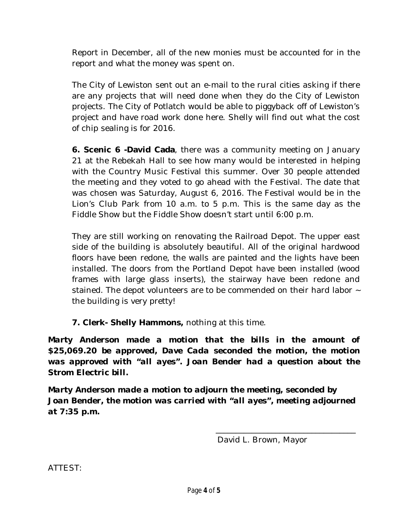Report in December, all of the new monies must be accounted for in the report and what the money was spent on.

The City of Lewiston sent out an e-mail to the rural cities asking if there are any projects that will need done when they do the City of Lewiston projects. The City of Potlatch would be able to piggyback off of Lewiston's project and have road work done here. Shelly will find out what the cost of chip sealing is for 2016.

**6. Scenic 6 -David Cada**, there was a community meeting on January 21 at the Rebekah Hall to see how many would be interested in helping with the Country Music Festival this summer. Over 30 people attended the meeting and they voted to go ahead with the Festival. The date that was chosen was Saturday, August 6, 2016. The Festival would be in the Lion's Club Park from 10 a.m. to 5 p.m. This is the same day as the Fiddle Show but the Fiddle Show doesn't start until 6:00 p.m.

They are still working on renovating the Railroad Depot. The upper east side of the building is absolutely beautiful. All of the original hardwood floors have been redone, the walls are painted and the lights have been installed. The doors from the Portland Depot have been installed (wood frames with large glass inserts), the stairway have been redone and stained. The depot volunteers are to be commended on their hard labor  $\sim$ the building is very pretty!

**7. Clerk- Shelly Hammons,** nothing at this time.

*Marty Anderson made a motion that the bills in the amount of \$25,069.20 be approved, Dave Cada seconded the motion, the motion was approved with "all ayes". Joan Bender had a question about the Strom Electric bill.*

*Marty Anderson made a motion to adjourn the meeting, seconded by Joan Bender, the motion was carried with "all ayes", meeting adjourned at 7:35 p.m.*

David L. Brown, Mayor

\_\_\_\_\_\_\_\_\_\_\_\_\_\_\_\_\_\_\_\_\_\_\_\_\_\_\_\_\_\_\_\_\_\_\_

ATTEST: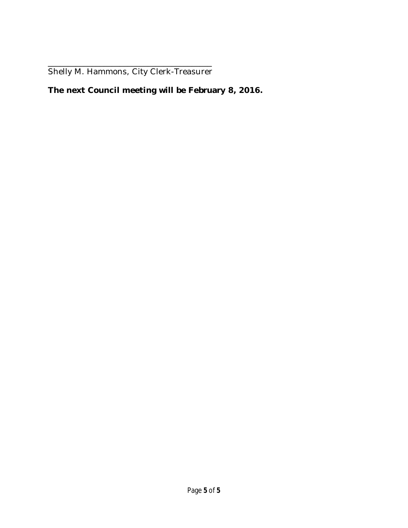\_\_\_\_\_\_\_\_\_\_\_\_\_\_\_\_\_\_\_\_\_\_\_\_\_\_\_\_\_\_\_\_\_\_\_\_\_\_\_\_\_ Shelly M. Hammons, City Clerk-Treasurer

## **The next Council meeting will be February 8, 2016.**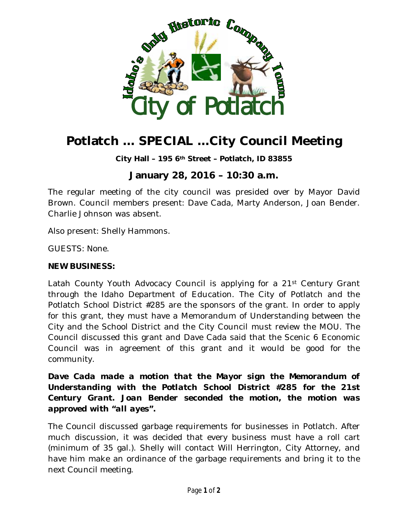

# **Potlatch … SPECIAL …City Council Meeting**

**City Hall – 195 6th Street – Potlatch, ID 83855**

# **January 28, 2016 – 10:30 a.m.**

The regular meeting of the city council was presided over by Mayor David Brown. Council members present: Dave Cada, Marty Anderson, Joan Bender. Charlie Johnson was absent.

Also present: Shelly Hammons.

GUESTS: None.

#### **NEW BUSINESS:**

Latah County Youth Advocacy Council is applying for a 21st Century Grant through the Idaho Department of Education. The City of Potlatch and the Potlatch School District #285 are the sponsors of the grant. In order to apply for this grant, they must have a Memorandum of Understanding between the City and the School District and the City Council must review the MOU. The Council discussed this grant and Dave Cada said that the Scenic 6 Economic Council was in agreement of this grant and it would be good for the community.

*Dave Cada made a motion that the Mayor sign the Memorandum of Understanding with the Potlatch School District #285 for the 21st Century Grant. Joan Bender seconded the motion, the motion was approved with "all ayes".*

The Council discussed garbage requirements for businesses in Potlatch. After much discussion, it was decided that every business must have a roll cart (minimum of 35 gal.). Shelly will contact Will Herrington, City Attorney, and have him make an ordinance of the garbage requirements and bring it to the next Council meeting.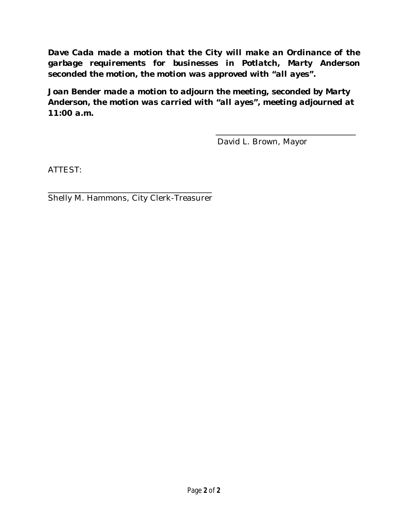*Dave Cada made a motion that the City will make an Ordinance of the garbage requirements for businesses in Potlatch, Marty Anderson seconded the motion, the motion was approved with "all ayes".*

*Joan Bender made a motion to adjourn the meeting, seconded by Marty Anderson, the motion was carried with "all ayes", meeting adjourned at 11:00 a.m.*

David L. Brown, Mayor

\_\_\_\_\_\_\_\_\_\_\_\_\_\_\_\_\_\_\_\_\_\_\_\_\_\_\_\_\_\_\_\_\_\_\_

ATTEST:

\_\_\_\_\_\_\_\_\_\_\_\_\_\_\_\_\_\_\_\_\_\_\_\_\_\_\_\_\_\_\_\_\_\_\_\_\_\_\_\_\_ Shelly M. Hammons, City Clerk-Treasurer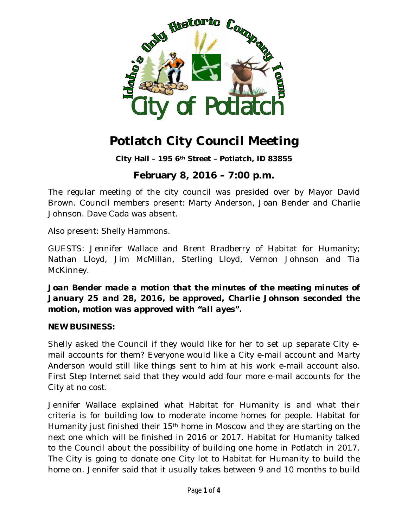

# **Potlatch City Council Meeting**

**City Hall – 195 6th Street – Potlatch, ID 83855**

# **February 8, 2016 – 7:00 p.m.**

The regular meeting of the city council was presided over by Mayor David Brown. Council members present: Marty Anderson, Joan Bender and Charlie Johnson. Dave Cada was absent.

Also present: Shelly Hammons.

GUESTS: Jennifer Wallace and Brent Bradberry of Habitat for Humanity; Nathan Lloyd, Jim McMillan, Sterling Lloyd, Vernon Johnson and Tia McKinney.

*Joan Bender made a motion that the minutes of the meeting minutes of January 25 and 28, 2016, be approved, Charlie Johnson seconded the motion, motion was approved with "all ayes".*

#### **NEW BUSINESS:**

Shelly asked the Council if they would like for her to set up separate City email accounts for them? Everyone would like a City e-mail account and Marty Anderson would still like things sent to him at his work e-mail account also. First Step Internet said that they would add four more e-mail accounts for the City at no cost.

Jennifer Wallace explained what Habitat for Humanity is and what their criteria is for building low to moderate income homes for people. Habitat for Humanity just finished their 15th home in Moscow and they are starting on the next one which will be finished in 2016 or 2017. Habitat for Humanity talked to the Council about the possibility of building one home in Potlatch in 2017. The City is going to donate one City lot to Habitat for Humanity to build the home on. Jennifer said that it usually takes between 9 and 10 months to build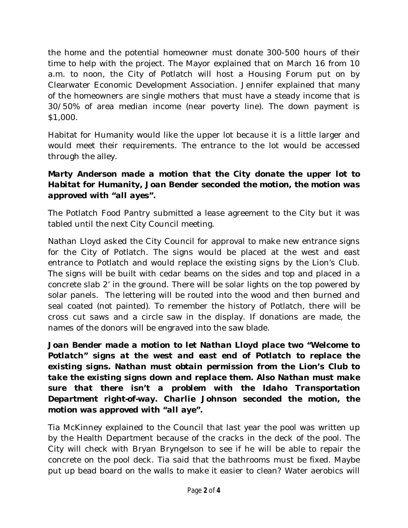the home and the potential homeowner must donate 300-500 hours of their time to help with the project. The Mayor explained that on March 16 from 10 a.m. to noon, the City of Potlatch will host a Housing Forum put on by Clearwater Economic Development Association. Jennifer explained that many of the homeowners are single mothers that must have a steady income that is 30/50% of area median income (near poverty line). The down payment is \$1,000.

Habitat for Humanity would like the upper lot because it is a little larger and would meet their requirements. The entrance to the lot would be accessed through the alley.

## *Marty Anderson made a motion that the City donate the upper lot to Habitat for Humanity, Joan Bender seconded the motion, the motion was approved with "all ayes".*

The Potlatch Food Pantry submitted a lease agreement to the City but it was tabled until the next City Council meeting.

Nathan Lloyd asked the City Council for approval to make new entrance signs for the City of Potlatch. The signs would be placed at the west and east entrance to Potlatch and would replace the existing signs by the Lion's Club. The signs will be built with cedar beams on the sides and top and placed in a concrete slab 2' in the ground. There will be solar lights on the top powered by solar panels. The lettering will be routed into the wood and then burned and seal coated (not painted). To remember the history of Potlatch, there will be cross cut saws and a circle saw in the display. If donations are made, the names of the donors will be engraved into the saw blade.

*Joan Bender made a motion to let Nathan Lloyd place two "Welcome to Potlatch" signs at the west and east end of Potlatch to replace the existing signs. Nathan must obtain permission from the Lion's Club to take the existing signs down and replace them. Also Nathan must make sure that there isn't a problem with the Idaho Transportation Department right-of-way. Charlie Johnson seconded the motion, the motion was approved with "all aye".*

Tia McKinney explained to the Council that last year the pool was written up by the Health Department because of the cracks in the deck of the pool. The City will check with Bryan Bryngelson to see if he will be able to repair the concrete on the pool deck. Tia said that the bathrooms must be fixed. Maybe put up bead board on the walls to make it easier to clean? Water aerobics will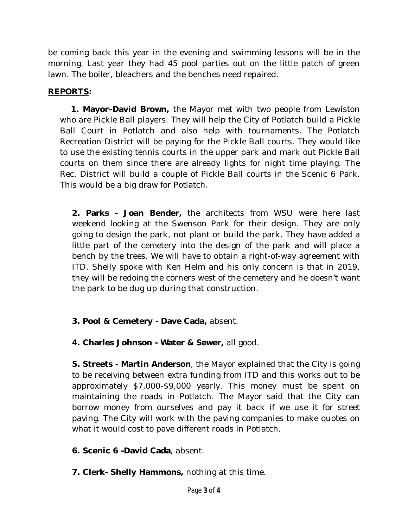be coming back this year in the evening and swimming lessons will be in the morning. Last year they had 45 pool parties out on the little patch of green lawn. The boiler, bleachers and the benches need repaired.

### **REPORTS:**

 **1. Mayor–David Brown,** the Mayor met with two people from Lewiston who are Pickle Ball players. They will help the City of Potlatch build a Pickle Ball Court in Potlatch and also help with tournaments. The Potlatch Recreation District will be paying for the Pickle Ball courts. They would like to use the existing tennis courts in the upper park and mark out Pickle Ball courts on them since there are already lights for night time playing. The Rec. District will build a couple of Pickle Ball courts in the Scenic 6 Park. This would be a big draw for Potlatch.

**2. Parks - Joan Bender,** the architects from WSU were here last weekend looking at the Swenson Park for their design. They are only going to design the park, not plant or build the park. They have added a little part of the cemetery into the design of the park and will place a bench by the trees. We will have to obtain a right-of-way agreement with ITD. Shelly spoke with Ken Helm and his only concern is that in 2019, they will be redoing the corners west of the cemetery and he doesn't want the park to be dug up during that construction.

## **3. Pool & Cemetery - Dave Cada,** absent.

**4. Charles Johnson - Water & Sewer,** all good.

**5. Streets - Martin Anderson**, the Mayor explained that the City is going to be receiving between extra funding from ITD and this works out to be approximately \$7,000-\$9,000 yearly. This money must be spent on maintaining the roads in Potlatch. The Mayor said that the City can borrow money from ourselves and pay it back if we use it for street paving. The City will work with the paving companies to make quotes on what it would cost to pave different roads in Potlatch.

**6. Scenic 6 -David Cada**, absent.

**7. Clerk- Shelly Hammons,** nothing at this time.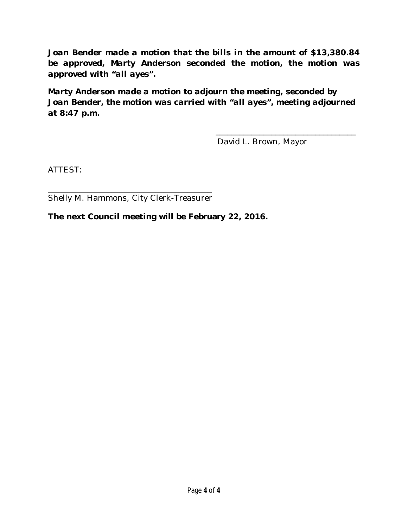*Joan Bender made a motion that the bills in the amount of \$13,380.84 be approved, Marty Anderson seconded the motion, the motion was approved with "all ayes".* 

*Marty Anderson made a motion to adjourn the meeting, seconded by Joan Bender, the motion was carried with "all ayes", meeting adjourned at 8:47 p.m.*

David L. Brown, Mayor

\_\_\_\_\_\_\_\_\_\_\_\_\_\_\_\_\_\_\_\_\_\_\_\_\_\_\_\_\_\_\_\_\_\_\_

ATTEST:

\_\_\_\_\_\_\_\_\_\_\_\_\_\_\_\_\_\_\_\_\_\_\_\_\_\_\_\_\_\_\_\_\_\_\_\_\_\_\_\_\_ Shelly M. Hammons, City Clerk-Treasurer

**The next Council meeting will be February 22, 2016.**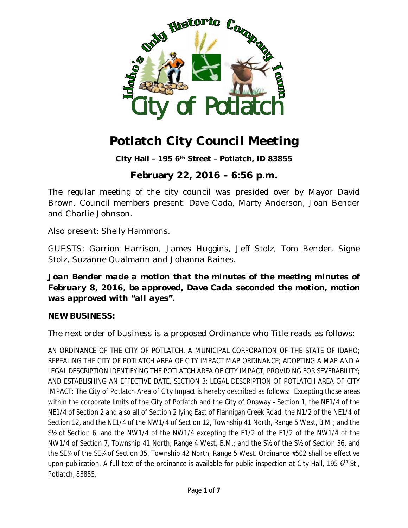

# **Potlatch City Council Meeting**

**City Hall – 195 6th Street – Potlatch, ID 83855**

# **February 22, 2016 – 6:56 p.m.**

The regular meeting of the city council was presided over by Mayor David Brown. Council members present: Dave Cada, Marty Anderson, Joan Bender and Charlie Johnson.

Also present: Shelly Hammons.

GUESTS: Garrion Harrison, James Huggins, Jeff Stolz, Tom Bender, Signe Stolz, Suzanne Qualmann and Johanna Raines.

*Joan Bender made a motion that the minutes of the meeting minutes of February 8, 2016, be approved, Dave Cada seconded the motion, motion was approved with "all ayes".*

#### **NEW BUSINESS:**

The next order of business is a proposed Ordinance who Title reads as follows:

AN ORDINANCE OF THE CITY OF POTLATCH, A MUNICIPAL CORPORATION OF THE STATE OF IDAHO; REPEALING THE CITY OF POTLATCH AREA OF CITY IMPACT MAP ORDINANCE; ADOPTING A MAP AND A LEGAL DESCRIPTION IDENTIFYING THE POTLATCH AREA OF CITY IMPACT; PROVIDING FOR SEVERABILITY; AND ESTABLISHING AN EFFECTIVE DATE. SECTION 3: LEGAL DESCRIPTION OF POTLATCH AREA OF CITY IMPACT: The City of Potlatch Area of City Impact is hereby described as follows: Excepting those areas within the corporate limits of the City of Potlatch and the City of Onaway - Section 1, the NE1/4 of the NE1/4 of Section 2 and also all of Section 2 lying East of Flannigan Creek Road, the N1/2 of the NE1/4 of Section 12, and the NE1/4 of the NW1/4 of Section 12, Township 41 North, Range 5 West, B.M.; and the S½ of Section 6, and the NW1/4 of the NW1/4 excepting the E1/2 of the E1/2 of the NW1/4 of the NW1/4 of Section 7, Township 41 North, Range 4 West, B.M.; and the S½ of the S½ of Section 36, and the SE¼ of the SE¼ of Section 35, Township 42 North, Range 5 West. Ordinance #502 shall be effective upon publication. A full text of the ordinance is available for public inspection at City Hall, 195  $6<sup>th</sup>$  St., Potlatch, 83855.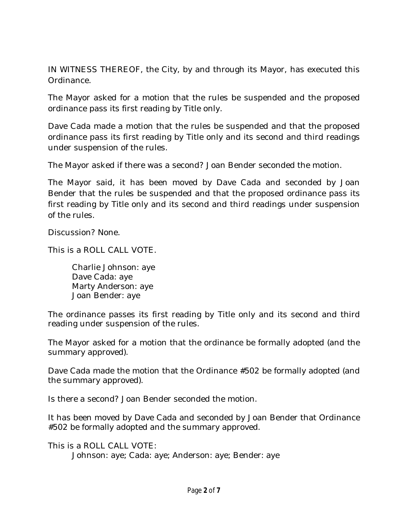IN WITNESS THEREOF, the City, by and through its Mayor, has executed this Ordinance.

The Mayor asked for a motion that the rules be suspended and the proposed ordinance pass its first reading by Title only.

Dave Cada made a motion that the rules be suspended and that the proposed ordinance pass its first reading by Title only and its second and third readings under suspension of the rules.

The Mayor asked if there was a second? Joan Bender seconded the motion.

The Mayor said, it has been moved by Dave Cada and seconded by Joan Bender that the rules be suspended and that the proposed ordinance pass its first reading by Title only and its second and third readings under suspension of the rules.

Discussion? None.

This is a ROLL CALL VOTE.

Charlie Johnson: aye Dave Cada: aye Marty Anderson: aye Joan Bender: aye

The ordinance passes its first reading by Title only and its second and third reading under suspension of the rules.

The Mayor asked for a motion that the ordinance be formally adopted (and the summary approved).

Dave Cada made the motion that the Ordinance #502 be formally adopted (and the summary approved).

Is there a second? Joan Bender seconded the motion.

It has been moved by Dave Cada and seconded by Joan Bender that Ordinance #502 be formally adopted and the summary approved.

This is a ROLL CALL VOTE: Johnson: aye; Cada: aye; Anderson: aye; Bender: aye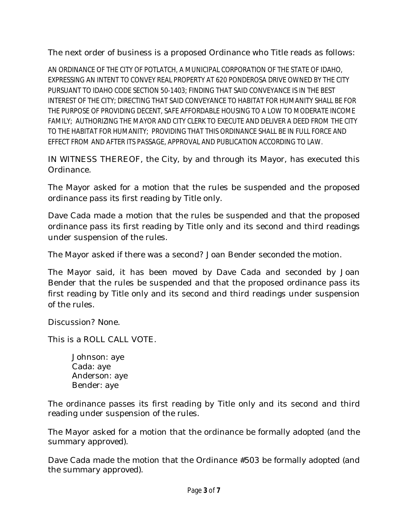The next order of business is a proposed Ordinance who Title reads as follows:

AN ORDINANCE OF THE CITY OF POTLATCH, A MUNICIPAL CORPORATION OF THE STATE OF IDAHO, EXPRESSING AN INTENT TO CONVEY REAL PROPERTY AT 620 PONDEROSA DRIVE OWNED BY THE CITY PURSUANT TO IDAHO CODE SECTION 50-1403; FINDING THAT SAID CONVEYANCE IS IN THE BEST INTEREST OF THE CITY; DIRECTING THAT SAID CONVEYANCE TO HABITAT FOR HUMANITY SHALL BE FOR THE PURPOSE OF PROVIDING DECENT, SAFE AFFORDABLE HOUSING TO A LOW TO MODERATE INCOME FAMILY; AUTHORIZING THE MAYOR AND CITY CLERK TO EXECUTE AND DELIVER A DEED FROM THE CITY TO THE HABITAT FOR HUMANITY; PROVIDING THAT THIS ORDINANCE SHALL BE IN FULL FORCE AND EFFECT FROM AND AFTER ITS PASSAGE, APPROVAL AND PUBLICATION ACCORDING TO LAW.

IN WITNESS THEREOF, the City, by and through its Mayor, has executed this Ordinance.

The Mayor asked for a motion that the rules be suspended and the proposed ordinance pass its first reading by Title only.

Dave Cada made a motion that the rules be suspended and that the proposed ordinance pass its first reading by Title only and its second and third readings under suspension of the rules.

The Mayor asked if there was a second? Joan Bender seconded the motion.

The Mayor said, it has been moved by Dave Cada and seconded by Joan Bender that the rules be suspended and that the proposed ordinance pass its first reading by Title only and its second and third readings under suspension of the rules.

Discussion? None.

This is a ROLL CALL VOTE.

Johnson: aye Cada: aye Anderson: aye Bender: aye

The ordinance passes its first reading by Title only and its second and third reading under suspension of the rules.

The Mayor asked for a motion that the ordinance be formally adopted (and the summary approved).

Dave Cada made the motion that the Ordinance #503 be formally adopted (and the summary approved).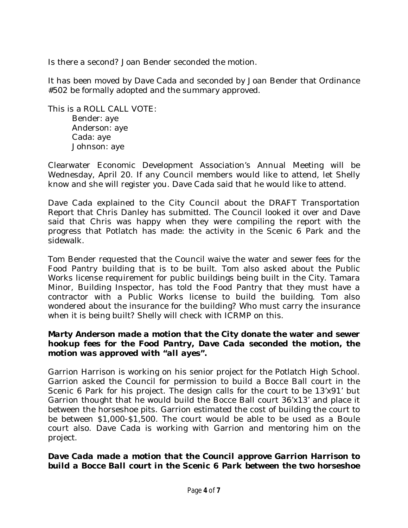Is there a second? Joan Bender seconded the motion.

It has been moved by Dave Cada and seconded by Joan Bender that Ordinance #502 be formally adopted and the summary approved.

This is a ROLL CALL VOTE: Bender: aye Anderson: aye Cada: aye Johnson: aye

Clearwater Economic Development Association's Annual Meeting will be Wednesday, April 20. If any Council members would like to attend, let Shelly know and she will register you. Dave Cada said that he would like to attend.

Dave Cada explained to the City Council about the DRAFT Transportation Report that Chris Danley has submitted. The Council looked it over and Dave said that Chris was happy when they were compiling the report with the progress that Potlatch has made: the activity in the Scenic 6 Park and the sidewalk.

Tom Bender requested that the Council waive the water and sewer fees for the Food Pantry building that is to be built. Tom also asked about the Public Works license requirement for public buildings being built in the City. Tamara Minor, Building Inspector, has told the Food Pantry that they must have a contractor with a Public Works license to build the building. Tom also wondered about the insurance for the building? Who must carry the insurance when it is being built? Shelly will check with ICRMP on this.

#### *Marty Anderson made a motion that the City donate the water and sewer hookup fees for the Food Pantry, Dave Cada seconded the motion, the motion was approved with "all ayes".*

Garrion Harrison is working on his senior project for the Potlatch High School. Garrion asked the Council for permission to build a Bocce Ball court in the Scenic 6 Park for his project. The design calls for the court to be 13'x91' but Garrion thought that he would build the Bocce Ball court 36'x13' and place it between the horseshoe pits. Garrion estimated the cost of building the court to be between \$1,000-\$1,500. The court would be able to be used as a Boule court also. Dave Cada is working with Garrion and mentoring him on the project.

#### *Dave Cada made a motion that the Council approve Garrion Harrison to build a Bocce Ball court in the Scenic 6 Park between the two horseshoe*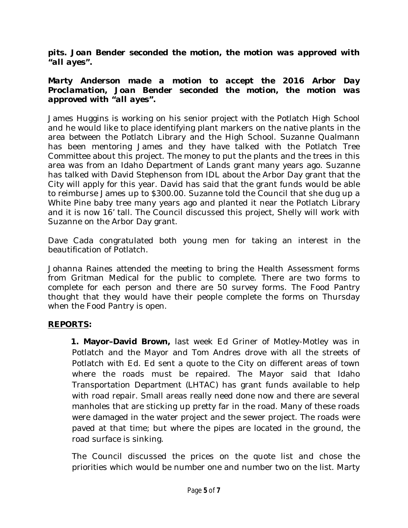*pits. Joan Bender seconded the motion, the motion was approved with "all ayes".*

#### *Marty Anderson made a motion to accept the 2016 Arbor Day Proclamation, Joan Bender seconded the motion, the motion was approved with "all ayes".*

James Huggins is working on his senior project with the Potlatch High School and he would like to place identifying plant markers on the native plants in the area between the Potlatch Library and the High School. Suzanne Qualmann has been mentoring James and they have talked with the Potlatch Tree Committee about this project. The money to put the plants and the trees in this area was from an Idaho Department of Lands grant many years ago. Suzanne has talked with David Stephenson from IDL about the Arbor Day grant that the City will apply for this year. David has said that the grant funds would be able to reimburse James up to \$300.00. Suzanne told the Council that she dug up a White Pine baby tree many years ago and planted it near the Potlatch Library and it is now 16' tall. The Council discussed this project, Shelly will work with Suzanne on the Arbor Day grant.

Dave Cada congratulated both young men for taking an interest in the beautification of Potlatch.

Johanna Raines attended the meeting to bring the Health Assessment forms from Gritman Medical for the public to complete. There are two forms to complete for each person and there are 50 survey forms. The Food Pantry thought that they would have their people complete the forms on Thursday when the Food Pantry is open.

### **REPORTS:**

 **1. Mayor–David Brown,** last week Ed Griner of Motley-Motley was in Potlatch and the Mayor and Tom Andres drove with all the streets of Potlatch with Ed. Ed sent a quote to the City on different areas of town where the roads must be repaired. The Mayor said that Idaho Transportation Department (LHTAC) has grant funds available to help with road repair. Small areas really need done now and there are several manholes that are sticking up pretty far in the road. Many of these roads were damaged in the water project and the sewer project. The roads were paved at that time; but where the pipes are located in the ground, the road surface is sinking.

The Council discussed the prices on the quote list and chose the priorities which would be number one and number two on the list. Marty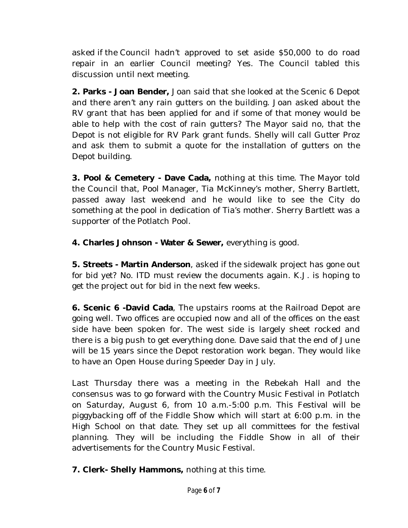asked if the Council hadn't approved to set aside \$50,000 to do road repair in an earlier Council meeting? Yes. The Council tabled this discussion until next meeting.

**2. Parks - Joan Bender,** Joan said that she looked at the Scenic 6 Depot and there aren't any rain gutters on the building. Joan asked about the RV grant that has been applied for and if some of that money would be able to help with the cost of rain gutters? The Mayor said no, that the Depot is not eligible for RV Park grant funds. Shelly will call Gutter Proz and ask them to submit a quote for the installation of gutters on the Depot building.

**3. Pool & Cemetery - Dave Cada,** nothing at this time. The Mayor told the Council that, Pool Manager, Tia McKinney's mother, Sherry Bartlett, passed away last weekend and he would like to see the City do something at the pool in dedication of Tia's mother. Sherry Bartlett was a supporter of the Potlatch Pool.

**4. Charles Johnson - Water & Sewer,** everything is good.

**5. Streets - Martin Anderson**, asked if the sidewalk project has gone out for bid yet? No. ITD must review the documents again. K.J. is hoping to get the project out for bid in the next few weeks.

**6. Scenic 6 -David Cada**, The upstairs rooms at the Railroad Depot are going well. Two offices are occupied now and all of the offices on the east side have been spoken for. The west side is largely sheet rocked and there is a big push to get everything done. Dave said that the end of June will be 15 years since the Depot restoration work began. They would like to have an Open House during Speeder Day in July.

Last Thursday there was a meeting in the Rebekah Hall and the consensus was to go forward with the Country Music Festival in Potlatch on Saturday, August 6, from 10 a.m.-5:00 p.m. This Festival will be piggybacking off of the Fiddle Show which will start at 6:00 p.m. in the High School on that date. They set up all committees for the festival planning. They will be including the Fiddle Show in all of their advertisements for the Country Music Festival.

**7. Clerk- Shelly Hammons,** nothing at this time.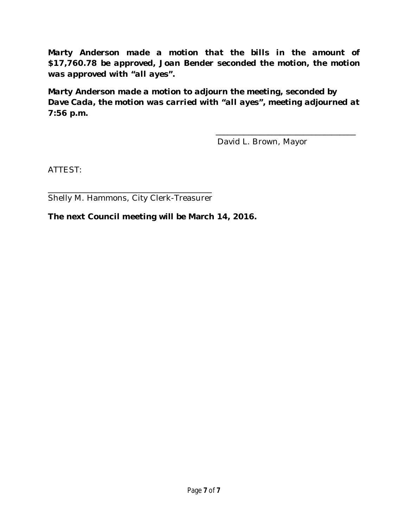*Marty Anderson made a motion that the bills in the amount of \$17,760.78 be approved, Joan Bender seconded the motion, the motion was approved with "all ayes".* 

*Marty Anderson made a motion to adjourn the meeting, seconded by Dave Cada, the motion was carried with "all ayes", meeting adjourned at 7:56 p.m.*

David L. Brown, Mayor

\_\_\_\_\_\_\_\_\_\_\_\_\_\_\_\_\_\_\_\_\_\_\_\_\_\_\_\_\_\_\_\_\_\_\_

ATTEST:

\_\_\_\_\_\_\_\_\_\_\_\_\_\_\_\_\_\_\_\_\_\_\_\_\_\_\_\_\_\_\_\_\_\_\_\_\_\_\_\_\_ Shelly M. Hammons, City Clerk-Treasurer

**The next Council meeting will be March 14, 2016.**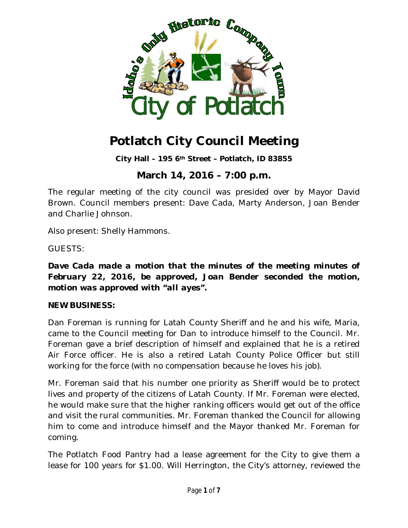

# **Potlatch City Council Meeting**

**City Hall – 195 6th Street – Potlatch, ID 83855**

# **March 14, 2016 – 7:00 p.m.**

The regular meeting of the city council was presided over by Mayor David Brown. Council members present: Dave Cada, Marty Anderson, Joan Bender and Charlie Johnson.

Also present: Shelly Hammons.

GUESTS:

*Dave Cada made a motion that the minutes of the meeting minutes of February 22, 2016, be approved, Joan Bender seconded the motion, motion was approved with "all ayes".*

#### **NEW BUSINESS:**

Dan Foreman is running for Latah County Sheriff and he and his wife, Maria, came to the Council meeting for Dan to introduce himself to the Council. Mr. Foreman gave a brief description of himself and explained that he is a retired Air Force officer. He is also a retired Latah County Police Officer but still working for the force (with no compensation because he loves his job).

Mr. Foreman said that his number one priority as Sheriff would be to protect lives and property of the citizens of Latah County. If Mr. Foreman were elected, he would make sure that the higher ranking officers would get out of the office and visit the rural communities. Mr. Foreman thanked the Council for allowing him to come and introduce himself and the Mayor thanked Mr. Foreman for coming.

The Potlatch Food Pantry had a lease agreement for the City to give them a lease for 100 years for \$1.00. Will Herrington, the City's attorney, reviewed the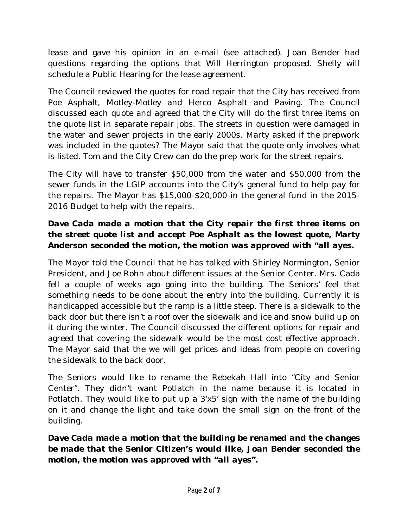lease and gave his opinion in an e-mail (see attached). Joan Bender had questions regarding the options that Will Herrington proposed. Shelly will schedule a Public Hearing for the lease agreement.

The Council reviewed the quotes for road repair that the City has received from Poe Asphalt, Motley-Motley and Herco Asphalt and Paving. The Council discussed each quote and agreed that the City will do the first three items on the quote list in separate repair jobs. The streets in question were damaged in the water and sewer projects in the early 2000s. Marty asked if the prepwork was included in the quotes? The Mayor said that the quote only involves what is listed. Tom and the City Crew can do the prep work for the street repairs.

The City will have to transfer \$50,000 from the water and \$50,000 from the sewer funds in the LGIP accounts into the City's general fund to help pay for the repairs. The Mayor has \$15,000-\$20,000 in the general fund in the 2015- 2016 Budget to help with the repairs.

## *Dave Cada made a motion that the City repair the first three items on the street quote list and accept Poe Asphalt as the lowest quote, Marty Anderson seconded the motion, the motion was approved with "all ayes.*

The Mayor told the Council that he has talked with Shirley Normington, Senior President, and Joe Rohn about different issues at the Senior Center. Mrs. Cada fell a couple of weeks ago going into the building. The Seniors' feel that something needs to be done about the entry into the building. Currently it is handicapped accessible but the ramp is a little steep. There is a sidewalk to the back door but there isn't a roof over the sidewalk and ice and snow build up on it during the winter. The Council discussed the different options for repair and agreed that covering the sidewalk would be the most cost effective approach. The Mayor said that the we will get prices and ideas from people on covering the sidewalk to the back door.

The Seniors would like to rename the Rebekah Hall into "City and Senior Center". They didn't want Potlatch in the name because it is located in Potlatch. They would like to put up a 3'x5' sign with the name of the building on it and change the light and take down the small sign on the front of the building.

### *Dave Cada made a motion that the building be renamed and the changes be made that the Senior Citizen's would like, Joan Bender seconded the motion, the motion was approved with "all ayes".*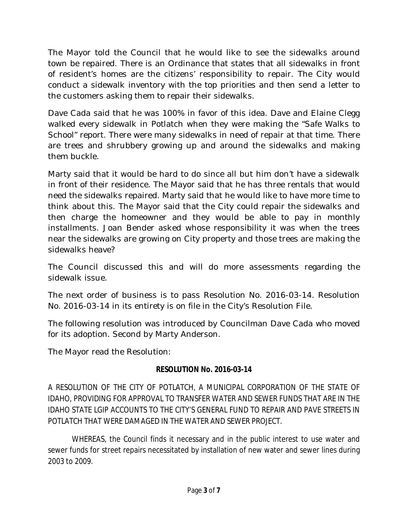The Mayor told the Council that he would like to see the sidewalks around town be repaired. There is an Ordinance that states that all sidewalks in front of resident's homes are the citizens' responsibility to repair. The City would conduct a sidewalk inventory with the top priorities and then send a letter to the customers asking them to repair their sidewalks.

Dave Cada said that he was 100% in favor of this idea. Dave and Elaine Clegg walked every sidewalk in Potlatch when they were making the "Safe Walks to School" report. There were many sidewalks in need of repair at that time. There are trees and shrubbery growing up and around the sidewalks and making them buckle.

Marty said that it would be hard to do since all but him don't have a sidewalk in front of their residence. The Mayor said that he has three rentals that would need the sidewalks repaired. Marty said that he would like to have more time to think about this. The Mayor said that the City could repair the sidewalks and then charge the homeowner and they would be able to pay in monthly installments. Joan Bender asked whose responsibility it was when the trees near the sidewalks are growing on City property and those trees are making the sidewalks heave?

The Council discussed this and will do more assessments regarding the sidewalk issue.

The next order of business is to pass Resolution No. 2016-03-14. Resolution No. 2016-03-14 in its entirety is on file in the City's Resolution File.

The following resolution was introduced by Councilman Dave Cada who moved for its adoption. Second by Marty Anderson.

The Mayor read the Resolution:

#### **RESOLUTION No. 2016-03-14**

A RESOLUTION OF THE CITY OF POTLATCH, A MUNICIPAL CORPORATION OF THE STATE OF IDAHO, PROVIDING FOR APPROVAL TO TRANSFER WATER AND SEWER FUNDS THAT ARE IN THE IDAHO STATE LGIP ACCOUNTS TO THE CITY'S GENERAL FUND TO REPAIR AND PAVE STREETS IN POTLATCH THAT WERE DAMAGED IN THE WATER AND SEWER PROJECT.

WHEREAS, the Council finds it necessary and in the public interest to use water and sewer funds for street repairs necessitated by installation of new water and sewer lines during 2003 to 2009.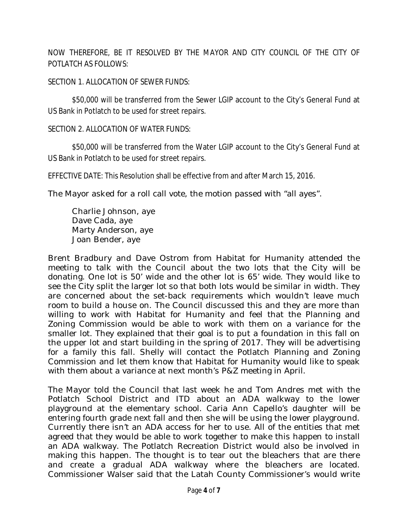NOW THEREFORE, BE IT RESOLVED BY THE MAYOR AND CITY COUNCIL OF THE CITY OF POTLATCH AS FOLLOWS:

#### SECTION 1. ALLOCATION OF SEWER FUNDS:

\$50,000 will be transferred from the Sewer LGIP account to the City's General Fund at US Bank in Potlatch to be used for street repairs.

#### SECTION 2. ALLOCATION OF WATER FUNDS:

\$50,000 will be transferred from the Water LGIP account to the City's General Fund at US Bank in Potlatch to be used for street repairs.

EFFECTIVE DATE: This Resolution shall be effective from and after March 15, 2016.

The Mayor asked for a roll call vote, the motion passed with "all ayes".

Charlie Johnson, aye Dave Cada, aye Marty Anderson, aye Joan Bender, aye

Brent Bradbury and Dave Ostrom from Habitat for Humanity attended the meeting to talk with the Council about the two lots that the City will be donating. One lot is 50' wide and the other lot is 65' wide. They would like to see the City split the larger lot so that both lots would be similar in width. They are concerned about the set-back requirements which wouldn't leave much room to build a house on. The Council discussed this and they are more than willing to work with Habitat for Humanity and feel that the Planning and Zoning Commission would be able to work with them on a variance for the smaller lot. They explained that their goal is to put a foundation in this fall on the upper lot and start building in the spring of 2017. They will be advertising for a family this fall. Shelly will contact the Potlatch Planning and Zoning Commission and let them know that Habitat for Humanity would like to speak with them about a variance at next month's P&Z meeting in April.

The Mayor told the Council that last week he and Tom Andres met with the Potlatch School District and ITD about an ADA walkway to the lower playground at the elementary school. Caria Ann Capello's daughter will be entering fourth grade next fall and then she will be using the lower playground. Currently there isn't an ADA access for her to use. All of the entities that met agreed that they would be able to work together to make this happen to install an ADA walkway. The Potlatch Recreation District would also be involved in making this happen. The thought is to tear out the bleachers that are there and create a gradual ADA walkway where the bleachers are located. Commissioner Walser said that the Latah County Commissioner's would write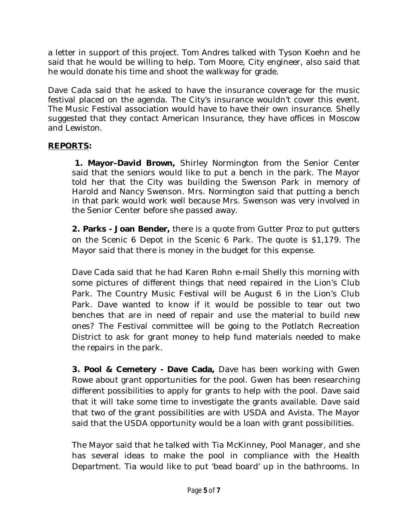a letter in support of this project. Tom Andres talked with Tyson Koehn and he said that he would be willing to help. Tom Moore, City engineer, also said that he would donate his time and shoot the walkway for grade.

Dave Cada said that he asked to have the insurance coverage for the music festival placed on the agenda. The City's insurance wouldn't cover this event. The Music Festival association would have to have their own insurance. Shelly suggested that they contact American Insurance, they have offices in Moscow and Lewiston.

### **REPORTS:**

 **1. Mayor–David Brown,** Shirley Normington from the Senior Center said that the seniors would like to put a bench in the park. The Mayor told her that the City was building the Swenson Park in memory of Harold and Nancy Swenson. Mrs. Normington said that putting a bench in that park would work well because Mrs. Swenson was very involved in the Senior Center before she passed away.

**2. Parks - Joan Bender,** there is a quote from Gutter Proz to put gutters on the Scenic 6 Depot in the Scenic 6 Park. The quote is \$1,179. The Mayor said that there is money in the budget for this expense.

Dave Cada said that he had Karen Rohn e-mail Shelly this morning with some pictures of different things that need repaired in the Lion's Club Park. The Country Music Festival will be August 6 in the Lion's Club Park. Dave wanted to know if it would be possible to tear out two benches that are in need of repair and use the material to build new ones? The Festival committee will be going to the Potlatch Recreation District to ask for grant money to help fund materials needed to make the repairs in the park.

**3. Pool & Cemetery - Dave Cada,** Dave has been working with Gwen Rowe about grant opportunities for the pool. Gwen has been researching different possibilities to apply for grants to help with the pool. Dave said that it will take some time to investigate the grants available. Dave said that two of the grant possibilities are with USDA and Avista. The Mayor said that the USDA opportunity would be a loan with grant possibilities.

The Mayor said that he talked with Tia McKinney, Pool Manager, and she has several ideas to make the pool in compliance with the Health Department. Tia would like to put 'bead board' up in the bathrooms. In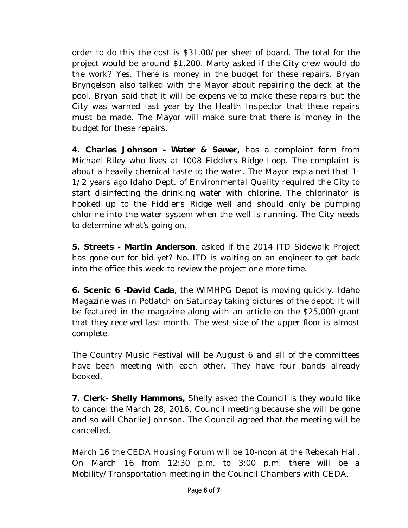order to do this the cost is \$31.00/per sheet of board. The total for the project would be around \$1,200. Marty asked if the City crew would do the work? Yes. There is money in the budget for these repairs. Bryan Bryngelson also talked with the Mayor about repairing the deck at the pool. Bryan said that it will be expensive to make these repairs but the City was warned last year by the Health Inspector that these repairs must be made. The Mayor will make sure that there is money in the budget for these repairs.

**4. Charles Johnson - Water & Sewer,** has a complaint form from Michael Riley who lives at 1008 Fiddlers Ridge Loop. The complaint is about a heavily chemical taste to the water. The Mayor explained that 1- 1/2 years ago Idaho Dept. of Environmental Quality required the City to start disinfecting the drinking water with chlorine. The chlorinator is hooked up to the Fiddler's Ridge well and should only be pumping chlorine into the water system when the well is running. The City needs to determine what's going on.

**5. Streets - Martin Anderson**, asked if the 2014 ITD Sidewalk Project has gone out for bid yet? No. ITD is waiting on an engineer to get back into the office this week to review the project one more time.

**6. Scenic 6 -David Cada**, the WIMHPG Depot is moving quickly. Idaho Magazine was in Potlatch on Saturday taking pictures of the depot. It will be featured in the magazine along with an article on the \$25,000 grant that they received last month. The west side of the upper floor is almost complete.

The Country Music Festival will be August 6 and all of the committees have been meeting with each other. They have four bands already booked.

**7. Clerk- Shelly Hammons,** Shelly asked the Council is they would like to cancel the March 28, 2016, Council meeting because she will be gone and so will Charlie Johnson. The Council agreed that the meeting will be cancelled.

March 16 the CEDA Housing Forum will be 10-noon at the Rebekah Hall. On March 16 from 12:30 p.m. to 3:00 p.m. there will be a Mobility/Transportation meeting in the Council Chambers with CEDA.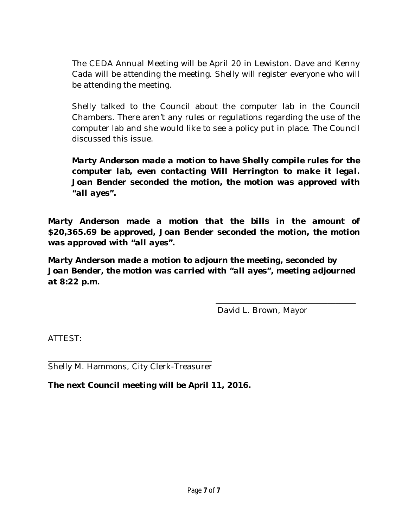The CEDA Annual Meeting will be April 20 in Lewiston. Dave and Kenny Cada will be attending the meeting. Shelly will register everyone who will be attending the meeting.

Shelly talked to the Council about the computer lab in the Council Chambers. There aren't any rules or regulations regarding the use of the computer lab and she would like to see a policy put in place. The Council discussed this issue.

*Marty Anderson made a motion to have Shelly compile rules for the computer lab, even contacting Will Herrington to make it legal. Joan Bender seconded the motion, the motion was approved with "all ayes".*

*Marty Anderson made a motion that the bills in the amount of \$20,365.69 be approved, Joan Bender seconded the motion, the motion was approved with "all ayes".* 

*Marty Anderson made a motion to adjourn the meeting, seconded by Joan Bender, the motion was carried with "all ayes", meeting adjourned at 8:22 p.m.*

David L. Brown, Mayor

\_\_\_\_\_\_\_\_\_\_\_\_\_\_\_\_\_\_\_\_\_\_\_\_\_\_\_\_\_\_\_\_\_\_\_

ATTEST:

\_\_\_\_\_\_\_\_\_\_\_\_\_\_\_\_\_\_\_\_\_\_\_\_\_\_\_\_\_\_\_\_\_\_\_\_\_\_\_\_\_ Shelly M. Hammons, City Clerk-Treasurer

**The next Council meeting will be April 11, 2016.**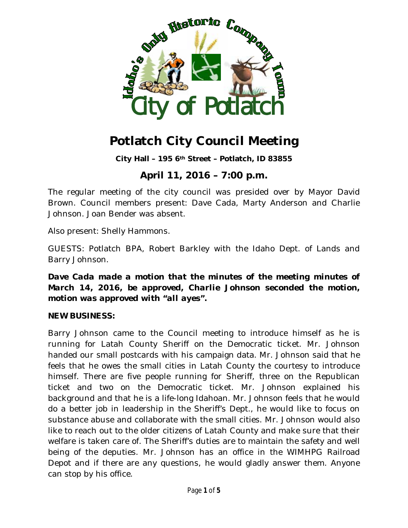

# **Potlatch City Council Meeting**

**City Hall – 195 6th Street – Potlatch, ID 83855**

# **April 11, 2016 – 7:00 p.m.**

The regular meeting of the city council was presided over by Mayor David Brown. Council members present: Dave Cada, Marty Anderson and Charlie Johnson. Joan Bender was absent.

Also present: Shelly Hammons.

GUESTS: Potlatch BPA, Robert Barkley with the Idaho Dept. of Lands and Barry Johnson.

*Dave Cada made a motion that the minutes of the meeting minutes of March 14, 2016, be approved, Charlie Johnson seconded the motion, motion was approved with "all ayes".*

#### **NEW BUSINESS:**

Barry Johnson came to the Council meeting to introduce himself as he is running for Latah County Sheriff on the Democratic ticket. Mr. Johnson handed our small postcards with his campaign data. Mr. Johnson said that he feels that he owes the small cities in Latah County the courtesy to introduce himself. There are five people running for Sheriff, three on the Republican ticket and two on the Democratic ticket. Mr. Johnson explained his background and that he is a life-long Idahoan. Mr. Johnson feels that he would do a better job in leadership in the Sheriff's Dept., he would like to focus on substance abuse and collaborate with the small cities. Mr. Johnson would also like to reach out to the older citizens of Latah County and make sure that their welfare is taken care of. The Sheriff's duties are to maintain the safety and well being of the deputies. Mr. Johnson has an office in the WIMHPG Railroad Depot and if there are any questions, he would gladly answer them. Anyone can stop by his office.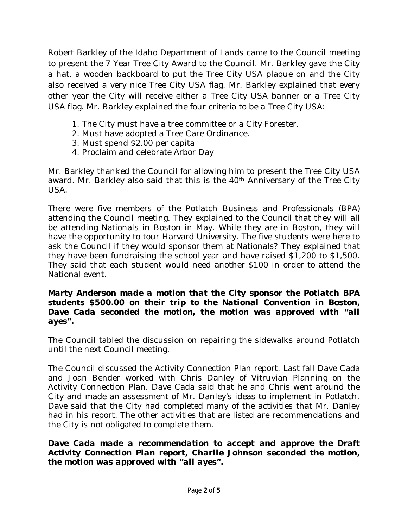Robert Barkley of the Idaho Department of Lands came to the Council meeting to present the 7 Year Tree City Award to the Council. Mr. Barkley gave the City a hat, a wooden backboard to put the Tree City USA plaque on and the City also received a very nice Tree City USA flag. Mr. Barkley explained that every other year the City will receive either a Tree City USA banner or a Tree City USA flag. Mr. Barkley explained the four criteria to be a Tree City USA:

- 1. The City must have a tree committee or a City Forester.
- 2. Must have adopted a Tree Care Ordinance.
- 3. Must spend \$2.00 per capita
- 4. Proclaim and celebrate Arbor Day

Mr. Barkley thanked the Council for allowing him to present the Tree City USA award. Mr. Barkley also said that this is the 40<sup>th</sup> Anniversary of the Tree City USA.

There were five members of the Potlatch Business and Professionals (BPA) attending the Council meeting. They explained to the Council that they will all be attending Nationals in Boston in May. While they are in Boston, they will have the opportunity to tour Harvard University. The five students were here to ask the Council if they would sponsor them at Nationals? They explained that they have been fundraising the school year and have raised \$1,200 to \$1,500. They said that each student would need another \$100 in order to attend the National event.

#### *Marty Anderson made a motion that the City sponsor the Potlatch BPA students \$500.00 on their trip to the National Convention in Boston, Dave Cada seconded the motion, the motion was approved with "all ayes".*

The Council tabled the discussion on repairing the sidewalks around Potlatch until the next Council meeting.

The Council discussed the Activity Connection Plan report. Last fall Dave Cada and Joan Bender worked with Chris Danley of Vitruvian Planning on the Activity Connection Plan. Dave Cada said that he and Chris went around the City and made an assessment of Mr. Danley's ideas to implement in Potlatch. Dave said that the City had completed many of the activities that Mr. Danley had in his report. The other activities that are listed are recommendations and the City is not obligated to complete them.

*Dave Cada made a recommendation to accept and approve the Draft Activity Connection Plan report, Charlie Johnson seconded the motion, the motion was approved with "all ayes".*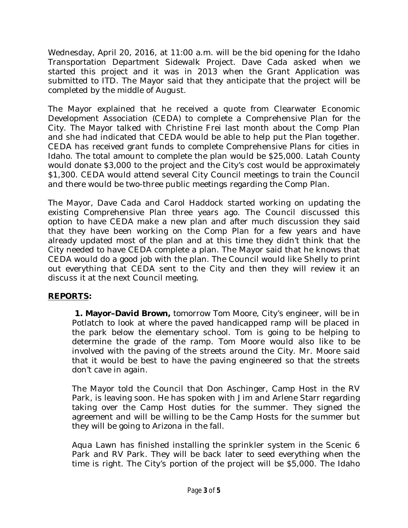Wednesday, April 20, 2016, at 11:00 a.m. will be the bid opening for the Idaho Transportation Department Sidewalk Project. Dave Cada asked when we started this project and it was in 2013 when the Grant Application was submitted to ITD. The Mayor said that they anticipate that the project will be completed by the middle of August.

The Mayor explained that he received a quote from Clearwater Economic Development Association (CEDA) to complete a Comprehensive Plan for the City. The Mayor talked with Christine Frei last month about the Comp Plan and she had indicated that CEDA would be able to help put the Plan together. CEDA has received grant funds to complete Comprehensive Plans for cities in Idaho. The total amount to complete the plan would be \$25,000. Latah County would donate \$3,000 to the project and the City's cost would be approximately \$1,300. CEDA would attend several City Council meetings to train the Council and there would be two-three public meetings regarding the Comp Plan.

The Mayor, Dave Cada and Carol Haddock started working on updating the existing Comprehensive Plan three years ago. The Council discussed this option to have CEDA make a new plan and after much discussion they said that they have been working on the Comp Plan for a few years and have already updated most of the plan and at this time they didn't think that the City needed to have CEDA complete a plan. The Mayor said that he knows that CEDA would do a good job with the plan. The Council would like Shelly to print out everything that CEDA sent to the City and then they will review it an discuss it at the next Council meeting.

### **REPORTS:**

 **1. Mayor–David Brown,** tomorrow Tom Moore, City's engineer, will be in Potlatch to look at where the paved handicapped ramp will be placed in the park below the elementary school. Tom is going to be helping to determine the grade of the ramp. Tom Moore would also like to be involved with the paving of the streets around the City. Mr. Moore said that it would be best to have the paving engineered so that the streets don't cave in again.

The Mayor told the Council that Don Aschinger, Camp Host in the RV Park, is leaving soon. He has spoken with Jim and Arlene Starr regarding taking over the Camp Host duties for the summer. They signed the agreement and will be willing to be the Camp Hosts for the summer but they will be going to Arizona in the fall.

Aqua Lawn has finished installing the sprinkler system in the Scenic 6 Park and RV Park. They will be back later to seed everything when the time is right. The City's portion of the project will be \$5,000. The Idaho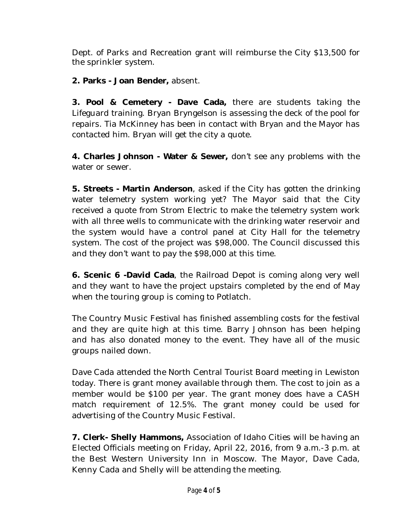Dept. of Parks and Recreation grant will reimburse the City \$13,500 for the sprinkler system.

**2. Parks - Joan Bender,** absent.

**3. Pool & Cemetery - Dave Cada,** there are students taking the Lifeguard training. Bryan Bryngelson is assessing the deck of the pool for repairs. Tia McKinney has been in contact with Bryan and the Mayor has contacted him. Bryan will get the city a quote.

**4. Charles Johnson - Water & Sewer,** don't see any problems with the water or sewer.

**5. Streets - Martin Anderson**, asked if the City has gotten the drinking water telemetry system working yet? The Mayor said that the City received a quote from Strom Electric to make the telemetry system work with all three wells to communicate with the drinking water reservoir and the system would have a control panel at City Hall for the telemetry system. The cost of the project was \$98,000. The Council discussed this and they don't want to pay the \$98,000 at this time.

**6. Scenic 6 -David Cada**, the Railroad Depot is coming along very well and they want to have the project upstairs completed by the end of May when the touring group is coming to Potlatch.

The Country Music Festival has finished assembling costs for the festival and they are quite high at this time. Barry Johnson has been helping and has also donated money to the event. They have all of the music groups nailed down.

Dave Cada attended the North Central Tourist Board meeting in Lewiston today. There is grant money available through them. The cost to join as a member would be \$100 per year. The grant money does have a CASH match requirement of 12.5%. The grant money could be used for advertising of the Country Music Festival.

**7. Clerk- Shelly Hammons,** Association of Idaho Cities will be having an Elected Officials meeting on Friday, April 22, 2016, from 9 a.m.-3 p.m. at the Best Western University Inn in Moscow. The Mayor, Dave Cada, Kenny Cada and Shelly will be attending the meeting.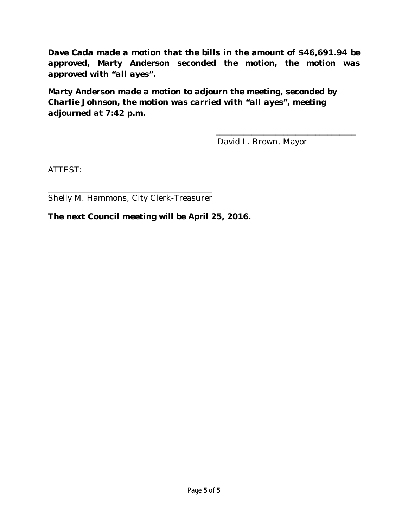*Dave Cada made a motion that the bills in the amount of \$46,691.94 be approved, Marty Anderson seconded the motion, the motion was approved with "all ayes".* 

*Marty Anderson made a motion to adjourn the meeting, seconded by Charlie Johnson, the motion was carried with "all ayes", meeting adjourned at 7:42 p.m.*

David L. Brown, Mayor

\_\_\_\_\_\_\_\_\_\_\_\_\_\_\_\_\_\_\_\_\_\_\_\_\_\_\_\_\_\_\_\_\_\_\_

ATTEST:

\_\_\_\_\_\_\_\_\_\_\_\_\_\_\_\_\_\_\_\_\_\_\_\_\_\_\_\_\_\_\_\_\_\_\_\_\_\_\_\_\_ Shelly M. Hammons, City Clerk-Treasurer

**The next Council meeting will be April 25, 2016.**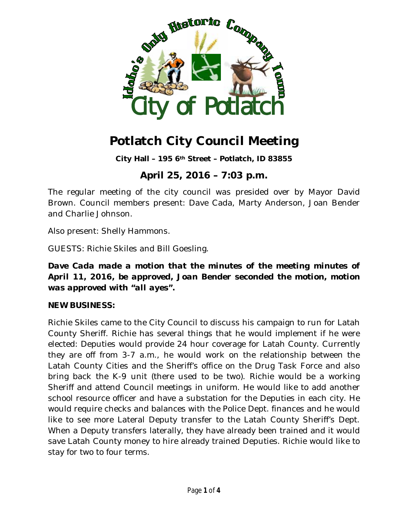

# **Potlatch City Council Meeting**

**City Hall – 195 6th Street – Potlatch, ID 83855**

# **April 25, 2016 – 7:03 p.m.**

The regular meeting of the city council was presided over by Mayor David Brown. Council members present: Dave Cada, Marty Anderson, Joan Bender and Charlie Johnson.

Also present: Shelly Hammons.

GUESTS: Richie Skiles and Bill Goesling.

*Dave Cada made a motion that the minutes of the meeting minutes of April 11, 2016, be approved, Joan Bender seconded the motion, motion was approved with "all ayes".*

#### **NEW BUSINESS:**

Richie Skiles came to the City Council to discuss his campaign to run for Latah County Sheriff. Richie has several things that he would implement if he were elected: Deputies would provide 24 hour coverage for Latah County. Currently they are off from 3-7 a.m., he would work on the relationship between the Latah County Cities and the Sheriff's office on the Drug Task Force and also bring back the K-9 unit (there used to be two). Richie would be a working Sheriff and attend Council meetings in uniform. He would like to add another school resource officer and have a substation for the Deputies in each city. He would require checks and balances with the Police Dept. finances and he would like to see more Lateral Deputy transfer to the Latah County Sheriff's Dept. When a Deputy transfers laterally, they have already been trained and it would save Latah County money to hire already trained Deputies. Richie would like to stay for two to four terms.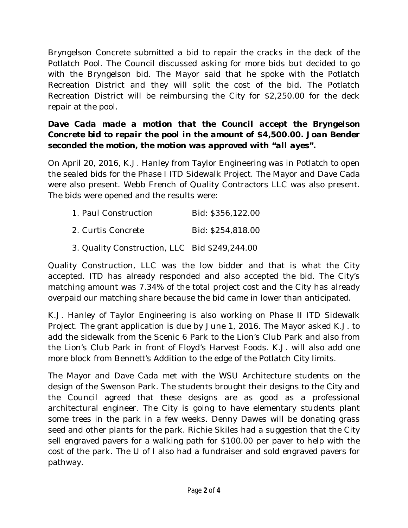Bryngelson Concrete submitted a bid to repair the cracks in the deck of the Potlatch Pool. The Council discussed asking for more bids but decided to go with the Bryngelson bid. The Mayor said that he spoke with the Potlatch Recreation District and they will split the cost of the bid. The Potlatch Recreation District will be reimbursing the City for \$2,250.00 for the deck repair at the pool.

### *Dave Cada made a motion that the Council accept the Bryngelson Concrete bid to repair the pool in the amount of \$4,500.00. Joan Bender seconded the motion, the motion was approved with "all ayes".*

On April 20, 2016, K.J. Hanley from Taylor Engineering was in Potlatch to open the sealed bids for the Phase I ITD Sidewalk Project. The Mayor and Dave Cada were also present. Webb French of Quality Contractors LLC was also present. The bids were opened and the results were:

| 1. Paul Construction | Bid: \$356,122.00 |
|----------------------|-------------------|
| 2. Curtis Concrete   | Bid: \$254,818.00 |

3. Quality Construction, LLC Bid \$249,244.00

Quality Construction, LLC was the low bidder and that is what the City accepted. ITD has already responded and also accepted the bid. The City's matching amount was 7.34% of the total project cost and the City has already overpaid our matching share because the bid came in lower than anticipated.

K.J. Hanley of Taylor Engineering is also working on Phase II ITD Sidewalk Project. The grant application is due by June 1, 2016. The Mayor asked K.J. to add the sidewalk from the Scenic 6 Park to the Lion's Club Park and also from the Lion's Club Park in front of Floyd's Harvest Foods. K.J. will also add one more block from Bennett's Addition to the edge of the Potlatch City limits.

The Mayor and Dave Cada met with the WSU Architecture students on the design of the Swenson Park. The students brought their designs to the City and the Council agreed that these designs are as good as a professional architectural engineer. The City is going to have elementary students plant some trees in the park in a few weeks. Denny Dawes will be donating grass seed and other plants for the park. Richie Skiles had a suggestion that the City sell engraved pavers for a walking path for \$100.00 per paver to help with the cost of the park. The U of I also had a fundraiser and sold engraved pavers for pathway.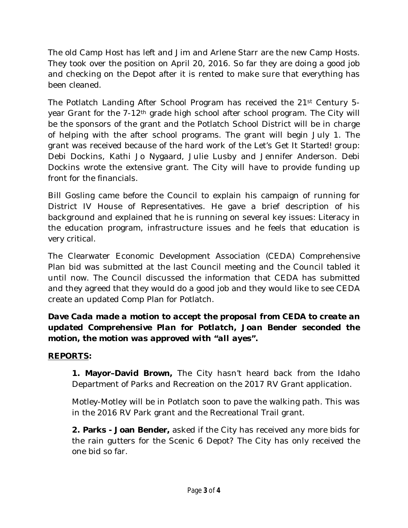The old Camp Host has left and Jim and Arlene Starr are the new Camp Hosts. They took over the position on April 20, 2016. So far they are doing a good job and checking on the Depot after it is rented to make sure that everything has been cleaned.

The Potlatch Landing After School Program has received the 21st Century 5 year Grant for the 7-12th grade high school after school program. The City will be the sponsors of the grant and the Potlatch School District will be in charge of helping with the after school programs. The grant will begin July 1. The grant was received because of the hard work of the Let's Get It Started! group: Debi Dockins, Kathi Jo Nygaard, Julie Lusby and Jennifer Anderson. Debi Dockins wrote the extensive grant. The City will have to provide funding up front for the financials.

Bill Gosling came before the Council to explain his campaign of running for District IV House of Representatives. He gave a brief description of his background and explained that he is running on several key issues: Literacy in the education program, infrastructure issues and he feels that education is very critical.

The Clearwater Economic Development Association (CEDA) Comprehensive Plan bid was submitted at the last Council meeting and the Council tabled it until now. The Council discussed the information that CEDA has submitted and they agreed that they would do a good job and they would like to see CEDA create an updated Comp Plan for Potlatch.

*Dave Cada made a motion to accept the proposal from CEDA to create an updated Comprehensive Plan for Potlatch, Joan Bender seconded the motion, the motion was approved with "all ayes".*

#### **REPORTS:**

 **1. Mayor–David Brown,** The City hasn't heard back from the Idaho Department of Parks and Recreation on the 2017 RV Grant application.

Motley-Motley will be in Potlatch soon to pave the walking path. This was in the 2016 RV Park grant and the Recreational Trail grant.

**2. Parks - Joan Bender,** asked if the City has received any more bids for the rain gutters for the Scenic 6 Depot? The City has only received the one bid so far.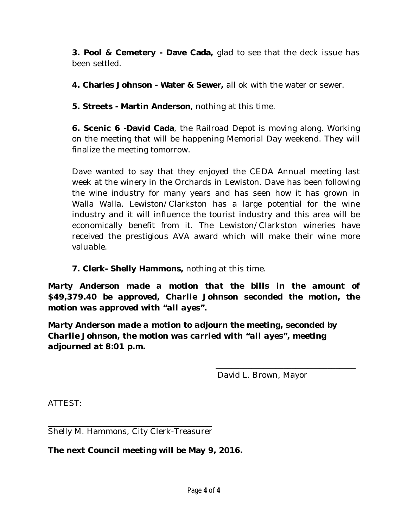**3. Pool & Cemetery - Dave Cada,** glad to see that the deck issue has been settled.

**4. Charles Johnson - Water & Sewer,** all ok with the water or sewer.

**5. Streets - Martin Anderson**, nothing at this time.

**6. Scenic 6 -David Cada**, the Railroad Depot is moving along. Working on the meeting that will be happening Memorial Day weekend. They will finalize the meeting tomorrow.

Dave wanted to say that they enjoyed the CEDA Annual meeting last week at the winery in the Orchards in Lewiston. Dave has been following the wine industry for many years and has seen how it has grown in Walla Walla. Lewiston/Clarkston has a large potential for the wine industry and it will influence the tourist industry and this area will be economically benefit from it. The Lewiston/Clarkston wineries have received the prestigious AVA award which will make their wine more valuable.

**7. Clerk- Shelly Hammons,** nothing at this time.

*Marty Anderson made a motion that the bills in the amount of \$49,379.40 be approved, Charlie Johnson seconded the motion, the motion was approved with "all ayes".* 

*Marty Anderson made a motion to adjourn the meeting, seconded by Charlie Johnson, the motion was carried with "all ayes", meeting adjourned at 8:01 p.m.*

David L. Brown, Mayor

\_\_\_\_\_\_\_\_\_\_\_\_\_\_\_\_\_\_\_\_\_\_\_\_\_\_\_\_\_\_\_\_\_\_\_

ATTEST:

\_\_\_\_\_\_\_\_\_\_\_\_\_\_\_\_\_\_\_\_\_\_\_\_\_\_\_\_\_\_\_\_\_\_\_\_\_\_\_\_\_ Shelly M. Hammons, City Clerk-Treasurer

**The next Council meeting will be May 9, 2016.**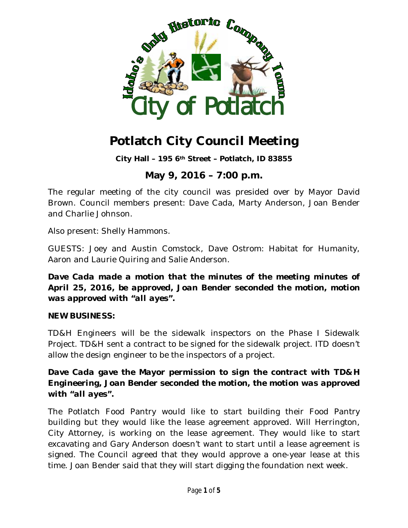

**City Hall – 195 6th Street – Potlatch, ID 83855**

## **May 9, 2016 – 7:00 p.m.**

The regular meeting of the city council was presided over by Mayor David Brown. Council members present: Dave Cada, Marty Anderson, Joan Bender and Charlie Johnson.

Also present: Shelly Hammons.

GUESTS: Joey and Austin Comstock, Dave Ostrom: Habitat for Humanity, Aaron and Laurie Quiring and Salie Anderson.

*Dave Cada made a motion that the minutes of the meeting minutes of April 25, 2016, be approved, Joan Bender seconded the motion, motion was approved with "all ayes".*

#### **NEW BUSINESS:**

TD&H Engineers will be the sidewalk inspectors on the Phase I Sidewalk Project. TD&H sent a contract to be signed for the sidewalk project. ITD doesn't allow the design engineer to be the inspectors of a project.

#### *Dave Cada gave the Mayor permission to sign the contract with TD&H Engineering, Joan Bender seconded the motion, the motion was approved with "all ayes".*

The Potlatch Food Pantry would like to start building their Food Pantry building but they would like the lease agreement approved. Will Herrington, City Attorney, is working on the lease agreement. They would like to start excavating and Gary Anderson doesn't want to start until a lease agreement is signed. The Council agreed that they would approve a one-year lease at this time. Joan Bender said that they will start digging the foundation next week.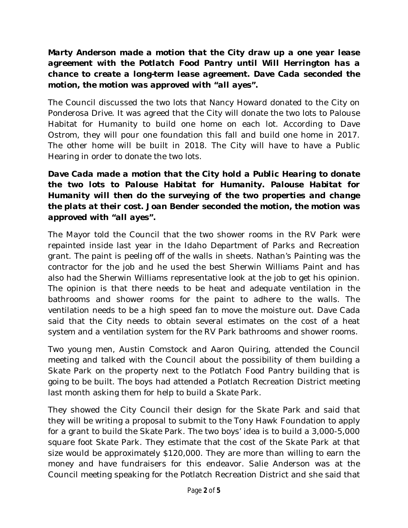*Marty Anderson made a motion that the City draw up a one year lease agreement with the Potlatch Food Pantry until Will Herrington has a chance to create a long-term lease agreement. Dave Cada seconded the motion, the motion was approved with "all ayes".*

The Council discussed the two lots that Nancy Howard donated to the City on Ponderosa Drive. It was agreed that the City will donate the two lots to Palouse Habitat for Humanity to build one home on each lot. According to Dave Ostrom, they will pour one foundation this fall and build one home in 2017. The other home will be built in 2018. The City will have to have a Public Hearing in order to donate the two lots.

### *Dave Cada made a motion that the City hold a Public Hearing to donate the two lots to Palouse Habitat for Humanity. Palouse Habitat for Humanity will then do the surveying of the two properties and change the plats at their cost. Joan Bender seconded the motion, the motion was approved with "all ayes".*

The Mayor told the Council that the two shower rooms in the RV Park were repainted inside last year in the Idaho Department of Parks and Recreation grant. The paint is peeling off of the walls in sheets. Nathan's Painting was the contractor for the job and he used the best Sherwin Williams Paint and has also had the Sherwin Williams representative look at the job to get his opinion. The opinion is that there needs to be heat and adequate ventilation in the bathrooms and shower rooms for the paint to adhere to the walls. The ventilation needs to be a high speed fan to move the moisture out. Dave Cada said that the City needs to obtain several estimates on the cost of a heat system and a ventilation system for the RV Park bathrooms and shower rooms.

Two young men, Austin Comstock and Aaron Quiring, attended the Council meeting and talked with the Council about the possibility of them building a Skate Park on the property next to the Potlatch Food Pantry building that is going to be built. The boys had attended a Potlatch Recreation District meeting last month asking them for help to build a Skate Park.

They showed the City Council their design for the Skate Park and said that they will be writing a proposal to submit to the Tony Hawk Foundation to apply for a grant to build the Skate Park. The two boys' idea is to build a 3,000-5,000 square foot Skate Park. They estimate that the cost of the Skate Park at that size would be approximately \$120,000. They are more than willing to earn the money and have fundraisers for this endeavor. Salie Anderson was at the Council meeting speaking for the Potlatch Recreation District and she said that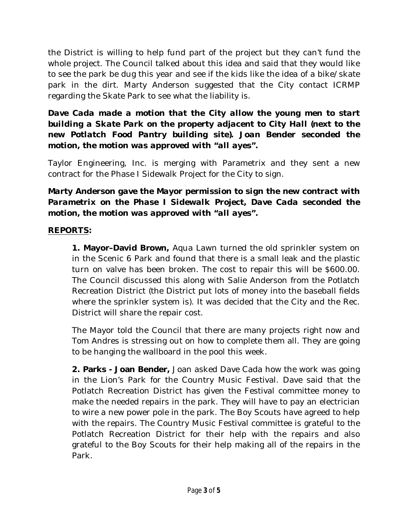the District is willing to help fund part of the project but they can't fund the whole project. The Council talked about this idea and said that they would like to see the park be dug this year and see if the kids like the idea of a bike/skate park in the dirt. Marty Anderson suggested that the City contact ICRMP regarding the Skate Park to see what the liability is.

*Dave Cada made a motion that the City allow the young men to start building a Skate Park on the property adjacent to City Hall (next to the new Potlatch Food Pantry building site). Joan Bender seconded the motion, the motion was approved with "all ayes".*

Taylor Engineering, Inc. is merging with Parametrix and they sent a new contract for the Phase I Sidewalk Project for the City to sign.

### *Marty Anderson gave the Mayor permission to sign the new contract with Parametrix on the Phase I Sidewalk Project, Dave Cada seconded the motion, the motion was approved with "all ayes".*

#### **REPORTS:**

 **1. Mayor–David Brown,** Aqua Lawn turned the old sprinkler system on in the Scenic 6 Park and found that there is a small leak and the plastic turn on valve has been broken. The cost to repair this will be \$600.00. The Council discussed this along with Salie Anderson from the Potlatch Recreation District (the District put lots of money into the baseball fields where the sprinkler system is). It was decided that the City and the Rec. District will share the repair cost.

The Mayor told the Council that there are many projects right now and Tom Andres is stressing out on how to complete them all. They are going to be hanging the wallboard in the pool this week.

**2. Parks - Joan Bender,** Joan asked Dave Cada how the work was going in the Lion's Park for the Country Music Festival. Dave said that the Potlatch Recreation District has given the Festival committee money to make the needed repairs in the park. They will have to pay an electrician to wire a new power pole in the park. The Boy Scouts have agreed to help with the repairs. The Country Music Festival committee is grateful to the Potlatch Recreation District for their help with the repairs and also grateful to the Boy Scouts for their help making all of the repairs in the Park.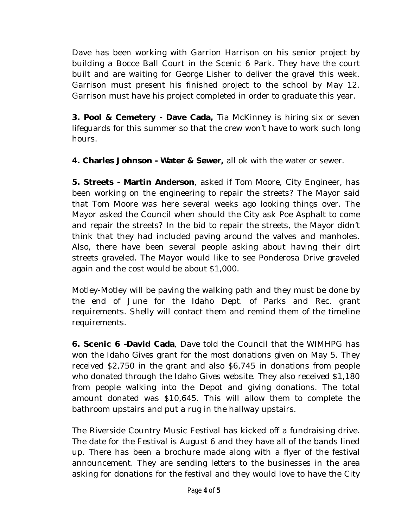Dave has been working with Garrion Harrison on his senior project by building a Bocce Ball Court in the Scenic 6 Park. They have the court built and are waiting for George Lisher to deliver the gravel this week. Garrison must present his finished project to the school by May 12. Garrison must have his project completed in order to graduate this year.

**3. Pool & Cemetery - Dave Cada,** Tia McKinney is hiring six or seven lifeguards for this summer so that the crew won't have to work such long hours.

**4. Charles Johnson - Water & Sewer,** all ok with the water or sewer.

**5. Streets - Martin Anderson**, asked if Tom Moore, City Engineer, has been working on the engineering to repair the streets? The Mayor said that Tom Moore was here several weeks ago looking things over. The Mayor asked the Council when should the City ask Poe Asphalt to come and repair the streets? In the bid to repair the streets, the Mayor didn't think that they had included paving around the valves and manholes. Also, there have been several people asking about having their dirt streets graveled. The Mayor would like to see Ponderosa Drive graveled again and the cost would be about \$1,000.

Motley-Motley will be paving the walking path and they must be done by the end of June for the Idaho Dept. of Parks and Rec. grant requirements. Shelly will contact them and remind them of the timeline requirements.

**6. Scenic 6 -David Cada**, Dave told the Council that the WIMHPG has won the Idaho Gives grant for the most donations given on May 5. They received \$2,750 in the grant and also \$6,745 in donations from people who donated through the Idaho Gives website. They also received \$1,180 from people walking into the Depot and giving donations. The total amount donated was \$10,645. This will allow them to complete the bathroom upstairs and put a rug in the hallway upstairs.

The Riverside Country Music Festival has kicked off a fundraising drive. The date for the Festival is August 6 and they have all of the bands lined up. There has been a brochure made along with a flyer of the festival announcement. They are sending letters to the businesses in the area asking for donations for the festival and they would love to have the City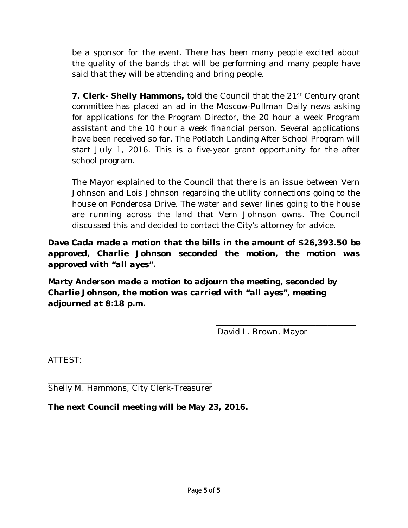be a sponsor for the event. There has been many people excited about the quality of the bands that will be performing and many people have said that they will be attending and bring people.

**7. Clerk- Shelly Hammons,** told the Council that the 21st Century grant committee has placed an ad in the Moscow-Pullman Daily news asking for applications for the Program Director, the 20 hour a week Program assistant and the 10 hour a week financial person. Several applications have been received so far. The Potlatch Landing After School Program will start July 1, 2016. This is a five-year grant opportunity for the after school program.

The Mayor explained to the Council that there is an issue between Vern Johnson and Lois Johnson regarding the utility connections going to the house on Ponderosa Drive. The water and sewer lines going to the house are running across the land that Vern Johnson owns. The Council discussed this and decided to contact the City's attorney for advice.

*Dave Cada made a motion that the bills in the amount of \$26,393.50 be approved, Charlie Johnson seconded the motion, the motion was approved with "all ayes".* 

*Marty Anderson made a motion to adjourn the meeting, seconded by Charlie Johnson, the motion was carried with "all ayes", meeting adjourned at 8:18 p.m.*

David L. Brown, Mayor

\_\_\_\_\_\_\_\_\_\_\_\_\_\_\_\_\_\_\_\_\_\_\_\_\_\_\_\_\_\_\_\_\_\_\_

ATTEST:

\_\_\_\_\_\_\_\_\_\_\_\_\_\_\_\_\_\_\_\_\_\_\_\_\_\_\_\_\_\_\_\_\_\_\_\_\_\_\_\_\_ Shelly M. Hammons, City Clerk-Treasurer

**The next Council meeting will be May 23, 2016.**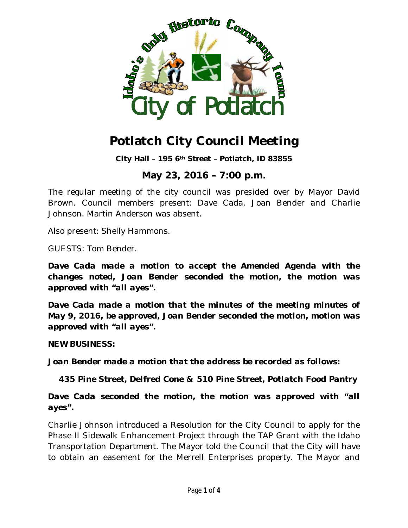

**City Hall – 195 6th Street – Potlatch, ID 83855**

### **May 23, 2016 – 7:00 p.m.**

The regular meeting of the city council was presided over by Mayor David Brown. Council members present: Dave Cada, Joan Bender and Charlie Johnson. Martin Anderson was absent.

Also present: Shelly Hammons.

GUESTS: Tom Bender.

*Dave Cada made a motion to accept the Amended Agenda with the changes noted, Joan Bender seconded the motion, the motion was approved with "all ayes".*

*Dave Cada made a motion that the minutes of the meeting minutes of May 9, 2016, be approved, Joan Bender seconded the motion, motion was approved with "all ayes".*

**NEW BUSINESS:**

*Joan Bender made a motion that the address be recorded as follows:*

 *435 Pine Street, Delfred Cone & 510 Pine Street, Potlatch Food Pantry*

*Dave Cada seconded the motion, the motion was approved with "all ayes".*

Charlie Johnson introduced a Resolution for the City Council to apply for the Phase II Sidewalk Enhancement Project through the TAP Grant with the Idaho Transportation Department. The Mayor told the Council that the City will have to obtain an easement for the Merrell Enterprises property. The Mayor and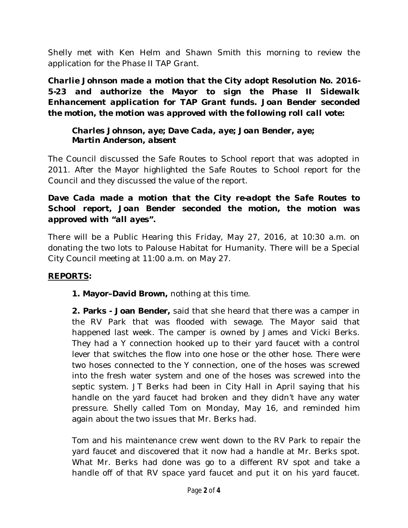Shelly met with Ken Helm and Shawn Smith this morning to review the application for the Phase II TAP Grant.

*Charlie Johnson made a motion that the City adopt Resolution No. 2016- 5-23 and authorize the Mayor to sign the Phase II Sidewalk Enhancement application for TAP Grant funds. Joan Bender seconded the motion, the motion was approved with the following roll call vote:*

*Charles Johnson, aye; Dave Cada, aye; Joan Bender, aye; Martin Anderson, absent*

The Council discussed the Safe Routes to School report that was adopted in 2011. After the Mayor highlighted the Safe Routes to School report for the Council and they discussed the value of the report.

#### *Dave Cada made a motion that the City re-adopt the Safe Routes to School report, Joan Bender seconded the motion, the motion was approved with "all ayes".*

There will be a Public Hearing this Friday, May 27, 2016, at 10:30 a.m. on donating the two lots to Palouse Habitat for Humanity. There will be a Special City Council meeting at 11:00 a.m. on May 27.

#### **REPORTS:**

 **1. Mayor–David Brown,** nothing at this time.

**2. Parks - Joan Bender,** said that she heard that there was a camper in the RV Park that was flooded with sewage. The Mayor said that happened last week. The camper is owned by James and Vicki Berks. They had a Y connection hooked up to their yard faucet with a control lever that switches the flow into one hose or the other hose. There were two hoses connected to the Y connection, one of the hoses was screwed into the fresh water system and one of the hoses was screwed into the septic system. JT Berks had been in City Hall in April saying that his handle on the yard faucet had broken and they didn't have any water pressure. Shelly called Tom on Monday, May 16, and reminded him again about the two issues that Mr. Berks had.

Tom and his maintenance crew went down to the RV Park to repair the yard faucet and discovered that it now had a handle at Mr. Berks spot. What Mr. Berks had done was go to a different RV spot and take a handle off of that RV space yard faucet and put it on his yard faucet.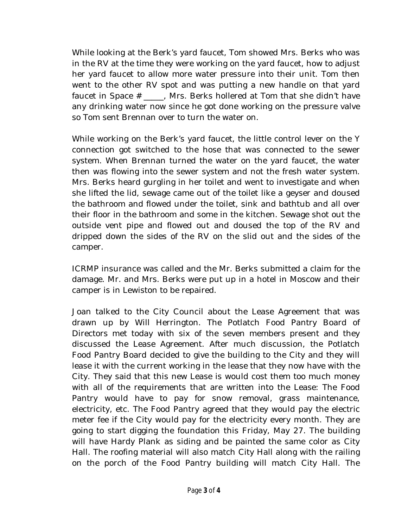While looking at the Berk's yard faucet, Tom showed Mrs. Berks who was in the RV at the time they were working on the yard faucet, how to adjust her yard faucet to allow more water pressure into their unit. Tom then went to the other RV spot and was putting a new handle on that yard faucet in Space # \_\_\_\_\_, Mrs. Berks hollered at Tom that she didn't have any drinking water now since he got done working on the pressure valve so Tom sent Brennan over to turn the water on.

While working on the Berk's yard faucet, the little control lever on the Y connection got switched to the hose that was connected to the sewer system. When Brennan turned the water on the yard faucet, the water then was flowing into the sewer system and not the fresh water system. Mrs. Berks heard gurgling in her toilet and went to investigate and when she lifted the lid, sewage came out of the toilet like a geyser and doused the bathroom and flowed under the toilet, sink and bathtub and all over their floor in the bathroom and some in the kitchen. Sewage shot out the outside vent pipe and flowed out and doused the top of the RV and dripped down the sides of the RV on the slid out and the sides of the camper.

ICRMP insurance was called and the Mr. Berks submitted a claim for the damage. Mr. and Mrs. Berks were put up in a hotel in Moscow and their camper is in Lewiston to be repaired.

Joan talked to the City Council about the Lease Agreement that was drawn up by Will Herrington. The Potlatch Food Pantry Board of Directors met today with six of the seven members present and they discussed the Lease Agreement. After much discussion, the Potlatch Food Pantry Board decided to give the building to the City and they will lease it with the current working in the lease that they now have with the City. They said that this new Lease is would cost them too much money with all of the requirements that are written into the Lease: The Food Pantry would have to pay for snow removal, grass maintenance, electricity, etc. The Food Pantry agreed that they would pay the electric meter fee if the City would pay for the electricity every month. They are going to start digging the foundation this Friday, May 27. The building will have Hardy Plank as siding and be painted the same color as City Hall. The roofing material will also match City Hall along with the railing on the porch of the Food Pantry building will match City Hall. The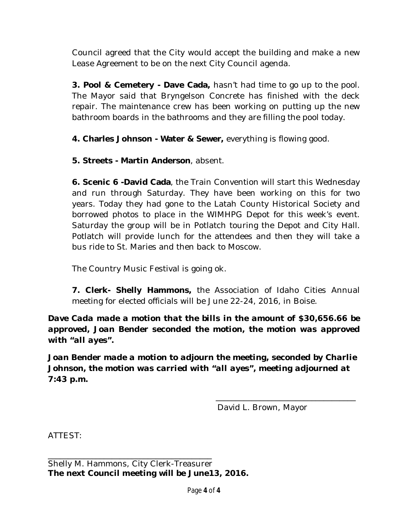Council agreed that the City would accept the building and make a new Lease Agreement to be on the next City Council agenda.

**3. Pool & Cemetery - Dave Cada,** hasn't had time to go up to the pool. The Mayor said that Bryngelson Concrete has finished with the deck repair. The maintenance crew has been working on putting up the new bathroom boards in the bathrooms and they are filling the pool today.

**4. Charles Johnson - Water & Sewer,** everything is flowing good.

**5. Streets - Martin Anderson**, absent.

**6. Scenic 6 -David Cada**, the Train Convention will start this Wednesday and run through Saturday. They have been working on this for two years. Today they had gone to the Latah County Historical Society and borrowed photos to place in the WIMHPG Depot for this week's event. Saturday the group will be in Potlatch touring the Depot and City Hall. Potlatch will provide lunch for the attendees and then they will take a bus ride to St. Maries and then back to Moscow.

The Country Music Festival is going ok.

**7. Clerk- Shelly Hammons,** the Association of Idaho Cities Annual meeting for elected officials will be June 22-24, 2016, in Boise.

*Dave Cada made a motion that the bills in the amount of \$30,656.66 be approved, Joan Bender seconded the motion, the motion was approved with "all ayes".* 

*Joan Bender made a motion to adjourn the meeting, seconded by Charlie Johnson, the motion was carried with "all ayes", meeting adjourned at 7:43 p.m.*

David L. Brown, Mayor

\_\_\_\_\_\_\_\_\_\_\_\_\_\_\_\_\_\_\_\_\_\_\_\_\_\_\_\_\_\_\_\_\_\_\_

ATTEST: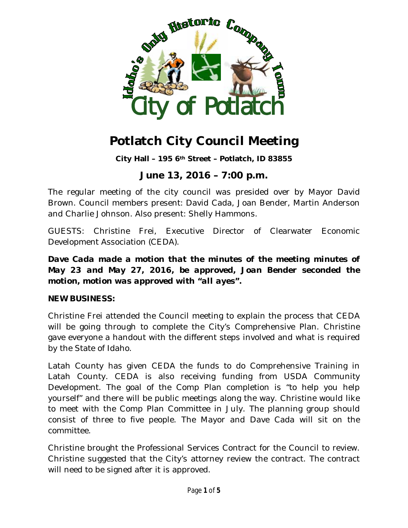

**City Hall – 195 6th Street – Potlatch, ID 83855**

## **June 13, 2016 – 7:00 p.m.**

The regular meeting of the city council was presided over by Mayor David Brown. Council members present: David Cada, Joan Bender, Martin Anderson and Charlie Johnson. Also present: Shelly Hammons.

GUESTS: Christine Frei, Executive Director of Clearwater Economic Development Association (CEDA).

*Dave Cada made a motion that the minutes of the meeting minutes of May 23 and May 27, 2016, be approved, Joan Bender seconded the motion, motion was approved with "all ayes".*

#### **NEW BUSINESS:**

Christine Frei attended the Council meeting to explain the process that CEDA will be going through to complete the City's Comprehensive Plan. Christine gave everyone a handout with the different steps involved and what is required by the State of Idaho.

Latah County has given CEDA the funds to do Comprehensive Training in Latah County. CEDA is also receiving funding from USDA Community Development. The goal of the Comp Plan completion is "to help you help yourself" and there will be public meetings along the way. Christine would like to meet with the Comp Plan Committee in July. The planning group should consist of three to five people. The Mayor and Dave Cada will sit on the committee.

Christine brought the Professional Services Contract for the Council to review. Christine suggested that the City's attorney review the contract. The contract will need to be signed after it is approved.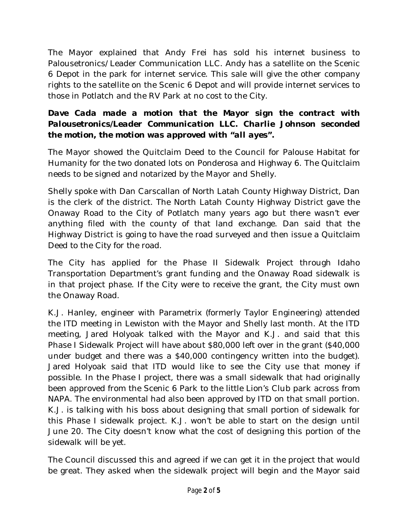The Mayor explained that Andy Frei has sold his internet business to Palousetronics/Leader Communication LLC. Andy has a satellite on the Scenic 6 Depot in the park for internet service. This sale will give the other company rights to the satellite on the Scenic 6 Depot and will provide internet services to those in Potlatch and the RV Park at no cost to the City.

#### *Dave Cada made a motion that the Mayor sign the contract with Palousetronics/Leader Communication LLC. Charlie Johnson seconded the motion, the motion was approved with "all ayes".*

The Mayor showed the Quitclaim Deed to the Council for Palouse Habitat for Humanity for the two donated lots on Ponderosa and Highway 6. The Quitclaim needs to be signed and notarized by the Mayor and Shelly.

Shelly spoke with Dan Carscallan of North Latah County Highway District, Dan is the clerk of the district. The North Latah County Highway District gave the Onaway Road to the City of Potlatch many years ago but there wasn't ever anything filed with the county of that land exchange. Dan said that the Highway District is going to have the road surveyed and then issue a Quitclaim Deed to the City for the road.

The City has applied for the Phase II Sidewalk Project through Idaho Transportation Department's grant funding and the Onaway Road sidewalk is in that project phase. If the City were to receive the grant, the City must own the Onaway Road.

K.J. Hanley, engineer with Parametrix (formerly Taylor Engineering) attended the ITD meeting in Lewiston with the Mayor and Shelly last month. At the ITD meeting, Jared Holyoak talked with the Mayor and K.J. and said that this Phase I Sidewalk Project will have about \$80,000 left over in the grant (\$40,000 under budget and there was a \$40,000 contingency written into the budget). Jared Holyoak said that ITD would like to see the City use that money if possible. In the Phase I project, there was a small sidewalk that had originally been approved from the Scenic 6 Park to the little Lion's Club park across from NAPA. The environmental had also been approved by ITD on that small portion. K.J. is talking with his boss about designing that small portion of sidewalk for this Phase I sidewalk project. K.J. won't be able to start on the design until June 20. The City doesn't know what the cost of designing this portion of the sidewalk will be yet.

The Council discussed this and agreed if we can get it in the project that would be great. They asked when the sidewalk project will begin and the Mayor said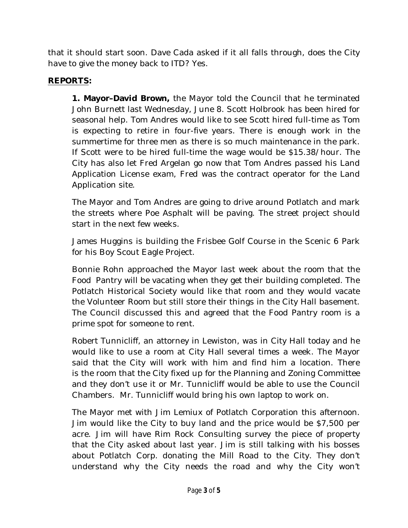that it should start soon. Dave Cada asked if it all falls through, does the City have to give the money back to ITD? Yes.

#### **REPORTS:**

 **1. Mayor–David Brown,** the Mayor told the Council that he terminated John Burnett last Wednesday, June 8. Scott Holbrook has been hired for seasonal help. Tom Andres would like to see Scott hired full-time as Tom is expecting to retire in four-five years. There is enough work in the summertime for three men as there is so much maintenance in the park. If Scott were to be hired full-time the wage would be \$15.38/hour. The City has also let Fred Argelan go now that Tom Andres passed his Land Application License exam, Fred was the contract operator for the Land Application site.

The Mayor and Tom Andres are going to drive around Potlatch and mark the streets where Poe Asphalt will be paving. The street project should start in the next few weeks.

James Huggins is building the Frisbee Golf Course in the Scenic 6 Park for his Boy Scout Eagle Project.

Bonnie Rohn approached the Mayor last week about the room that the Food Pantry will be vacating when they get their building completed. The Potlatch Historical Society would like that room and they would vacate the Volunteer Room but still store their things in the City Hall basement. The Council discussed this and agreed that the Food Pantry room is a prime spot for someone to rent.

Robert Tunnicliff, an attorney in Lewiston, was in City Hall today and he would like to use a room at City Hall several times a week. The Mayor said that the City will work with him and find him a location. There is the room that the City fixed up for the Planning and Zoning Committee and they don't use it or Mr. Tunnicliff would be able to use the Council Chambers. Mr. Tunnicliff would bring his own laptop to work on.

The Mayor met with Jim Lemiux of Potlatch Corporation this afternoon. Jim would like the City to buy land and the price would be \$7,500 per acre. Jim will have Rim Rock Consulting survey the piece of property that the City asked about last year. Jim is still talking with his bosses about Potlatch Corp. donating the Mill Road to the City. They don't understand why the City needs the road and why the City won't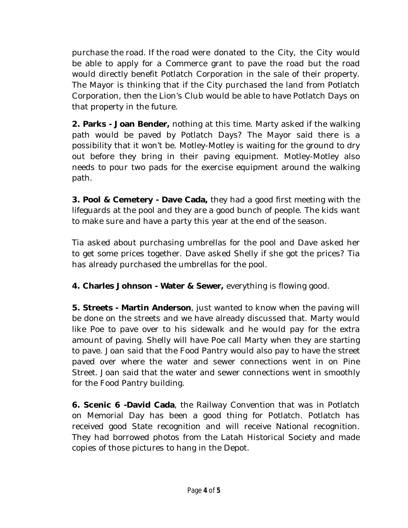purchase the road. If the road were donated to the City, the City would be able to apply for a Commerce grant to pave the road but the road would directly benefit Potlatch Corporation in the sale of their property. The Mayor is thinking that if the City purchased the land from Potlatch Corporation, then the Lion's Club would be able to have Potlatch Days on that property in the future.

**2. Parks - Joan Bender,** nothing at this time. Marty asked if the walking path would be paved by Potlatch Days? The Mayor said there is a possibility that it won't be. Motley-Motley is waiting for the ground to dry out before they bring in their paving equipment. Motley-Motley also needs to pour two pads for the exercise equipment around the walking path.

**3. Pool & Cemetery - Dave Cada,** they had a good first meeting with the lifeguards at the pool and they are a good bunch of people. The kids want to make sure and have a party this year at the end of the season.

Tia asked about purchasing umbrellas for the pool and Dave asked her to get some prices together. Dave asked Shelly if she got the prices? Tia has already purchased the umbrellas for the pool.

**4. Charles Johnson - Water & Sewer,** everything is flowing good.

**5. Streets - Martin Anderson**, just wanted to know when the paving will be done on the streets and we have already discussed that. Marty would like Poe to pave over to his sidewalk and he would pay for the extra amount of paving. Shelly will have Poe call Marty when they are starting to pave. Joan said that the Food Pantry would also pay to have the street paved over where the water and sewer connections went in on Pine Street. Joan said that the water and sewer connections went in smoothly for the Food Pantry building.

**6. Scenic 6 -David Cada**, the Railway Convention that was in Potlatch on Memorial Day has been a good thing for Potlatch. Potlatch has received good State recognition and will receive National recognition. They had borrowed photos from the Latah Historical Society and made copies of those pictures to hang in the Depot.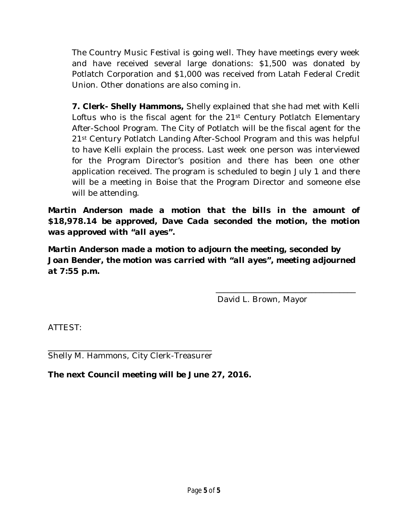The Country Music Festival is going well. They have meetings every week and have received several large donations: \$1,500 was donated by Potlatch Corporation and \$1,000 was received from Latah Federal Credit Union. Other donations are also coming in.

**7. Clerk- Shelly Hammons,** Shelly explained that she had met with Kelli Loftus who is the fiscal agent for the  $21<sup>st</sup>$  Century Potlatch Elementary After-School Program. The City of Potlatch will be the fiscal agent for the 21st Century Potlatch Landing After-School Program and this was helpful to have Kelli explain the process. Last week one person was interviewed for the Program Director's position and there has been one other application received. The program is scheduled to begin July 1 and there will be a meeting in Boise that the Program Director and someone else will be attending.

*Martin Anderson made a motion that the bills in the amount of \$18,978.14 be approved, Dave Cada seconded the motion, the motion was approved with "all ayes".* 

*Martin Anderson made a motion to adjourn the meeting, seconded by Joan Bender, the motion was carried with "all ayes", meeting adjourned at 7:55 p.m.*

David L. Brown, Mayor

\_\_\_\_\_\_\_\_\_\_\_\_\_\_\_\_\_\_\_\_\_\_\_\_\_\_\_\_\_\_\_\_\_\_\_

ATTEST:

\_\_\_\_\_\_\_\_\_\_\_\_\_\_\_\_\_\_\_\_\_\_\_\_\_\_\_\_\_\_\_\_\_\_\_\_\_\_\_\_\_ Shelly M. Hammons, City Clerk-Treasurer

**The next Council meeting will be June 27, 2016.**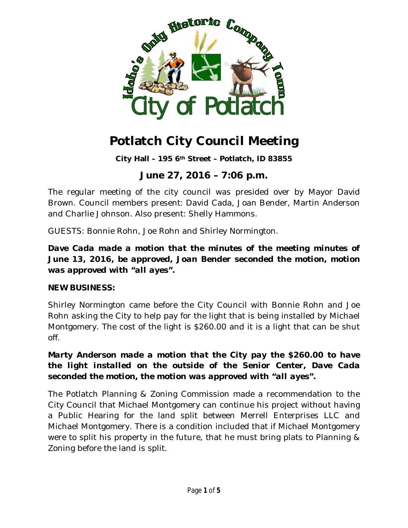

**City Hall – 195 6th Street – Potlatch, ID 83855**

### **June 27, 2016 – 7:06 p.m.**

The regular meeting of the city council was presided over by Mayor David Brown. Council members present: David Cada, Joan Bender, Martin Anderson and Charlie Johnson. Also present: Shelly Hammons.

GUESTS: Bonnie Rohn, Joe Rohn and Shirley Normington.

#### *Dave Cada made a motion that the minutes of the meeting minutes of June 13, 2016, be approved, Joan Bender seconded the motion, motion was approved with "all ayes".*

#### **NEW BUSINESS:**

Shirley Normington came before the City Council with Bonnie Rohn and Joe Rohn asking the City to help pay for the light that is being installed by Michael Montgomery. The cost of the light is \$260.00 and it is a light that can be shut off.

### *Marty Anderson made a motion that the City pay the \$260.00 to have the light installed on the outside of the Senior Center, Dave Cada seconded the motion, the motion was approved with "all ayes".*

The Potlatch Planning & Zoning Commission made a recommendation to the City Council that Michael Montgomery can continue his project without having a Public Hearing for the land split between Merrell Enterprises LLC and Michael Montgomery. There is a condition included that if Michael Montgomery were to split his property in the future, that he must bring plats to Planning & Zoning before the land is split.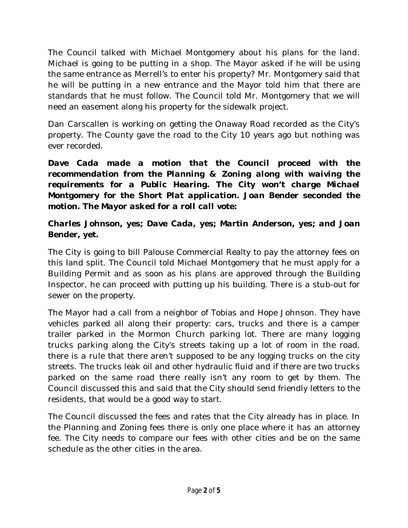The Council talked with Michael Montgomery about his plans for the land. Michael is going to be putting in a shop. The Mayor asked if he will be using the same entrance as Merrell's to enter his property? Mr. Montgomery said that he will be putting in a new entrance and the Mayor told him that there are standards that he must follow. The Council told Mr. Montgomery that we will need an easement along his property for the sidewalk project.

Dan Carscallen is working on getting the Onaway Road recorded as the City's property. The County gave the road to the City 10 years ago but nothing was ever recorded.

*Dave Cada made a motion that the Council proceed with the recommendation from the Planning & Zoning along with waiving the requirements for a Public Hearing. The City won't charge Michael Montgomery for the Short Plat application. Joan Bender seconded the motion. The Mayor asked for a roll call vote:*

### *Charles Johnson, yes; Dave Cada, yes; Martin Anderson, yes; and Joan Bender, yet.*

The City is going to bill Palouse Commercial Realty to pay the attorney fees on this land split. The Council told Michael Montgomery that he must apply for a Building Permit and as soon as his plans are approved through the Building Inspector, he can proceed with putting up his building. There is a stub-out for sewer on the property.

The Mayor had a call from a neighbor of Tobias and Hope Johnson. They have vehicles parked all along their property: cars, trucks and there is a camper trailer parked in the Mormon Church parking lot. There are many logging trucks parking along the City's streets taking up a lot of room in the road, there is a rule that there aren't supposed to be any logging trucks on the city streets. The trucks leak oil and other hydraulic fluid and if there are two trucks parked on the same road there really isn't any room to get by them. The Council discussed this and said that the City should send friendly letters to the residents, that would be a good way to start.

The Council discussed the fees and rates that the City already has in place. In the Planning and Zoning fees there is only one place where it has an attorney fee. The City needs to compare our fees with other cities and be on the same schedule as the other cities in the area.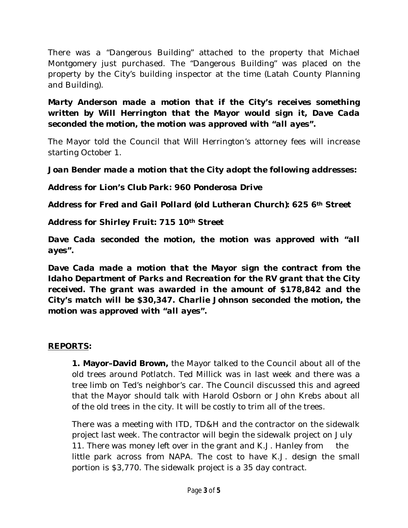There was a "Dangerous Building" attached to the property that Michael Montgomery just purchased. The "Dangerous Building" was placed on the property by the City's building inspector at the time (Latah County Planning and Building).

*Marty Anderson made a motion that if the City's receives something written by Will Herrington that the Mayor would sign it, Dave Cada seconded the motion, the motion was approved with "all ayes".*

The Mayor told the Council that Will Herrington's attorney fees will increase starting October 1.

*Joan Bender made a motion that the City adopt the following addresses:*

*Address for Lion's Club Park: 960 Ponderosa Drive*

*Address for Fred and Gail Pollard (old Lutheran Church): 625 6th Street*

*Address for Shirley Fruit: 715 10th Street*

*Dave Cada seconded the motion, the motion was approved with "all ayes".*

*Dave Cada made a motion that the Mayor sign the contract from the Idaho Department of Parks and Recreation for the RV grant that the City received. The grant was awarded in the amount of \$178,842 and the City's match will be \$30,347. Charlie Johnson seconded the motion, the motion was approved with "all ayes".*

### **REPORTS:**

 **1. Mayor–David Brown,** the Mayor talked to the Council about all of the old trees around Potlatch. Ted Millick was in last week and there was a tree limb on Ted's neighbor's car. The Council discussed this and agreed that the Mayor should talk with Harold Osborn or John Krebs about all of the old trees in the city. It will be costly to trim all of the trees.

There was a meeting with ITD, TD&H and the contractor on the sidewalk project last week. The contractor will begin the sidewalk project on July 11. There was money left over in the grant and K.J. Hanley from the little park across from NAPA. The cost to have K.J. design the small portion is \$3,770. The sidewalk project is a 35 day contract.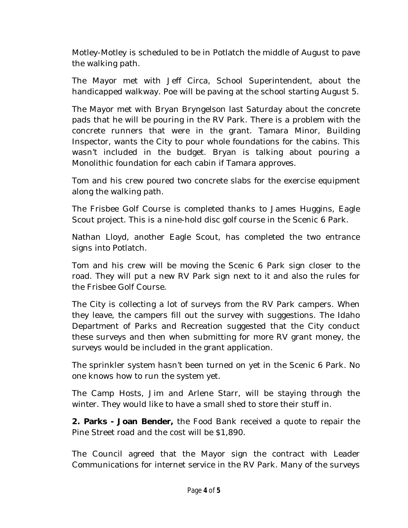Motley-Motley is scheduled to be in Potlatch the middle of August to pave the walking path.

The Mayor met with Jeff Circa, School Superintendent, about the handicapped walkway. Poe will be paving at the school starting August 5.

The Mayor met with Bryan Bryngelson last Saturday about the concrete pads that he will be pouring in the RV Park. There is a problem with the concrete runners that were in the grant. Tamara Minor, Building Inspector, wants the City to pour whole foundations for the cabins. This wasn't included in the budget. Bryan is talking about pouring a Monolithic foundation for each cabin if Tamara approves.

Tom and his crew poured two concrete slabs for the exercise equipment along the walking path.

The Frisbee Golf Course is completed thanks to James Huggins, Eagle Scout project. This is a nine-hold disc golf course in the Scenic 6 Park.

Nathan Lloyd, another Eagle Scout, has completed the two entrance signs into Potlatch.

Tom and his crew will be moving the Scenic 6 Park sign closer to the road. They will put a new RV Park sign next to it and also the rules for the Frisbee Golf Course.

The City is collecting a lot of surveys from the RV Park campers. When they leave, the campers fill out the survey with suggestions. The Idaho Department of Parks and Recreation suggested that the City conduct these surveys and then when submitting for more RV grant money, the surveys would be included in the grant application.

The sprinkler system hasn't been turned on yet in the Scenic 6 Park. No one knows how to run the system yet.

The Camp Hosts, Jim and Arlene Starr, will be staying through the winter. They would like to have a small shed to store their stuff in.

**2. Parks - Joan Bender,** the Food Bank received a quote to repair the Pine Street road and the cost will be \$1,890.

The Council agreed that the Mayor sign the contract with Leader Communications for internet service in the RV Park. Many of the surveys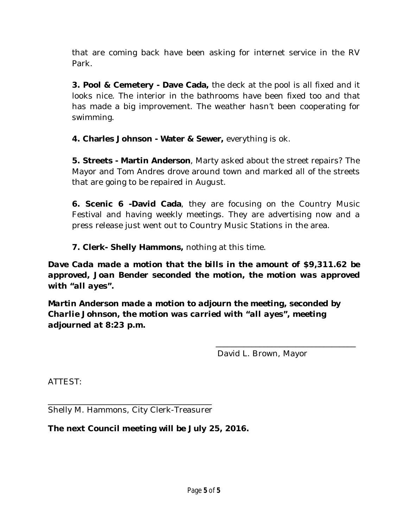that are coming back have been asking for internet service in the RV Park.

**3. Pool & Cemetery - Dave Cada,** the deck at the pool is all fixed and it looks nice. The interior in the bathrooms have been fixed too and that has made a big improvement. The weather hasn't been cooperating for swimming.

**4. Charles Johnson - Water & Sewer,** everything is ok.

**5. Streets - Martin Anderson**, Marty asked about the street repairs? The Mayor and Tom Andres drove around town and marked all of the streets that are going to be repaired in August.

**6. Scenic 6 -David Cada**, they are focusing on the Country Music Festival and having weekly meetings. They are advertising now and a press release just went out to Country Music Stations in the area.

**7. Clerk- Shelly Hammons,** nothing at this time.

*Dave Cada made a motion that the bills in the amount of \$9,311.62 be approved, Joan Bender seconded the motion, the motion was approved with "all ayes".* 

*Martin Anderson made a motion to adjourn the meeting, seconded by Charlie Johnson, the motion was carried with "all ayes", meeting adjourned at 8:23 p.m.*

David L. Brown, Mayor

\_\_\_\_\_\_\_\_\_\_\_\_\_\_\_\_\_\_\_\_\_\_\_\_\_\_\_\_\_\_\_\_\_\_\_

ATTEST:

\_\_\_\_\_\_\_\_\_\_\_\_\_\_\_\_\_\_\_\_\_\_\_\_\_\_\_\_\_\_\_\_\_\_\_\_\_\_\_\_\_ Shelly M. Hammons, City Clerk-Treasurer

**The next Council meeting will be July 25, 2016.**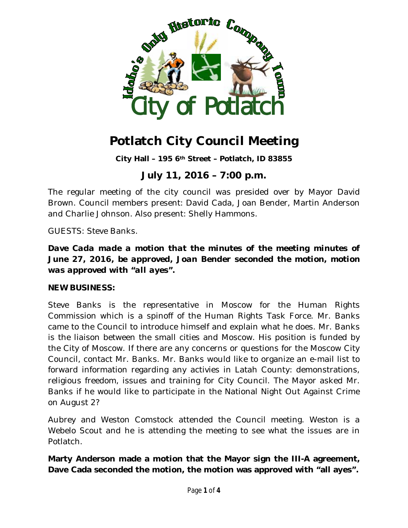

**City Hall – 195 6th Street – Potlatch, ID 83855**

## **July 11, 2016 – 7:00 p.m.**

The regular meeting of the city council was presided over by Mayor David Brown. Council members present: David Cada, Joan Bender, Martin Anderson and Charlie Johnson. Also present: Shelly Hammons.

GUESTS: Steve Banks.

*Dave Cada made a motion that the minutes of the meeting minutes of June 27, 2016, be approved, Joan Bender seconded the motion, motion was approved with "all ayes".*

#### **NEW BUSINESS:**

Steve Banks is the representative in Moscow for the Human Rights Commission which is a spinoff of the Human Rights Task Force. Mr. Banks came to the Council to introduce himself and explain what he does. Mr. Banks is the liaison between the small cities and Moscow. His position is funded by the City of Moscow. If there are any concerns or questions for the Moscow City Council, contact Mr. Banks. Mr. Banks would like to organize an e-mail list to forward information regarding any activies in Latah County: demonstrations, religious freedom, issues and training for City Council. The Mayor asked Mr. Banks if he would like to participate in the National Night Out Against Crime on August 2?

Aubrey and Weston Comstock attended the Council meeting. Weston is a Webelo Scout and he is attending the meeting to see what the issues are in Potlatch.

**Marty Anderson made a motion that the Mayor sign the III-A agreement, Dave Cada seconded the motion, the motion was approved with "all ayes".**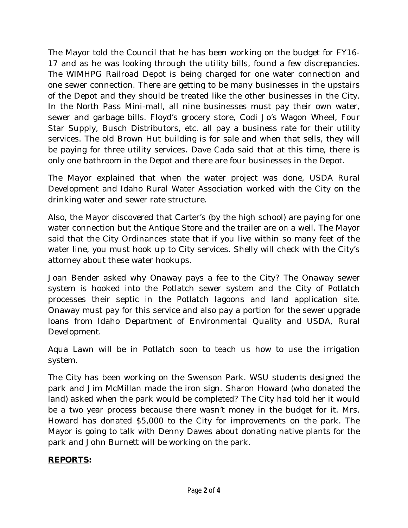The Mayor told the Council that he has been working on the budget for FY16- 17 and as he was looking through the utility bills, found a few discrepancies. The WIMHPG Railroad Depot is being charged for one water connection and one sewer connection. There are getting to be many businesses in the upstairs of the Depot and they should be treated like the other businesses in the City. In the North Pass Mini-mall, all nine businesses must pay their own water, sewer and garbage bills. Floyd's grocery store, Codi Jo's Wagon Wheel, Four Star Supply, Busch Distributors, etc. all pay a business rate for their utility services. The old Brown Hut building is for sale and when that sells, they will be paying for three utility services. Dave Cada said that at this time, there is only one bathroom in the Depot and there are four businesses in the Depot.

The Mayor explained that when the water project was done, USDA Rural Development and Idaho Rural Water Association worked with the City on the drinking water and sewer rate structure.

Also, the Mayor discovered that Carter's (by the high school) are paying for one water connection but the Antique Store and the trailer are on a well. The Mayor said that the City Ordinances state that if you live within so many feet of the water line, you must hook up to City services. Shelly will check with the City's attorney about these water hookups.

Joan Bender asked why Onaway pays a fee to the City? The Onaway sewer system is hooked into the Potlatch sewer system and the City of Potlatch processes their septic in the Potlatch lagoons and land application site. Onaway must pay for this service and also pay a portion for the sewer upgrade loans from Idaho Department of Environmental Quality and USDA, Rural Development.

Aqua Lawn will be in Potlatch soon to teach us how to use the irrigation system.

The City has been working on the Swenson Park. WSU students designed the park and Jim McMillan made the iron sign. Sharon Howard (who donated the land) asked when the park would be completed? The City had told her it would be a two year process because there wasn't money in the budget for it. Mrs. Howard has donated \$5,000 to the City for improvements on the park. The Mayor is going to talk with Denny Dawes about donating native plants for the park and John Burnett will be working on the park.

#### **REPORTS:**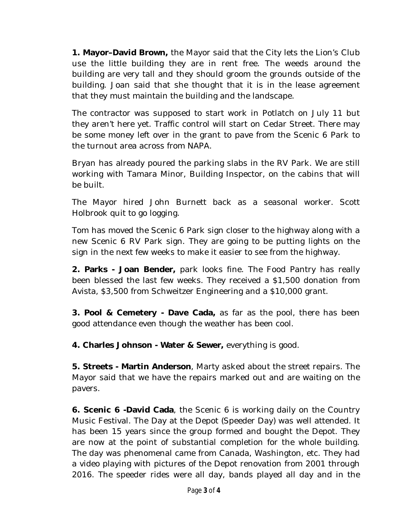**1. Mayor–David Brown,** the Mayor said that the City lets the Lion's Club use the little building they are in rent free. The weeds around the building are very tall and they should groom the grounds outside of the building. Joan said that she thought that it is in the lease agreement that they must maintain the building and the landscape.

The contractor was supposed to start work in Potlatch on July 11 but they aren't here yet. Traffic control will start on Cedar Street. There may be some money left over in the grant to pave from the Scenic 6 Park to the turnout area across from NAPA.

Bryan has already poured the parking slabs in the RV Park. We are still working with Tamara Minor, Building Inspector, on the cabins that will be built.

The Mayor hired John Burnett back as a seasonal worker. Scott Holbrook quit to go logging.

Tom has moved the Scenic 6 Park sign closer to the highway along with a new Scenic 6 RV Park sign. They are going to be putting lights on the sign in the next few weeks to make it easier to see from the highway.

**2. Parks - Joan Bender,** park looks fine. The Food Pantry has really been blessed the last few weeks. They received a \$1,500 donation from Avista, \$3,500 from Schweitzer Engineering and a \$10,000 grant.

**3. Pool & Cemetery - Dave Cada,** as far as the pool, there has been good attendance even though the weather has been cool.

**4. Charles Johnson - Water & Sewer,** everything is good.

**5. Streets - Martin Anderson**, Marty asked about the street repairs. The Mayor said that we have the repairs marked out and are waiting on the pavers.

**6. Scenic 6 -David Cada**, the Scenic 6 is working daily on the Country Music Festival. The Day at the Depot (Speeder Day) was well attended. It has been 15 years since the group formed and bought the Depot. They are now at the point of substantial completion for the whole building. The day was phenomenal came from Canada, Washington, etc. They had a video playing with pictures of the Depot renovation from 2001 through 2016. The speeder rides were all day, bands played all day and in the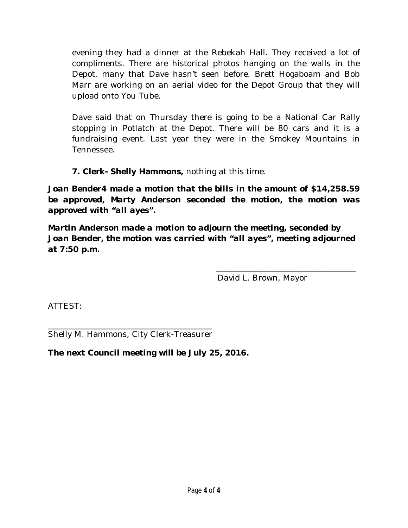evening they had a dinner at the Rebekah Hall. They received a lot of compliments. There are historical photos hanging on the walls in the Depot, many that Dave hasn't seen before. Brett Hogaboam and Bob Marr are working on an aerial video for the Depot Group that they will upload onto You Tube.

Dave said that on Thursday there is going to be a National Car Rally stopping in Potlatch at the Depot. There will be 80 cars and it is a fundraising event. Last year they were in the Smokey Mountains in Tennessee.

**7. Clerk- Shelly Hammons,** nothing at this time.

*Joan Bender4 made a motion that the bills in the amount of \$14,258.59 be approved, Marty Anderson seconded the motion, the motion was approved with "all ayes".* 

*Martin Anderson made a motion to adjourn the meeting, seconded by Joan Bender, the motion was carried with "all ayes", meeting adjourned at 7:50 p.m.*

David L. Brown, Mayor

\_\_\_\_\_\_\_\_\_\_\_\_\_\_\_\_\_\_\_\_\_\_\_\_\_\_\_\_\_\_\_\_\_\_\_

ATTEST:

\_\_\_\_\_\_\_\_\_\_\_\_\_\_\_\_\_\_\_\_\_\_\_\_\_\_\_\_\_\_\_\_\_\_\_\_\_\_\_\_\_ Shelly M. Hammons, City Clerk-Treasurer

**The next Council meeting will be July 25, 2016.**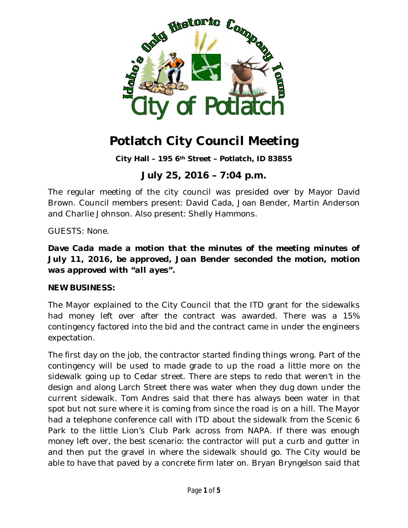

**City Hall – 195 6th Street – Potlatch, ID 83855**

## **July 25, 2016 – 7:04 p.m.**

The regular meeting of the city council was presided over by Mayor David Brown. Council members present: David Cada, Joan Bender, Martin Anderson and Charlie Johnson. Also present: Shelly Hammons.

GUESTS: None.

*Dave Cada made a motion that the minutes of the meeting minutes of July 11, 2016, be approved, Joan Bender seconded the motion, motion was approved with "all ayes".*

#### **NEW BUSINESS:**

The Mayor explained to the City Council that the ITD grant for the sidewalks had money left over after the contract was awarded. There was a 15% contingency factored into the bid and the contract came in under the engineers expectation.

The first day on the job, the contractor started finding things wrong. Part of the contingency will be used to made grade to up the road a little more on the sidewalk going up to Cedar street. There are steps to redo that weren't in the design and along Larch Street there was water when they dug down under the current sidewalk. Tom Andres said that there has always been water in that spot but not sure where it is coming from since the road is on a hill. The Mayor had a telephone conference call with ITD about the sidewalk from the Scenic 6 Park to the little Lion's Club Park across from NAPA. If there was enough money left over, the best scenario: the contractor will put a curb and gutter in and then put the gravel in where the sidewalk should go. The City would be able to have that paved by a concrete firm later on. Bryan Bryngelson said that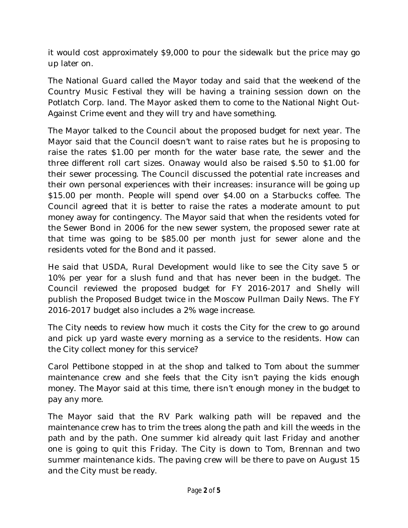it would cost approximately \$9,000 to pour the sidewalk but the price may go up later on.

The National Guard called the Mayor today and said that the weekend of the Country Music Festival they will be having a training session down on the Potlatch Corp. land. The Mayor asked them to come to the National Night Out-Against Crime event and they will try and have something.

The Mayor talked to the Council about the proposed budget for next year. The Mayor said that the Council doesn't want to raise rates but he is proposing to raise the rates \$1.00 per month for the water base rate, the sewer and the three different roll cart sizes. Onaway would also be raised \$.50 to \$1.00 for their sewer processing. The Council discussed the potential rate increases and their own personal experiences with their increases: insurance will be going up \$15.00 per month. People will spend over \$4.00 on a Starbucks coffee. The Council agreed that it is better to raise the rates a moderate amount to put money away for contingency. The Mayor said that when the residents voted for the Sewer Bond in 2006 for the new sewer system, the proposed sewer rate at that time was going to be \$85.00 per month just for sewer alone and the residents voted for the Bond and it passed.

He said that USDA, Rural Development would like to see the City save 5 or 10% per year for a slush fund and that has never been in the budget. The Council reviewed the proposed budget for FY 2016-2017 and Shelly will publish the Proposed Budget twice in the Moscow Pullman Daily News. The FY 2016-2017 budget also includes a 2% wage increase.

The City needs to review how much it costs the City for the crew to go around and pick up yard waste every morning as a service to the residents. How can the City collect money for this service?

Carol Pettibone stopped in at the shop and talked to Tom about the summer maintenance crew and she feels that the City isn't paying the kids enough money. The Mayor said at this time, there isn't enough money in the budget to pay any more.

The Mayor said that the RV Park walking path will be repaved and the maintenance crew has to trim the trees along the path and kill the weeds in the path and by the path. One summer kid already quit last Friday and another one is going to quit this Friday. The City is down to Tom, Brennan and two summer maintenance kids. The paving crew will be there to pave on August 15 and the City must be ready.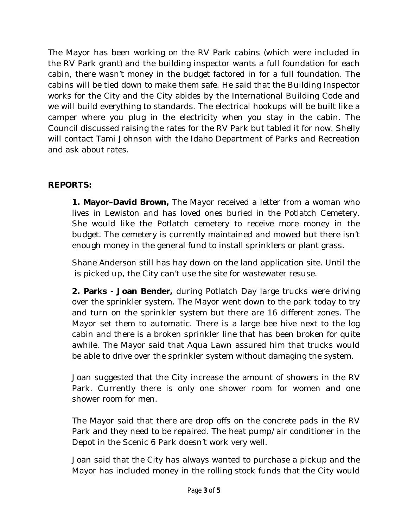The Mayor has been working on the RV Park cabins (which were included in the RV Park grant) and the building inspector wants a full foundation for each cabin, there wasn't money in the budget factored in for a full foundation. The cabins will be tied down to make them safe. He said that the Building Inspector works for the City and the City abides by the International Building Code and we will build everything to standards. The electrical hookups will be built like a camper where you plug in the electricity when you stay in the cabin. The Council discussed raising the rates for the RV Park but tabled it for now. Shelly will contact Tami Johnson with the Idaho Department of Parks and Recreation and ask about rates.

#### **REPORTS:**

 **1. Mayor–David Brown,** The Mayor received a letter from a woman who lives in Lewiston and has loved ones buried in the Potlatch Cemetery. She would like the Potlatch cemetery to receive more money in the budget. The cemetery is currently maintained and mowed but there isn't enough money in the general fund to install sprinklers or plant grass.

Shane Anderson still has hay down on the land application site. Until the is picked up, the City can't use the site for wastewater resuse.

**2. Parks - Joan Bender,** during Potlatch Day large trucks were driving over the sprinkler system. The Mayor went down to the park today to try and turn on the sprinkler system but there are 16 different zones. The Mayor set them to automatic. There is a large bee hive next to the log cabin and there is a broken sprinkler line that has been broken for quite awhile. The Mayor said that Aqua Lawn assured him that trucks would be able to drive over the sprinkler system without damaging the system.

Joan suggested that the City increase the amount of showers in the RV Park. Currently there is only one shower room for women and one shower room for men.

The Mayor said that there are drop offs on the concrete pads in the RV Park and they need to be repaired. The heat pump/air conditioner in the Depot in the Scenic 6 Park doesn't work very well.

Joan said that the City has always wanted to purchase a pickup and the Mayor has included money in the rolling stock funds that the City would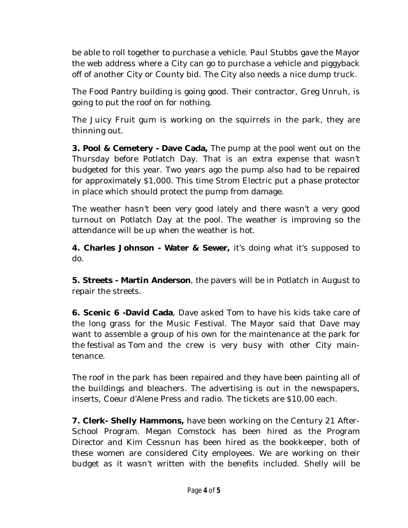be able to roll together to purchase a vehicle. Paul Stubbs gave the Mayor the web address where a City can go to purchase a vehicle and piggyback off of another City or County bid. The City also needs a nice dump truck.

The Food Pantry building is going good. Their contractor, Greg Unruh, is going to put the roof on for nothing.

The Juicy Fruit gum is working on the squirrels in the park, they are thinning out.

**3. Pool & Cemetery - Dave Cada,** The pump at the pool went out on the Thursday before Potlatch Day. That is an extra expense that wasn't budgeted for this year. Two years ago the pump also had to be repaired for approximately \$1,000. This time Strom Electric put a phase protector in place which should protect the pump from damage.

The weather hasn't been very good lately and there wasn't a very good turnout on Potlatch Day at the pool. The weather is improving so the attendance will be up when the weather is hot.

**4. Charles Johnson - Water & Sewer,** it's doing what it's supposed to do.

**5. Streets - Martin Anderson**, the pavers will be in Potlatch in August to repair the streets.

**6. Scenic 6 -David Cada**, Dave asked Tom to have his kids take care of the long grass for the Music Festival. The Mayor said that Dave may want to assemble a group of his own for the maintenance at the park for the festival as Tom and the crew is very busy with other City maintenance.

The roof in the park has been repaired and they have been painting all of the buildings and bleachers. The advertising is out in the newspapers, inserts, Coeur d'Alene Press and radio. The tickets are \$10.00 each.

**7. Clerk- Shelly Hammons,** have been working on the Century 21 After-School Program. Megan Comstock has been hired as the Program Director and Kim Cessnun has been hired as the bookkeeper, both of these women are considered City employees. We are working on their budget as it wasn't written with the benefits included. Shelly will be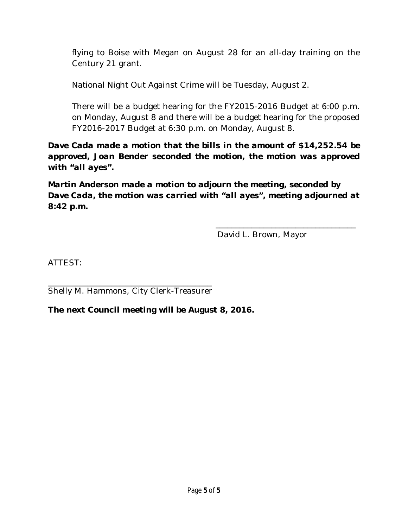flying to Boise with Megan on August 28 for an all-day training on the Century 21 grant.

National Night Out Against Crime will be Tuesday, August 2.

There will be a budget hearing for the FY2015-2016 Budget at 6:00 p.m. on Monday, August 8 and there will be a budget hearing for the proposed FY2016-2017 Budget at 6:30 p.m. on Monday, August 8.

*Dave Cada made a motion that the bills in the amount of \$14,252.54 be approved, Joan Bender seconded the motion, the motion was approved with "all ayes".* 

*Martin Anderson made a motion to adjourn the meeting, seconded by Dave Cada, the motion was carried with "all ayes", meeting adjourned at 8:42 p.m.*

David L. Brown, Mayor

\_\_\_\_\_\_\_\_\_\_\_\_\_\_\_\_\_\_\_\_\_\_\_\_\_\_\_\_\_\_\_\_\_\_\_

ATTEST:

\_\_\_\_\_\_\_\_\_\_\_\_\_\_\_\_\_\_\_\_\_\_\_\_\_\_\_\_\_\_\_\_\_\_\_\_\_\_\_\_\_ Shelly M. Hammons, City Clerk-Treasurer

**The next Council meeting will be August 8, 2016.**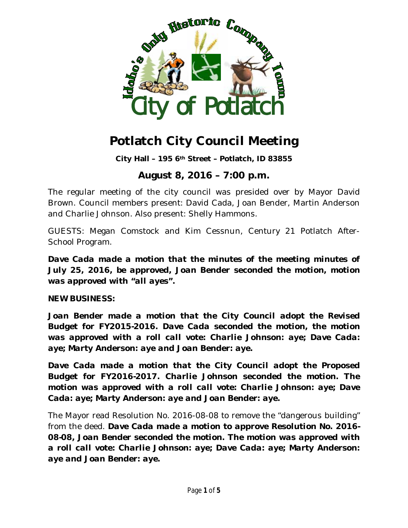

**City Hall – 195 6th Street – Potlatch, ID 83855**

### **August 8, 2016 – 7:00 p.m.**

The regular meeting of the city council was presided over by Mayor David Brown. Council members present: David Cada, Joan Bender, Martin Anderson and Charlie Johnson. Also present: Shelly Hammons.

GUESTS: Megan Comstock and Kim Cessnun, Century 21 Potlatch After-School Program.

*Dave Cada made a motion that the minutes of the meeting minutes of July 25, 2016, be approved, Joan Bender seconded the motion, motion was approved with "all ayes".*

**NEW BUSINESS:**

*Joan Bender made a motion that the City Council adopt the Revised Budget for FY2015-2016. Dave Cada seconded the motion, the motion was approved with a roll call vote: Charlie Johnson: aye; Dave Cada: aye; Marty Anderson: aye and Joan Bender: aye.*

*Dave Cada made a motion that the City Council adopt the Proposed Budget for FY2016-2017. Charlie Johnson seconded the motion. The motion was approved with a roll call vote: Charlie Johnson: aye; Dave Cada: aye; Marty Anderson: aye and Joan Bender: aye.*

The Mayor read Resolution No. 2016-08-08 to remove the "dangerous building" from the deed. *Dave Cada made a motion to approve Resolution No. 2016- 08-08, Joan Bender seconded the motion. The motion was approved with a roll call vote: Charlie Johnson: aye; Dave Cada: aye; Marty Anderson: aye and Joan Bender: aye.*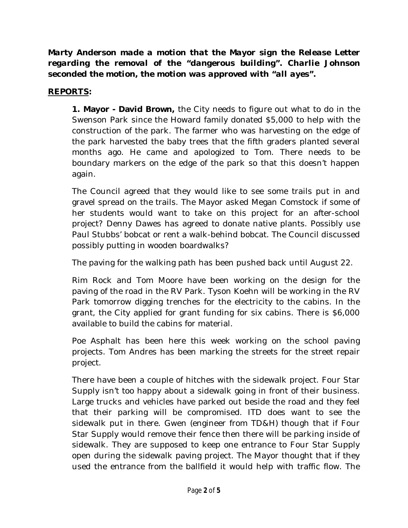*Marty Anderson made a motion that the Mayor sign the Release Letter regarding the removal of the "dangerous building". Charlie Johnson seconded the motion, the motion was approved with "all ayes".*

### **REPORTS:**

 **1. Mayor - David Brown,** the City needs to figure out what to do in the Swenson Park since the Howard family donated \$5,000 to help with the construction of the park. The farmer who was harvesting on the edge of the park harvested the baby trees that the fifth graders planted several months ago. He came and apologized to Tom. There needs to be boundary markers on the edge of the park so that this doesn't happen again.

The Council agreed that they would like to see some trails put in and gravel spread on the trails. The Mayor asked Megan Comstock if some of her students would want to take on this project for an after-school project? Denny Dawes has agreed to donate native plants. Possibly use Paul Stubbs' bobcat or rent a walk-behind bobcat. The Council discussed possibly putting in wooden boardwalks?

The paving for the walking path has been pushed back until August 22.

Rim Rock and Tom Moore have been working on the design for the paving of the road in the RV Park. Tyson Koehn will be working in the RV Park tomorrow digging trenches for the electricity to the cabins. In the grant, the City applied for grant funding for six cabins. There is \$6,000 available to build the cabins for material.

Poe Asphalt has been here this week working on the school paving projects. Tom Andres has been marking the streets for the street repair project.

There have been a couple of hitches with the sidewalk project. Four Star Supply isn't too happy about a sidewalk going in front of their business. Large trucks and vehicles have parked out beside the road and they feel that their parking will be compromised. ITD does want to see the sidewalk put in there. Gwen (engineer from TD&H) though that if Four Star Supply would remove their fence then there will be parking inside of sidewalk. They are supposed to keep one entrance to Four Star Supply open during the sidewalk paving project. The Mayor thought that if they used the entrance from the ballfield it would help with traffic flow. The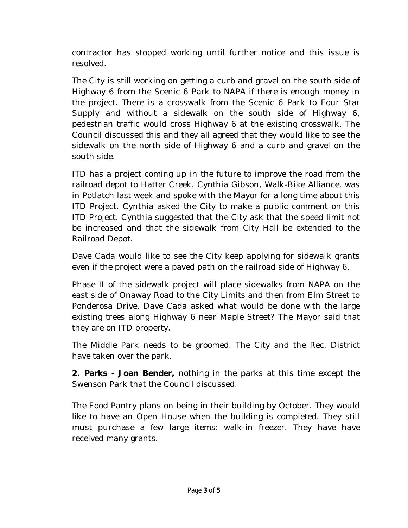contractor has stopped working until further notice and this issue is resolved.

The City is still working on getting a curb and gravel on the south side of Highway 6 from the Scenic 6 Park to NAPA if there is enough money in the project. There is a crosswalk from the Scenic 6 Park to Four Star Supply and without a sidewalk on the south side of Highway 6, pedestrian traffic would cross Highway 6 at the existing crosswalk. The Council discussed this and they all agreed that they would like to see the sidewalk on the north side of Highway 6 and a curb and gravel on the south side.

ITD has a project coming up in the future to improve the road from the railroad depot to Hatter Creek. Cynthia Gibson, Walk-Bike Alliance, was in Potlatch last week and spoke with the Mayor for a long time about this ITD Project. Cynthia asked the City to make a public comment on this ITD Project. Cynthia suggested that the City ask that the speed limit not be increased and that the sidewalk from City Hall be extended to the Railroad Depot.

Dave Cada would like to see the City keep applying for sidewalk grants even if the project were a paved path on the railroad side of Highway 6.

Phase II of the sidewalk project will place sidewalks from NAPA on the east side of Onaway Road to the City Limits and then from Elm Street to Ponderosa Drive. Dave Cada asked what would be done with the large existing trees along Highway 6 near Maple Street? The Mayor said that they are on ITD property.

The Middle Park needs to be groomed. The City and the Rec. District have taken over the park.

**2. Parks - Joan Bender,** nothing in the parks at this time except the Swenson Park that the Council discussed.

The Food Pantry plans on being in their building by October. They would like to have an Open House when the building is completed. They still must purchase a few large items: walk-in freezer. They have have received many grants.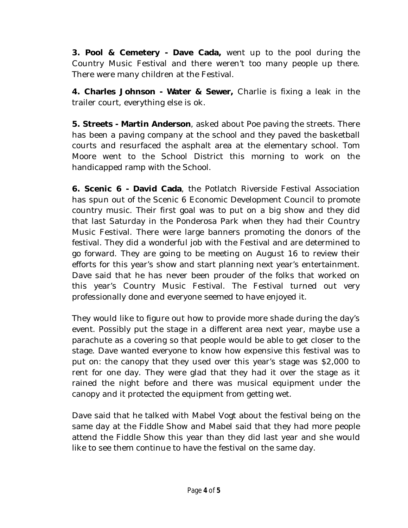**3. Pool & Cemetery - Dave Cada,** went up to the pool during the Country Music Festival and there weren't too many people up there. There were many children at the Festival.

**4. Charles Johnson - Water & Sewer,** Charlie is fixing a leak in the trailer court, everything else is ok.

**5. Streets - Martin Anderson**, asked about Poe paving the streets. There has been a paving company at the school and they paved the basketball courts and resurfaced the asphalt area at the elementary school. Tom Moore went to the School District this morning to work on the handicapped ramp with the School.

**6. Scenic 6 - David Cada**, the Potlatch Riverside Festival Association has spun out of the Scenic 6 Economic Development Council to promote country music. Their first goal was to put on a big show and they did that last Saturday in the Ponderosa Park when they had their Country Music Festival. There were large banners promoting the donors of the festival. They did a wonderful job with the Festival and are determined to go forward. They are going to be meeting on August 16 to review their efforts for this year's show and start planning next year's entertainment. Dave said that he has never been prouder of the folks that worked on this year's Country Music Festival. The Festival turned out very professionally done and everyone seemed to have enjoyed it.

They would like to figure out how to provide more shade during the day's event. Possibly put the stage in a different area next year, maybe use a parachute as a covering so that people would be able to get closer to the stage. Dave wanted everyone to know how expensive this festival was to put on: the canopy that they used over this year's stage was \$2,000 to rent for one day. They were glad that they had it over the stage as it rained the night before and there was musical equipment under the canopy and it protected the equipment from getting wet.

Dave said that he talked with Mabel Vogt about the festival being on the same day at the Fiddle Show and Mabel said that they had more people attend the Fiddle Show this year than they did last year and she would like to see them continue to have the festival on the same day.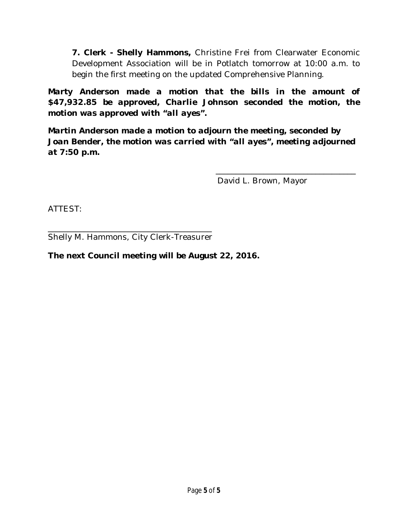**7. Clerk - Shelly Hammons,** Christine Frei from Clearwater Economic Development Association will be in Potlatch tomorrow at 10:00 a.m. to begin the first meeting on the updated Comprehensive Planning.

*Marty Anderson made a motion that the bills in the amount of \$47,932.85 be approved, Charlie Johnson seconded the motion, the motion was approved with "all ayes".* 

*Martin Anderson made a motion to adjourn the meeting, seconded by Joan Bender, the motion was carried with "all ayes", meeting adjourned at 7:50 p.m.*

David L. Brown, Mayor

\_\_\_\_\_\_\_\_\_\_\_\_\_\_\_\_\_\_\_\_\_\_\_\_\_\_\_\_\_\_\_\_\_\_\_

ATTEST:

\_\_\_\_\_\_\_\_\_\_\_\_\_\_\_\_\_\_\_\_\_\_\_\_\_\_\_\_\_\_\_\_\_\_\_\_\_\_\_\_\_ Shelly M. Hammons, City Clerk-Treasurer

#### **The next Council meeting will be August 22, 2016.**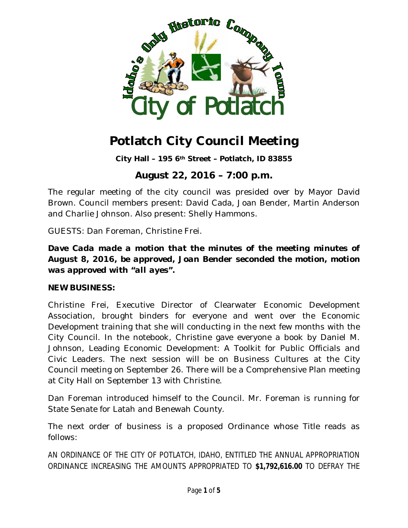

**City Hall – 195 6th Street – Potlatch, ID 83855**

## **August 22, 2016 – 7:00 p.m.**

The regular meeting of the city council was presided over by Mayor David Brown. Council members present: David Cada, Joan Bender, Martin Anderson and Charlie Johnson. Also present: Shelly Hammons.

GUESTS: Dan Foreman, Christine Frei.

#### *Dave Cada made a motion that the minutes of the meeting minutes of August 8, 2016, be approved, Joan Bender seconded the motion, motion was approved with "all ayes".*

#### **NEW BUSINESS:**

Christine Frei, Executive Director of Clearwater Economic Development Association, brought binders for everyone and went over the Economic Development training that she will conducting in the next few months with the City Council. In the notebook, Christine gave everyone a book by Daniel M. Johnson, Leading Economic Development: A Toolkit for Public Officials and Civic Leaders. The next session will be on Business Cultures at the City Council meeting on September 26. There will be a Comprehensive Plan meeting at City Hall on September 13 with Christine.

Dan Foreman introduced himself to the Council. Mr. Foreman is running for State Senate for Latah and Benewah County.

The next order of business is a proposed Ordinance whose Title reads as follows:

AN ORDINANCE OF THE CITY OF POTLATCH, IDAHO, ENTITLED THE ANNUAL APPROPRIATION ORDINANCE INCREASING THE AMOUNTS APPROPRIATED TO **\$1,792,616.00** TO DEFRAY THE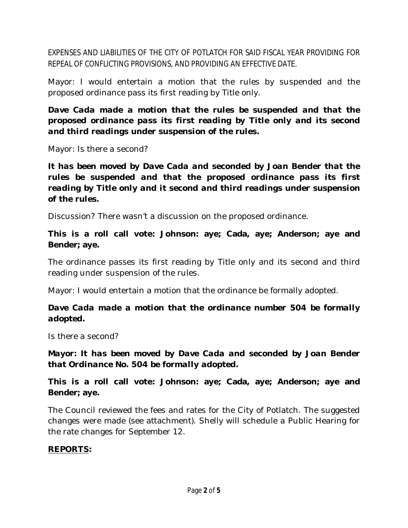EXPENSES AND LIABILITIES OF THE CITY OF POTLATCH FOR SAID FISCAL YEAR PROVIDING FOR REPEAL OF CONFLICTING PROVISIONS, AND PROVIDING AN EFFECTIVE DATE.

Mayor: I would entertain a motion that the rules by suspended and the proposed ordinance pass its first reading by Title only.

#### *Dave Cada made a motion that the rules be suspended and that the proposed ordinance pass its first reading by Title only and its second and third readings under suspension of the rules.*

Mayor: Is there a second?

## *It has been moved by Dave Cada and seconded by Joan Bender that the rules be suspended and that the proposed ordinance pass its first reading by Title only and it second and third readings under suspension of the rules.*

Discussion? There wasn't a discussion on the proposed ordinance.

### **This is a roll call vote: Johnson: aye; Cada, aye; Anderson; aye and Bender; aye.**

The ordinance passes its first reading by Title only and its second and third reading under suspension of the rules.

Mayor: I would entertain a motion that the ordinance be formally adopted.

## *Dave Cada made a motion that the ordinance number 504 be formally adopted.*

Is there a second?

*Mayor: It has been moved by Dave Cada and seconded by Joan Bender that Ordinance No. 504 be formally adopted.*

**This is a roll call vote: Johnson: aye; Cada, aye; Anderson; aye and Bender; aye.**

The Council reviewed the fees and rates for the City of Potlatch. The suggested changes were made (see attachment). Shelly will schedule a Public Hearing for the rate changes for September 12.

#### **REPORTS:**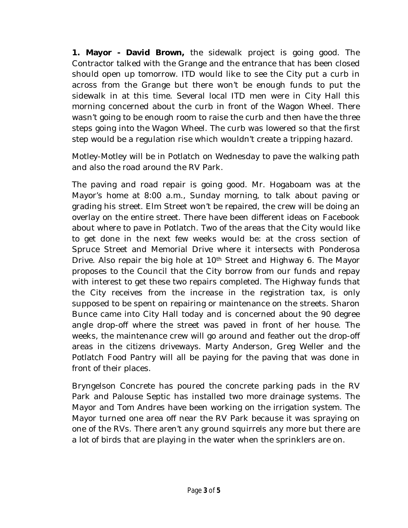**1. Mayor - David Brown,** the sidewalk project is going good. The Contractor talked with the Grange and the entrance that has been closed should open up tomorrow. ITD would like to see the City put a curb in across from the Grange but there won't be enough funds to put the sidewalk in at this time. Several local ITD men were in City Hall this morning concerned about the curb in front of the Wagon Wheel. There wasn't going to be enough room to raise the curb and then have the three steps going into the Wagon Wheel. The curb was lowered so that the first step would be a regulation rise which wouldn't create a tripping hazard.

Motley-Motley will be in Potlatch on Wednesday to pave the walking path and also the road around the RV Park.

The paving and road repair is going good. Mr. Hogaboam was at the Mayor's home at 8:00 a.m., Sunday morning, to talk about paving or grading his street. Elm Street won't be repaired, the crew will be doing an overlay on the entire street. There have been different ideas on Facebook about where to pave in Potlatch. Two of the areas that the City would like to get done in the next few weeks would be: at the cross section of Spruce Street and Memorial Drive where it intersects with Ponderosa Drive. Also repair the big hole at  $10<sup>th</sup>$  Street and Highway 6. The Mayor proposes to the Council that the City borrow from our funds and repay with interest to get these two repairs completed. The Highway funds that the City receives from the increase in the registration tax, is only supposed to be spent on repairing or maintenance on the streets. Sharon Bunce came into City Hall today and is concerned about the 90 degree angle drop-off where the street was paved in front of her house. The weeks, the maintenance crew will go around and feather out the drop-off areas in the citizens driveways. Marty Anderson, Greg Weller and the Potlatch Food Pantry will all be paying for the paving that was done in front of their places.

Bryngelson Concrete has poured the concrete parking pads in the RV Park and Palouse Septic has installed two more drainage systems. The Mayor and Tom Andres have been working on the irrigation system. The Mayor turned one area off near the RV Park because it was spraying on one of the RVs. There aren't any ground squirrels any more but there are a lot of birds that are playing in the water when the sprinklers are on.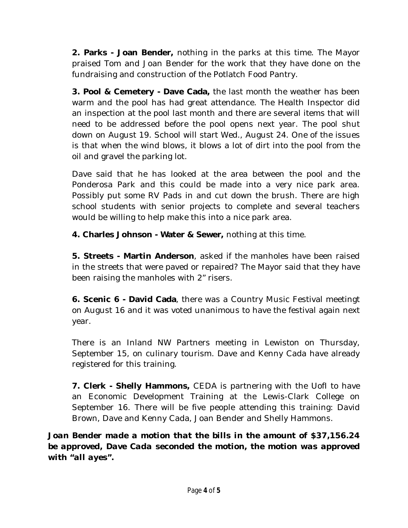**2. Parks - Joan Bender,** nothing in the parks at this time. The Mayor praised Tom and Joan Bender for the work that they have done on the fundraising and construction of the Potlatch Food Pantry.

**3. Pool & Cemetery - Dave Cada,** the last month the weather has been warm and the pool has had great attendance. The Health Inspector did an inspection at the pool last month and there are several items that will need to be addressed before the pool opens next year. The pool shut down on August 19. School will start Wed., August 24. One of the issues is that when the wind blows, it blows a lot of dirt into the pool from the oil and gravel the parking lot.

Dave said that he has looked at the area between the pool and the Ponderosa Park and this could be made into a very nice park area. Possibly put some RV Pads in and cut down the brush. There are high school students with senior projects to complete and several teachers would be willing to help make this into a nice park area.

**4. Charles Johnson - Water & Sewer,** nothing at this time.

**5. Streets - Martin Anderson**, asked if the manholes have been raised in the streets that were paved or repaired? The Mayor said that they have been raising the manholes with 2" risers.

**6. Scenic 6 - David Cada**, there was a Country Music Festival meetingt on August 16 and it was voted unanimous to have the festival again next year.

There is an Inland NW Partners meeting in Lewiston on Thursday, September 15, on culinary tourism. Dave and Kenny Cada have already registered for this training.

**7. Clerk - Shelly Hammons,** CEDA is partnering with the UofI to have an Economic Development Training at the Lewis-Clark College on September 16. There will be five people attending this training: David Brown, Dave and Kenny Cada, Joan Bender and Shelly Hammons.

*Joan Bender made a motion that the bills in the amount of \$37,156.24 be approved, Dave Cada seconded the motion, the motion was approved with "all ayes".*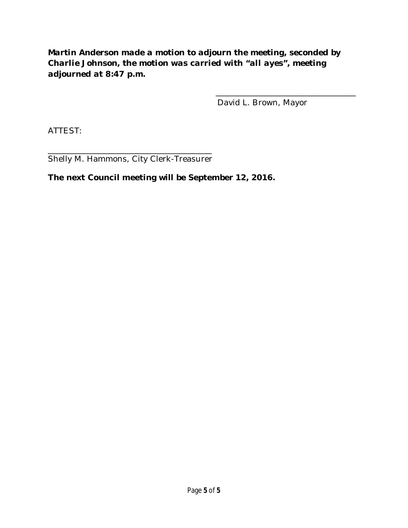### *Martin Anderson made a motion to adjourn the meeting, seconded by Charlie Johnson, the motion was carried with "all ayes", meeting adjourned at 8:47 p.m.*

David L. Brown, Mayor

\_\_\_\_\_\_\_\_\_\_\_\_\_\_\_\_\_\_\_\_\_\_\_\_\_\_\_\_\_\_\_\_\_\_\_

ATTEST:

\_\_\_\_\_\_\_\_\_\_\_\_\_\_\_\_\_\_\_\_\_\_\_\_\_\_\_\_\_\_\_\_\_\_\_\_\_\_\_\_\_ Shelly M. Hammons, City Clerk-Treasurer

#### **The next Council meeting will be September 12, 2016.**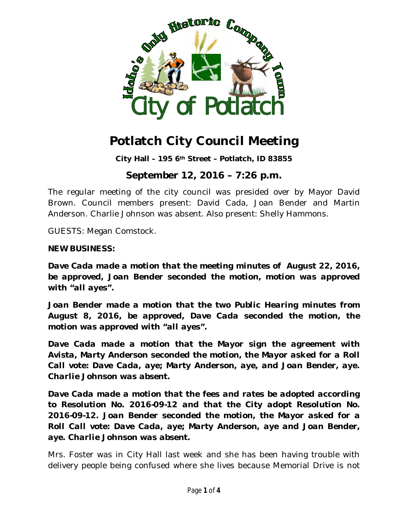

**City Hall – 195 6th Street – Potlatch, ID 83855**

## **September 12, 2016 – 7:26 p.m.**

The regular meeting of the city council was presided over by Mayor David Brown. Council members present: David Cada, Joan Bender and Martin Anderson. Charlie Johnson was absent. Also present: Shelly Hammons.

GUESTS: Megan Comstock.

#### **NEW BUSINESS:**

*Dave Cada made a motion that the meeting minutes of August 22, 2016, be approved, Joan Bender seconded the motion, motion was approved with "all ayes".*

*Joan Bender made a motion that the two Public Hearing minutes from August 8, 2016, be approved, Dave Cada seconded the motion, the motion was approved with "all ayes".*

*Dave Cada made a motion that the Mayor sign the agreement with Avista, Marty Anderson seconded the motion, the Mayor asked for a Roll Call vote: Dave Cada, aye; Marty Anderson, aye, and Joan Bender, aye. Charlie Johnson was absent.*

*Dave Cada made a motion that the fees and rates be adopted according to Resolution No. 2016-09-12 and that the City adopt Resolution No. 2016-09-12. Joan Bender seconded the motion, the Mayor asked for a Roll Call vote: Dave Cada, aye; Marty Anderson, aye and Joan Bender, aye. Charlie Johnson was absent.*

Mrs. Foster was in City Hall last week and she has been having trouble with delivery people being confused where she lives because Memorial Drive is not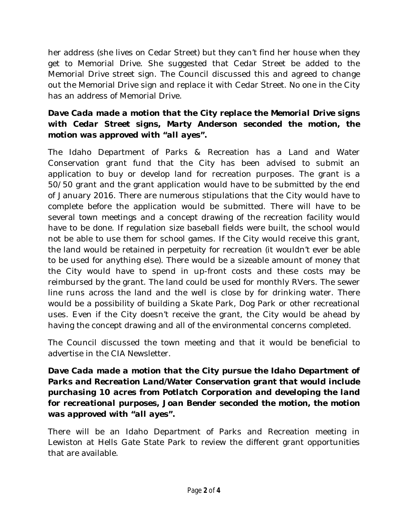her address (she lives on Cedar Street) but they can't find her house when they get to Memorial Drive. She suggested that Cedar Street be added to the Memorial Drive street sign. The Council discussed this and agreed to change out the Memorial Drive sign and replace it with Cedar Street. No one in the City has an address of Memorial Drive.

### *Dave Cada made a motion that the City replace the Memorial Drive signs with Cedar Street signs, Marty Anderson seconded the motion, the motion was approved with "all ayes".*

The Idaho Department of Parks & Recreation has a Land and Water Conservation grant fund that the City has been advised to submit an application to buy or develop land for recreation purposes. The grant is a 50/50 grant and the grant application would have to be submitted by the end of January 2016. There are numerous stipulations that the City would have to complete before the application would be submitted. There will have to be several town meetings and a concept drawing of the recreation facility would have to be done. If regulation size baseball fields were built, the school would not be able to use them for school games. If the City would receive this grant, the land would be retained *in perpetuity* for recreation (it wouldn't ever be able to be used for anything else). There would be a sizeable amount of money that the City would have to spend in up-front costs and these costs *may* be reimbursed by the grant. The land could be used for monthly RVers. The sewer line runs across the land and the well is close by for drinking water. There would be a possibility of building a Skate Park, Dog Park or other recreational uses. Even if the City doesn't receive the grant, the City would be ahead by having the concept drawing and all of the environmental concerns completed.

The Council discussed the town meeting and that it would be beneficial to advertise in the CIA Newsletter.

#### *Dave Cada made a motion that the City pursue the Idaho Department of Parks and Recreation Land/Water Conservation grant that would include purchasing 10 acres from Potlatch Corporation and developing the land for recreational purposes, Joan Bender seconded the motion, the motion was approved with "all ayes".*

There will be an Idaho Department of Parks and Recreation meeting in Lewiston at Hells Gate State Park to review the different grant opportunities that are available.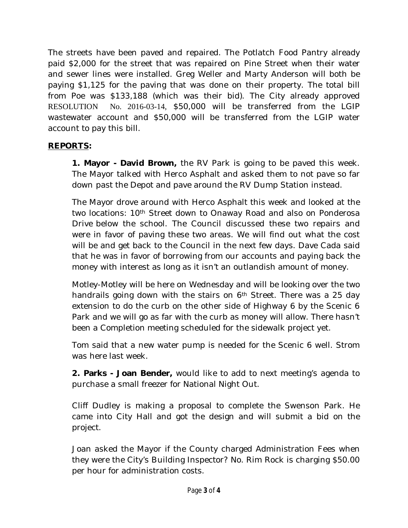The streets have been paved and repaired. The Potlatch Food Pantry already paid \$2,000 for the street that was repaired on Pine Street when their water and sewer lines were installed. Greg Weller and Marty Anderson will both be paying \$1,125 for the paving that was done on their property. The total bill from Poe was \$133,188 (which was their bid). The City already approved RESOLUTION No. 2016-03-14, \$50,000 will be transferred from the LGIP wastewater account and \$50,000 will be transferred from the LGIP water account to pay this bill.

### **REPORTS:**

 **1. Mayor - David Brown,** the RV Park is going to be paved this week. The Mayor talked with Herco Asphalt and asked them to not pave so far down past the Depot and pave around the RV Dump Station instead.

The Mayor drove around with Herco Asphalt this week and looked at the two locations: 10th Street down to Onaway Road and also on Ponderosa Drive below the school. The Council discussed these two repairs and were in favor of paving these two areas. We will find out what the cost will be and get back to the Council in the next few days. Dave Cada said that he was in favor of borrowing from our accounts and paying back the money with interest as long as it isn't an outlandish amount of money.

Motley-Motley will be here on Wednesday and will be looking over the two handrails going down with the stairs on 6<sup>th</sup> Street. There was a 25 day extension to do the curb on the other side of Highway 6 by the Scenic 6 Park and we will go as far with the curb as money will allow. There hasn't been a Completion meeting scheduled for the sidewalk project yet.

Tom said that a new water pump is needed for the Scenic 6 well. Strom was here last week.

**2. Parks - Joan Bender,** would like to add to next meeting's agenda to purchase a small freezer for National Night Out.

Cliff Dudley is making a proposal to complete the Swenson Park. He came into City Hall and got the design and will submit a bid on the project.

Joan asked the Mayor if the County charged Administration Fees when they were the City's Building Inspector? No. Rim Rock is charging \$50.00 per hour for administration costs.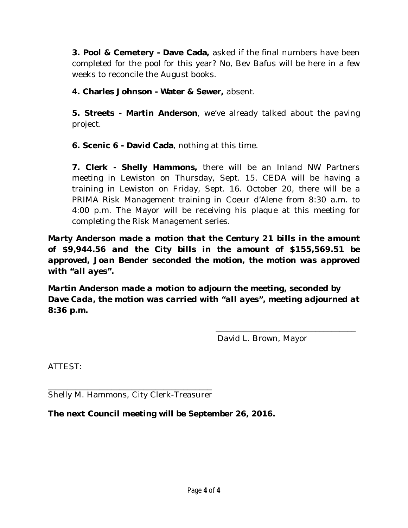**3. Pool & Cemetery - Dave Cada,** asked if the final numbers have been completed for the pool for this year? No, Bev Bafus will be here in a few weeks to reconcile the August books.

**4. Charles Johnson - Water & Sewer,** absent.

**5. Streets - Martin Anderson**, we've already talked about the paving project.

**6. Scenic 6 - David Cada**, nothing at this time.

**7. Clerk - Shelly Hammons,** there will be an Inland NW Partners meeting in Lewiston on Thursday, Sept. 15. CEDA will be having a training in Lewiston on Friday, Sept. 16. October 20, there will be a PRIMA Risk Management training in Coeur d'Alene from 8:30 a.m. to 4:00 p.m. The Mayor will be receiving his plaque at this meeting for completing the Risk Management series.

*Marty Anderson made a motion that the Century 21 bills in the amount of \$9,944.56 and the City bills in the amount of \$155,569.51 be approved, Joan Bender seconded the motion, the motion was approved with "all ayes".* 

*Martin Anderson made a motion to adjourn the meeting, seconded by Dave Cada, the motion was carried with "all ayes", meeting adjourned at 8:36 p.m.*

David L. Brown, Mayor

\_\_\_\_\_\_\_\_\_\_\_\_\_\_\_\_\_\_\_\_\_\_\_\_\_\_\_\_\_\_\_\_\_\_\_

ATTEST:

\_\_\_\_\_\_\_\_\_\_\_\_\_\_\_\_\_\_\_\_\_\_\_\_\_\_\_\_\_\_\_\_\_\_\_\_\_\_\_\_\_ Shelly M. Hammons, City Clerk-Treasurer

**The next Council meeting will be September 26, 2016.**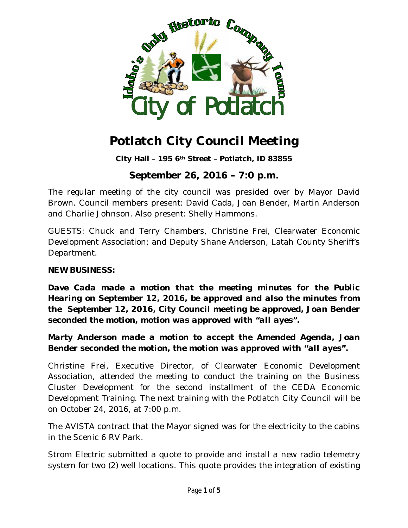

**City Hall – 195 6th Street – Potlatch, ID 83855**

# **September 26, 2016 – 7:0 p.m.**

The regular meeting of the city council was presided over by Mayor David Brown. Council members present: David Cada, Joan Bender, Martin Anderson and Charlie Johnson. Also present: Shelly Hammons.

GUESTS: Chuck and Terry Chambers, Christine Frei, Clearwater Economic Development Association; and Deputy Shane Anderson, Latah County Sheriff's Department.

#### **NEW BUSINESS:**

*Dave Cada made a motion that the meeting minutes for the Public Hearing on September 12, 2016, be approved and also the minutes from the September 12, 2016, City Council meeting be approved, Joan Bender seconded the motion, motion was approved with "all ayes".*

*Marty Anderson made a motion to accept the Amended Agenda, Joan Bender seconded the motion, the motion was approved with "all ayes".*

Christine Frei, Executive Director, of Clearwater Economic Development Association, attended the meeting to conduct the training on the Business Cluster Development for the second installment of the CEDA Economic Development Training. The next training with the Potlatch City Council will be on October 24, 2016, at 7:00 p.m.

The AVISTA contract that the Mayor signed was for the electricity to the cabins in the Scenic 6 RV Park.

Strom Electric submitted a quote to provide and install a new radio telemetry system for two (2) well locations. This quote provides the integration of existing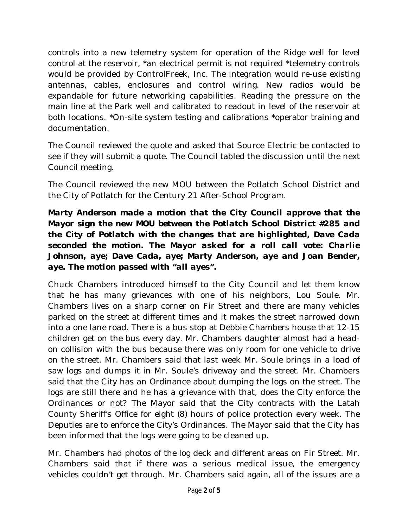controls into a new telemetry system for operation of the Ridge well for level control at the reservoir, \*an electrical permit is not required \*telemetry controls would be provided by ControlFreek, Inc. The integration would re-use existing antennas, cables, enclosures and control wiring. New radios would be expandable for future networking capabilities. Reading the pressure on the main line at the Park well and calibrated to readout in level of the reservoir at both locations. \*On-site system testing and calibrations \*operator training and documentation.

The Council reviewed the quote and asked that Source Electric be contacted to see if they will submit a quote. The Council tabled the discussion until the next Council meeting.

The Council reviewed the new MOU between the Potlatch School District and the City of Potlatch for the Century 21 After-School Program.

*Marty Anderson made a motion that the City Council approve that the Mayor sign the new MOU between the Potlatch School District #285 and the City of Potlatch with the changes that are highlighted, Dave Cada seconded the motion. The Mayor asked for a roll call vote: Charlie Johnson, aye; Dave Cada, aye; Marty Anderson, aye and Joan Bender, aye. The motion passed with "all ayes".*

Chuck Chambers introduced himself to the City Council and let them know that he has many grievances with one of his neighbors, Lou Soule. Mr. Chambers lives on a sharp corner on Fir Street and there are many vehicles parked on the street at different times and it makes the street narrowed down into a one lane road. There is a bus stop at Debbie Chambers house that 12-15 children get on the bus every day. Mr. Chambers daughter almost had a headon collision with the bus because there was only room for one vehicle to drive on the street. Mr. Chambers said that last week Mr. Soule brings in a load of saw logs and dumps it in Mr. Soule's driveway and the street. Mr. Chambers said that the City has an Ordinance about dumping the logs on the street. The logs are still there and he has a grievance with that, does the City enforce the Ordinances or not? The Mayor said that the City contracts with the Latah County Sheriff's Office for eight (8) hours of police protection every week. The Deputies are to enforce the City's Ordinances. The Mayor said that the City has been informed that the logs were going to be cleaned up.

Mr. Chambers had photos of the log deck and different areas on Fir Street. Mr. Chambers said that if there was a serious medical issue, the emergency vehicles couldn't get through. Mr. Chambers said again, all of the issues are a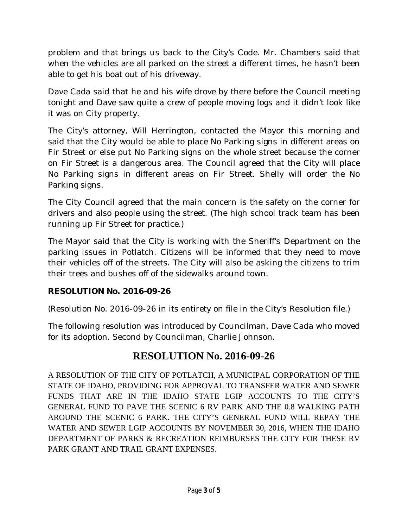problem and that brings us back to the City's Code. Mr. Chambers said that when the vehicles are all parked on the street a different times, he hasn't been able to get his boat out of his driveway.

Dave Cada said that he and his wife drove by there before the Council meeting tonight and Dave saw quite a crew of people moving logs and it didn't look like it was on City property.

The City's attorney, Will Herrington, contacted the Mayor this morning and said that the City would be able to place No Parking signs in different areas on Fir Street or else put No Parking signs on the whole street because the corner on Fir Street is a dangerous area. The Council agreed that the City will place No Parking signs in different areas on Fir Street. Shelly will order the No Parking signs.

The City Council agreed that the main concern is the safety on the corner for drivers and also people using the street. (The high school track team has been running up Fir Street for practice.)

The Mayor said that the City is working with the Sheriff's Department on the parking issues in Potlatch. Citizens will be informed that they need to move their vehicles off of the streets. The City will also be asking the citizens to trim their trees and bushes off of the sidewalks around town.

## **RESOLUTION No. 2016-09-26**

(Resolution No. 2016-09-26 in its entirety on file in the City's Resolution file.)

The following resolution was introduced by Councilman, Dave Cada who moved for its adoption. Second by Councilman, Charlie Johnson.

# **RESOLUTION No. 2016-09-26**

A RESOLUTION OF THE CITY OF POTLATCH, A MUNICIPAL CORPORATION OF THE STATE OF IDAHO, PROVIDING FOR APPROVAL TO TRANSFER WATER AND SEWER FUNDS THAT ARE IN THE IDAHO STATE LGIP ACCOUNTS TO THE CITY'S GENERAL FUND TO PAVE THE SCENIC 6 RV PARK AND THE 0.8 WALKING PATH AROUND THE SCENIC 6 PARK. THE CITY'S GENERAL FUND WILL REPAY THE WATER AND SEWER LGIP ACCOUNTS BY NOVEMBER 30, 2016, WHEN THE IDAHO DEPARTMENT OF PARKS & RECREATION REIMBURSES THE CITY FOR THESE RV PARK GRANT AND TRAIL GRANT EXPENSES.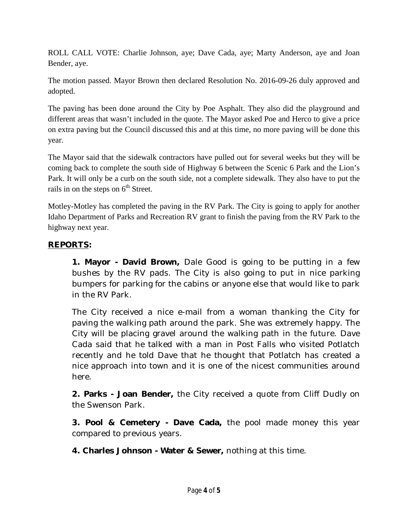ROLL CALL VOTE: Charlie Johnson, aye; Dave Cada, aye; Marty Anderson, aye and Joan Bender, aye.

The motion passed. Mayor Brown then declared Resolution No. 2016-09-26 duly approved and adopted.

The paving has been done around the City by Poe Asphalt. They also did the playground and different areas that wasn't included in the quote. The Mayor asked Poe and Herco to give a price on extra paving but the Council discussed this and at this time, no more paving will be done this year.

The Mayor said that the sidewalk contractors have pulled out for several weeks but they will be coming back to complete the south side of Highway 6 between the Scenic 6 Park and the Lion's Park. It will only be a curb on the south side, not a complete sidewalk. They also have to put the rails in on the steps on  $6<sup>th</sup>$  Street.

Motley-Motley has completed the paving in the RV Park. The City is going to apply for another Idaho Department of Parks and Recreation RV grant to finish the paving from the RV Park to the highway next year.

#### **REPORTS:**

 **1. Mayor - David Brown,** Dale Good is going to be putting in a few bushes by the RV pads. The City is also going to put in nice parking bumpers for parking for the cabins or anyone else that would like to park in the RV Park.

The City received a nice e-mail from a woman thanking the City for paving the walking path around the park. She was extremely happy. The City will be placing gravel around the walking path in the future. Dave Cada said that he talked with a man in Post Falls who visited Potlatch recently and he told Dave that he thought that Potlatch has created a nice approach into town and it is one of the nicest communities around here.

**2. Parks - Joan Bender,** the City received a quote from Cliff Dudly on the Swenson Park.

**3. Pool & Cemetery - Dave Cada,** the pool made money this year compared to previous years.

**4. Charles Johnson - Water & Sewer,** nothing at this time.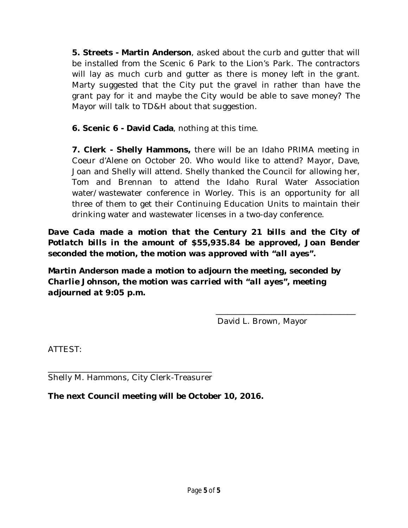**5. Streets - Martin Anderson**, asked about the curb and gutter that will be installed from the Scenic 6 Park to the Lion's Park. The contractors will lay as much curb and gutter as there is money left in the grant. Marty suggested that the City put the gravel in rather than have the grant pay for it and maybe the City would be able to save money? The Mayor will talk to TD&H about that suggestion.

**6. Scenic 6 - David Cada**, nothing at this time.

**7. Clerk - Shelly Hammons,** there will be an Idaho PRIMA meeting in Coeur d'Alene on October 20. Who would like to attend? Mayor, Dave, Joan and Shelly will attend. Shelly thanked the Council for allowing her, Tom and Brennan to attend the Idaho Rural Water Association water/wastewater conference in Worley. This is an opportunity for all three of them to get their Continuing Education Units to maintain their drinking water and wastewater licenses in a two-day conference.

*Dave Cada made a motion that the Century 21 bills and the City of Potlatch bills in the amount of \$55,935.84 be approved, Joan Bender seconded the motion, the motion was approved with "all ayes".* 

*Martin Anderson made a motion to adjourn the meeting, seconded by Charlie Johnson, the motion was carried with "all ayes", meeting adjourned at 9:05 p.m.*

David L. Brown, Mayor

\_\_\_\_\_\_\_\_\_\_\_\_\_\_\_\_\_\_\_\_\_\_\_\_\_\_\_\_\_\_\_\_\_\_\_

ATTEST:

\_\_\_\_\_\_\_\_\_\_\_\_\_\_\_\_\_\_\_\_\_\_\_\_\_\_\_\_\_\_\_\_\_\_\_\_\_\_\_\_\_ Shelly M. Hammons, City Clerk-Treasurer

**The next Council meeting will be October 10, 2016.**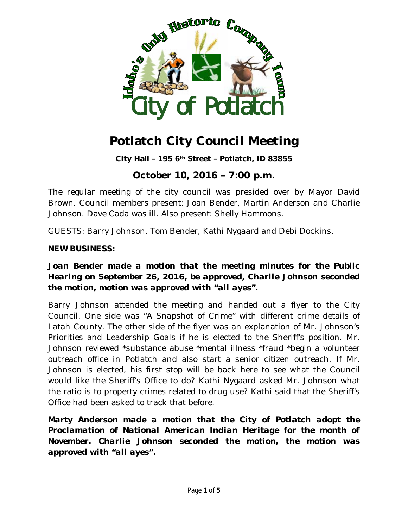

**City Hall – 195 6th Street – Potlatch, ID 83855**

# **October 10, 2016 – 7:00 p.m.**

The regular meeting of the city council was presided over by Mayor David Brown. Council members present: Joan Bender, Martin Anderson and Charlie Johnson. Dave Cada was ill. Also present: Shelly Hammons.

GUESTS: Barry Johnson, Tom Bender, Kathi Nygaard and Debi Dockins.

#### **NEW BUSINESS:**

#### *Joan Bender made a motion that the meeting minutes for the Public Hearing on September 26, 2016, be approved, Charlie Johnson seconded the motion, motion was approved with "all ayes".*

Barry Johnson attended the meeting and handed out a flyer to the City Council. One side was "A Snapshot of Crime" with different crime details of Latah County. The other side of the flyer was an explanation of Mr. Johnson's Priorities and Leadership Goals if he is elected to the Sheriff's position. Mr. Johnson reviewed \*substance abuse \*mental illness \*fraud \*begin a volunteer outreach office in Potlatch and also start a senior citizen outreach. If Mr. Johnson is elected, his first stop will be back here to see what the Council would like the Sheriff's Office to do? Kathi Nygaard asked Mr. Johnson what the ratio is to property crimes related to drug use? Kathi said that the Sheriff's Office had been asked to track that before.

*Marty Anderson made a motion that the City of Potlatch adopt the Proclamation of National American Indian Heritage for the month of November. Charlie Johnson seconded the motion, the motion was approved with "all ayes".*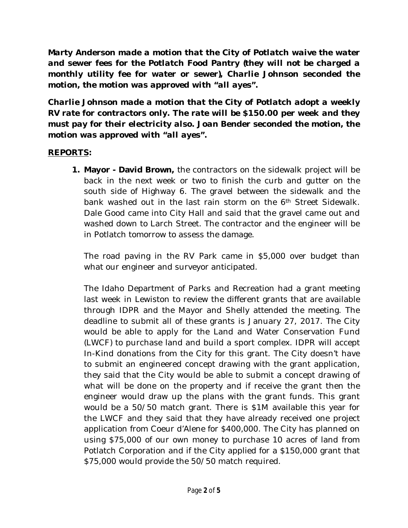*Marty Anderson made a motion that the City of Potlatch waive the water and sewer fees for the Potlatch Food Pantry (they will not be charged a monthly utility fee for water or sewer), Charlie Johnson seconded the motion, the motion was approved with "all ayes".*

*Charlie Johnson made a motion that the City of Potlatch adopt a weekly RV rate for contractors only. The rate will be \$150.00 per week and they must pay for their electricity also. Joan Bender seconded the motion, the motion was approved with "all ayes".*

#### **REPORTS:**

**1. Mayor - David Brown,** the contractors on the sidewalk project will be back in the next week or two to finish the curb and gutter on the south side of Highway 6. The gravel between the sidewalk and the bank washed out in the last rain storm on the 6th Street Sidewalk. Dale Good came into City Hall and said that the gravel came out and washed down to Larch Street. The contractor and the engineer will be in Potlatch tomorrow to assess the damage.

The road paving in the RV Park came in \$5,000 over budget than what our engineer and surveyor anticipated.

The Idaho Department of Parks and Recreation had a grant meeting last week in Lewiston to review the different grants that are available through IDPR and the Mayor and Shelly attended the meeting. The deadline to submit all of these grants is January 27, 2017. The City would be able to apply for the Land and Water Conservation Fund (LWCF) to purchase land and build a sport complex. IDPR will accept In-Kind donations from the City for this grant. The City doesn't have to submit an engineered concept drawing with the grant application, they said that the City would be able to submit a concept drawing of what will be done on the property and if receive the grant then the engineer would draw up the plans with the grant funds. This grant would be a 50/50 match grant. There is \$1M available this year for the LWCF and they said that they have already received one project application from Coeur d'Alene for \$400,000. The City has planned on using \$75,000 of our own money to purchase 10 acres of land from Potlatch Corporation and if the City applied for a \$150,000 grant that \$75,000 would provide the 50/50 match required.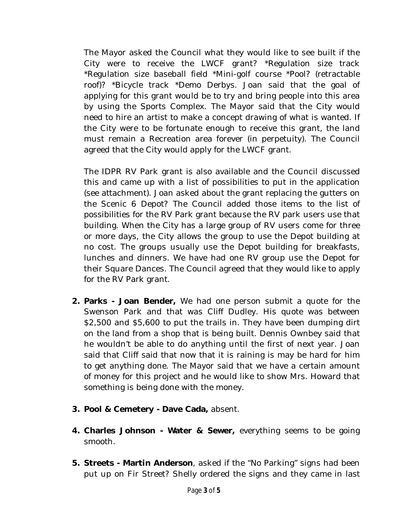The Mayor asked the Council what they would like to see built if the City were to receive the LWCF grant? \*Regulation size track \*Regulation size baseball field \*Mini-golf course \*Pool? (retractable roof)? \*Bicycle track \*Demo Derbys. Joan said that the goal of applying for this grant would be to try and bring people into this area by using the Sports Complex. The Mayor said that the City would need to hire an artist to make a concept drawing of what is wanted. If the City were to be fortunate enough to receive this grant, the land must remain a Recreation area forever (in perpetuity). The Council agreed that the City would apply for the LWCF grant.

The IDPR RV Park grant is also available and the Council discussed this and came up with a list of possibilities to put in the application (see attachment). Joan asked about the grant replacing the gutters on the Scenic 6 Depot? The Council added those items to the list of possibilities for the RV Park grant because the RV park users use that building. When the City has a large group of RV users come for three or more days, the City allows the group to use the Depot building at no cost. The groups usually use the Depot building for breakfasts, lunches and dinners. We have had one RV group use the Depot for their Square Dances. The Council agreed that they would like to apply for the RV Park grant.

- **2. Parks - Joan Bender,** We had one person submit a quote for the Swenson Park and that was Cliff Dudley. His quote was between \$2,500 and \$5,600 to put the trails in. They have been dumping dirt on the land from a shop that is being built. Dennis Ownbey said that he wouldn't be able to do anything until the first of next year. Joan said that Cliff said that now that it is raining is may be hard for him to get anything done. The Mayor said that we have a certain amount of money for this project and he would like to show Mrs. Howard that something is being done with the money.
- **3. Pool & Cemetery - Dave Cada,** absent.
- **4. Charles Johnson - Water & Sewer,** everything seems to be going smooth.
- **5. Streets - Martin Anderson**, asked if the "No Parking" signs had been put up on Fir Street? Shelly ordered the signs and they came in last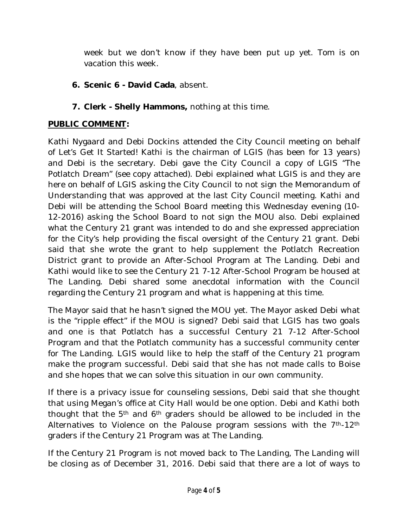week but we don't know if they have been put up yet. Tom is on vacation this week.

- **6. Scenic 6 - David Cada**, absent.
- *7.* **Clerk - Shelly Hammons,** nothing at this time.

### **PUBLIC COMMENT***:*

Kathi Nygaard and Debi Dockins attended the City Council meeting on behalf of Let's Get It Started! Kathi is the chairman of LGIS (has been for 13 years) and Debi is the secretary. Debi gave the City Council a copy of LGIS "The Potlatch Dream" (see copy attached). Debi explained what LGIS is and they are here on behalf of LGIS asking the City Council to not sign the Memorandum of Understanding that was approved at the last City Council meeting. Kathi and Debi will be attending the School Board meeting this Wednesday evening (10- 12-2016) asking the School Board to not sign the MOU also. Debi explained what the Century 21 grant was intended to do and she expressed appreciation for the City's help providing the fiscal oversight of the Century 21 grant. Debi said that she wrote the grant to help supplement the Potlatch Recreation District grant to provide an After-School Program at The Landing. Debi and Kathi would like to see the Century 21 7-12 After-School Program be housed at The Landing. Debi shared some anecdotal information with the Council regarding the Century 21 program and what is happening at this time.

The Mayor said that he hasn't signed the MOU yet. The Mayor asked Debi what is the "ripple effect" if the MOU is signed? Debi said that LGIS has two goals and one is that Potlatch has a successful Century 21 7-12 After-School Program and that the Potlatch community has a successful community center for The Landing. LGIS would like to help the staff of the Century 21 program make the program successful. Debi said that she has not made calls to Boise and she hopes that we can solve this situation in our own community.

If there is a privacy issue for counseling sessions, Debi said that she thought that using Megan's office at City Hall would be one option. Debi and Kathi both thought that the 5th and 6th graders should be allowed to be included in the Alternatives to Violence on the Palouse program sessions with the 7<sup>th</sup>-12<sup>th</sup> graders if the Century 21 Program was at The Landing.

If the Century 21 Program is not moved back to The Landing, The Landing will be closing as of December 31, 2016. Debi said that there are a lot of ways to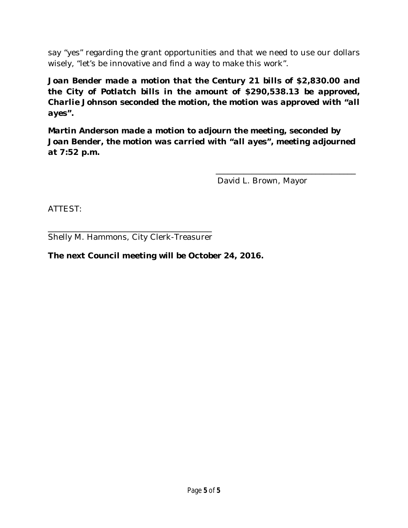say "yes" regarding the grant opportunities and that we need to use our dollars wisely, "let's be innovative and find a way to make this work".

*Joan Bender made a motion that the Century 21 bills of \$2,830.00 and the City of Potlatch bills in the amount of \$290,538.13 be approved, Charlie Johnson seconded the motion, the motion was approved with "all ayes".* 

*Martin Anderson made a motion to adjourn the meeting, seconded by Joan Bender, the motion was carried with "all ayes", meeting adjourned at 7:52 p.m.*

David L. Brown, Mayor

\_\_\_\_\_\_\_\_\_\_\_\_\_\_\_\_\_\_\_\_\_\_\_\_\_\_\_\_\_\_\_\_\_\_\_

ATTEST:

\_\_\_\_\_\_\_\_\_\_\_\_\_\_\_\_\_\_\_\_\_\_\_\_\_\_\_\_\_\_\_\_\_\_\_\_\_\_\_\_\_ Shelly M. Hammons, City Clerk-Treasurer

#### **The next Council meeting will be October 24, 2016.**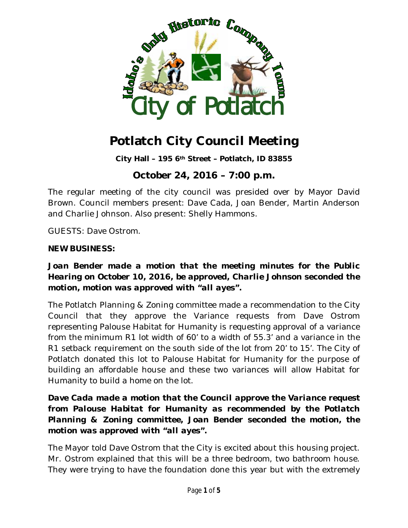

**City Hall – 195 6th Street – Potlatch, ID 83855**

# **October 24, 2016 – 7:00 p.m.**

The regular meeting of the city council was presided over by Mayor David Brown. Council members present: Dave Cada, Joan Bender, Martin Anderson and Charlie Johnson. Also present: Shelly Hammons.

GUESTS: Dave Ostrom.

#### **NEW BUSINESS:**

#### *Joan Bender made a motion that the meeting minutes for the Public Hearing on October 10, 2016, be approved, Charlie Johnson seconded the motion, motion was approved with "all ayes".*

The Potlatch Planning & Zoning committee made a recommendation to the City Council that they approve the Variance requests from Dave Ostrom representing Palouse Habitat for Humanity is requesting approval of a variance from the minimum R1 lot width of 60' to a width of 55.3' and a variance in the R1 setback requirement on the south side of the lot from 20' to 15'. The City of Potlatch donated this lot to Palouse Habitat for Humanity for the purpose of building an affordable house and these two variances will allow Habitat for Humanity to build a home on the lot.

### *Dave Cada made a motion that the Council approve the Variance request from Palouse Habitat for Humanity as recommended by the Potlatch Planning & Zoning committee, Joan Bender seconded the motion, the motion was approved with "all ayes".*

The Mayor told Dave Ostrom that the City is excited about this housing project. Mr. Ostrom explained that this will be a three bedroom, two bathroom house. They were trying to have the foundation done this year but with the extremely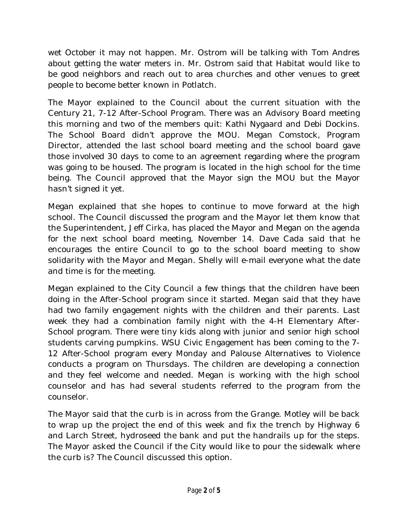wet October it may not happen. Mr. Ostrom will be talking with Tom Andres about getting the water meters in. Mr. Ostrom said that Habitat would like to be good neighbors and reach out to area churches and other venues to greet people to become better known in Potlatch.

The Mayor explained to the Council about the current situation with the Century 21, 7-12 After-School Program. There was an Advisory Board meeting this morning and two of the members quit: Kathi Nygaard and Debi Dockins. The School Board didn't approve the MOU. Megan Comstock, Program Director, attended the last school board meeting and the school board gave those involved 30 days to come to an agreement regarding where the program was going to be housed. The program is located in the high school for the time being. The Council approved that the Mayor sign the MOU but the Mayor hasn't signed it yet.

Megan explained that she hopes to continue to move forward at the high school. The Council discussed the program and the Mayor let them know that the Superintendent, Jeff Cirka, has placed the Mayor and Megan on the agenda for the next school board meeting, November 14. Dave Cada said that he encourages the entire Council to go to the school board meeting to show solidarity with the Mayor and Megan. Shelly will e-mail everyone what the date and time is for the meeting.

Megan explained to the City Council a few things that the children have been doing in the After-School program since it started. Megan said that they have had two family engagement nights with the children and their parents. Last week they had a combination family night with the 4-H Elementary After-School program. There were tiny kids along with junior and senior high school students carving pumpkins. WSU Civic Engagement has been coming to the 7- 12 After-School program every Monday and Palouse Alternatives to Violence conducts a program on Thursdays. The children are developing a connection and they feel welcome and needed. Megan is working with the high school counselor and has had several students referred to the program from the counselor.

The Mayor said that the curb is in across from the Grange. Motley will be back to wrap up the project the end of this week and fix the trench by Highway 6 and Larch Street, hydroseed the bank and put the handrails up for the steps. The Mayor asked the Council if the City would like to pour the sidewalk where the curb is? The Council discussed this option.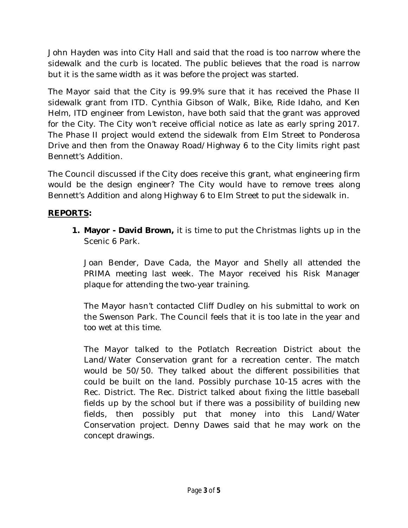John Hayden was into City Hall and said that the road is too narrow where the sidewalk and the curb is located. The public believes that the road is narrow but it is the same width as it was before the project was started.

The Mayor said that the City is 99.9% sure that it has received the Phase II sidewalk grant from ITD. Cynthia Gibson of Walk, Bike, Ride Idaho, and Ken Helm, ITD engineer from Lewiston, have both said that the grant was approved for the City. The City won't receive official notice as late as early spring 2017. The Phase II project would extend the sidewalk from Elm Street to Ponderosa Drive and then from the Onaway Road/Highway 6 to the City limits right past Bennett's Addition.

The Council discussed if the City does receive this grant, what engineering firm would be the design engineer? The City would have to remove trees along Bennett's Addition and along Highway 6 to Elm Street to put the sidewalk in.

### **REPORTS:**

**1. Mayor - David Brown,** it is time to put the Christmas lights up in the Scenic 6 Park.

Joan Bender, Dave Cada, the Mayor and Shelly all attended the PRIMA meeting last week. The Mayor received his Risk Manager plaque for attending the two-year training.

The Mayor hasn't contacted Cliff Dudley on his submittal to work on the Swenson Park. The Council feels that it is too late in the year and too wet at this time.

The Mayor talked to the Potlatch Recreation District about the Land/Water Conservation grant for a recreation center. The match would be 50/50. They talked about the different possibilities that could be built on the land. Possibly purchase 10-15 acres with the Rec. District. The Rec. District talked about fixing the little baseball fields up by the school but if there was a possibility of building new fields, then possibly put that money into this Land/Water Conservation project. Denny Dawes said that he may work on the concept drawings.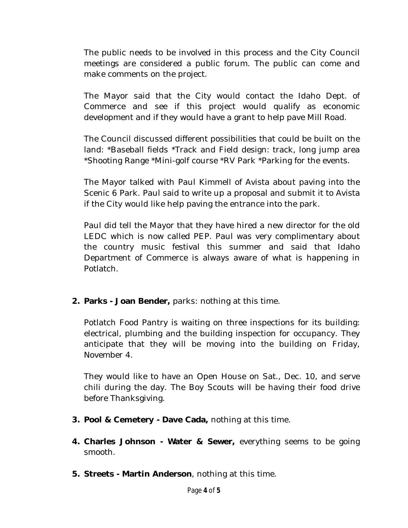The public needs to be involved in this process and the City Council meetings are considered a public forum. The public can come and make comments on the project.

The Mayor said that the City would contact the Idaho Dept. of Commerce and see if this project would qualify as economic development and if they would have a grant to help pave Mill Road.

The Council discussed different possibilities that could be built on the land: \*Baseball fields \*Track and Field design: track, long jump area \*Shooting Range \*Mini-golf course \*RV Park \*Parking for the events.

The Mayor talked with Paul Kimmell of Avista about paving into the Scenic 6 Park. Paul said to write up a proposal and submit it to Avista if the City would like help paving the entrance into the park.

Paul did tell the Mayor that they have hired a new director for the old LEDC which is now called PEP. Paul was very complimentary about the country music festival this summer and said that Idaho Department of Commerce is always aware of what is happening in Potlatch.

**2. Parks - Joan Bender,** parks: nothing at this time.

Potlatch Food Pantry is waiting on three inspections for its building: electrical, plumbing and the building inspection for occupancy. They anticipate that they will be moving into the building on Friday, November 4.

They would like to have an Open House on Sat., Dec. 10, and serve chili during the day. The Boy Scouts will be having their food drive before Thanksgiving.

- **3. Pool & Cemetery - Dave Cada,** nothing at this time.
- **4. Charles Johnson - Water & Sewer,** everything seems to be going smooth.
- **5. Streets - Martin Anderson**, nothing at this time.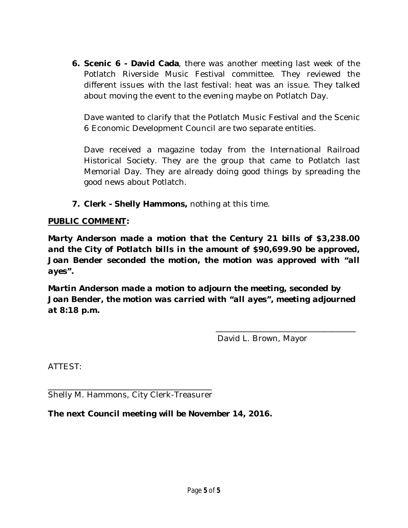**6. Scenic 6 - David Cada**, there was another meeting last week of the Potlatch Riverside Music Festival committee. They reviewed the different issues with the last festival: heat was an issue. They talked about moving the event to the evening maybe on Potlatch Day.

Dave wanted to clarify that the Potlatch Music Festival and the Scenic 6 Economic Development Council are two separate entities.

Dave received a magazine today from the International Railroad Historical Society. They are the group that came to Potlatch last Memorial Day. They are already doing good things by spreading the good news about Potlatch.

**7. Clerk - Shelly Hammons,** nothing at this time.

#### **PUBLIC COMMENT***:*

*Marty Anderson made a motion that the Century 21 bills of \$3,238.00 and the City of Potlatch bills in the amount of \$90,699.90 be approved, Joan Bender seconded the motion, the motion was approved with "all ayes".* 

*Martin Anderson made a motion to adjourn the meeting, seconded by Joan Bender, the motion was carried with "all ayes", meeting adjourned at 8:18 p.m.*

David L. Brown, Mayor

\_\_\_\_\_\_\_\_\_\_\_\_\_\_\_\_\_\_\_\_\_\_\_\_\_\_\_\_\_\_\_\_\_\_\_

ATTEST:

\_\_\_\_\_\_\_\_\_\_\_\_\_\_\_\_\_\_\_\_\_\_\_\_\_\_\_\_\_\_\_\_\_\_\_\_\_\_\_\_\_ Shelly M. Hammons, City Clerk-Treasurer

**The next Council meeting will be November 14, 2016.**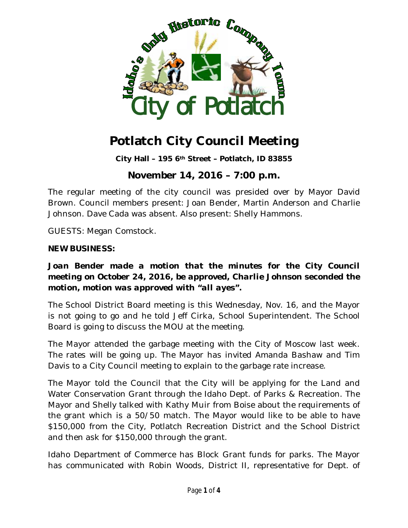

**City Hall – 195 6th Street – Potlatch, ID 83855**

## **November 14, 2016 – 7:00 p.m.**

The regular meeting of the city council was presided over by Mayor David Brown. Council members present: Joan Bender, Martin Anderson and Charlie Johnson. Dave Cada was absent. Also present: Shelly Hammons.

GUESTS: Megan Comstock.

#### **NEW BUSINESS:**

#### *Joan Bender made a motion that the minutes for the City Council meeting on October 24, 2016, be approved, Charlie Johnson seconded the motion, motion was approved with "all ayes".*

The School District Board meeting is this Wednesday, Nov. 16, and the Mayor is not going to go and he told Jeff Cirka, School Superintendent. The School Board is going to discuss the MOU at the meeting.

The Mayor attended the garbage meeting with the City of Moscow last week. The rates will be going up. The Mayor has invited Amanda Bashaw and Tim Davis to a City Council meeting to explain to the garbage rate increase.

The Mayor told the Council that the City will be applying for the Land and Water Conservation Grant through the Idaho Dept. of Parks & Recreation. The Mayor and Shelly talked with Kathy Muir from Boise about the requirements of the grant which is a 50/50 match. The Mayor would like to be able to have \$150,000 from the City, Potlatch Recreation District and the School District and then ask for \$150,000 through the grant.

Idaho Department of Commerce has Block Grant funds for parks. The Mayor has communicated with Robin Woods, District II, representative for Dept. of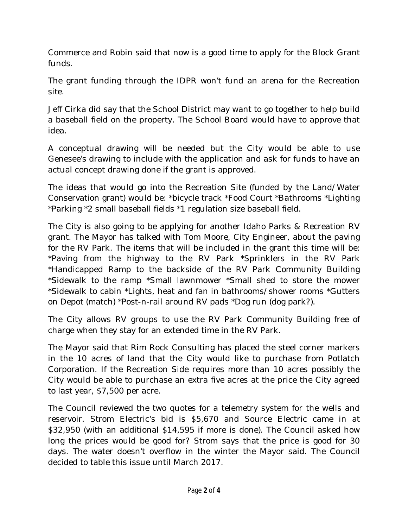Commerce and Robin said that now is a good time to apply for the Block Grant funds.

The grant funding through the IDPR won't fund an arena for the Recreation site.

Jeff Cirka did say that the School District may want to go together to help build a baseball field on the property. The School Board would have to approve that idea.

A conceptual drawing will be needed but the City would be able to use Genesee's drawing to include with the application and ask for funds to have an actual concept drawing done if the grant is approved.

The ideas that would go into the Recreation Site (funded by the Land/Water Conservation grant) would be: \*bicycle track \*Food Court \*Bathrooms \*Lighting \*Parking \*2 small baseball fields \*1 regulation size baseball field.

The City is also going to be applying for another Idaho Parks & Recreation RV grant. The Mayor has talked with Tom Moore, City Engineer, about the paving for the RV Park. The items that will be included in the grant this time will be: \*Paving from the highway to the RV Park \*Sprinklers in the RV Park \*Handicapped Ramp to the backside of the RV Park Community Building \*Sidewalk to the ramp \*Small lawnmower \*Small shed to store the mower \*Sidewalk to cabin \*Lights, heat and fan in bathrooms/shower rooms \*Gutters on Depot (match) \*Post-n-rail around RV pads \*Dog run (dog park?).

The City allows RV groups to use the RV Park Community Building free of charge when they stay for an extended time in the RV Park.

The Mayor said that Rim Rock Consulting has placed the steel corner markers in the 10 acres of land that the City would like to purchase from Potlatch Corporation. If the Recreation Side requires more than 10 acres possibly the City would be able to purchase an extra five acres at the price the City agreed to last year, \$7,500 per acre.

The Council reviewed the two quotes for a telemetry system for the wells and reservoir. Strom Electric's bid is \$5,670 and Source Electric came in at \$32,950 (with an additional \$14,595 if more is done). The Council asked how long the prices would be good for? Strom says that the price is good for 30 days. The water doesn't overflow in the winter the Mayor said. The Council decided to table this issue until March 2017.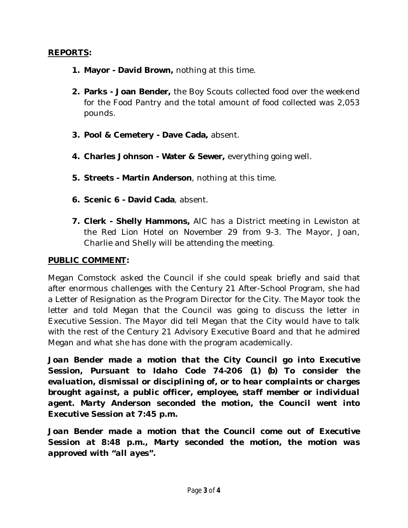#### **REPORTS:**

- **1. Mayor - David Brown,** nothing at this time.
- **2. Parks - Joan Bender,** the Boy Scouts collected food over the weekend for the Food Pantry and the total amount of food collected was 2,053 pounds.
- **3. Pool & Cemetery - Dave Cada,** absent.
- **4. Charles Johnson - Water & Sewer,** everything going well.
- **5. Streets - Martin Anderson**, nothing at this time.
- **6. Scenic 6 - David Cada**, absent.
- **7. Clerk - Shelly Hammons,** AIC has a District meeting in Lewiston at the Red Lion Hotel on November 29 from 9-3. The Mayor, Joan, Charlie and Shelly will be attending the meeting.

#### **PUBLIC COMMENT***:*

Megan Comstock asked the Council if she could speak briefly and said that after enormous challenges with the Century 21 After-School Program, she had a Letter of Resignation as the Program Director for the City. The Mayor took the letter and told Megan that the Council was going to discuss the letter in Executive Session. The Mayor did tell Megan that the City would have to talk with the rest of the Century 21 Advisory Executive Board and that he admired Megan and what she has done with the program academically.

Joan Bender made a motion that the City Council go into Executive *Session, Pursuant to Idaho Code 74-206 (1) (b) To consider the evaluation, dismissal or disciplining of, or to hear complaints or charges brought against, a public officer, employee, staff member or individual agent. Marty Anderson seconded the motion, the Council went into Executive Session at 7:45 p.m.*

*Joan Bender made a motion that the Council come out of Executive Session at 8:48 p.m., Marty seconded the motion, the motion was approved with "all ayes".*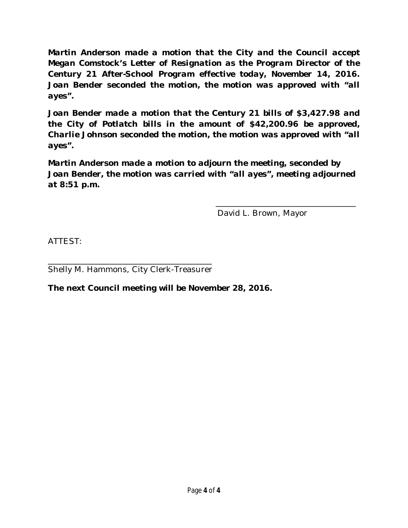*Martin Anderson made a motion that the City and the Council accept Megan Comstock's Letter of Resignation as the Program Director of the Century 21 After-School Program effective today, November 14, 2016. Joan Bender seconded the motion, the motion was approved with "all ayes".*

*Joan Bender made a motion that the Century 21 bills of \$3,427.98 and the City of Potlatch bills in the amount of \$42,200.96 be approved, Charlie Johnson seconded the motion, the motion was approved with "all ayes".* 

*Martin Anderson made a motion to adjourn the meeting, seconded by Joan Bender, the motion was carried with "all ayes", meeting adjourned at 8:51 p.m.*

David L. Brown, Mayor

\_\_\_\_\_\_\_\_\_\_\_\_\_\_\_\_\_\_\_\_\_\_\_\_\_\_\_\_\_\_\_\_\_\_\_

ATTEST:

\_\_\_\_\_\_\_\_\_\_\_\_\_\_\_\_\_\_\_\_\_\_\_\_\_\_\_\_\_\_\_\_\_\_\_\_\_\_\_\_\_ Shelly M. Hammons, City Clerk-Treasurer

**The next Council meeting will be November 28, 2016.**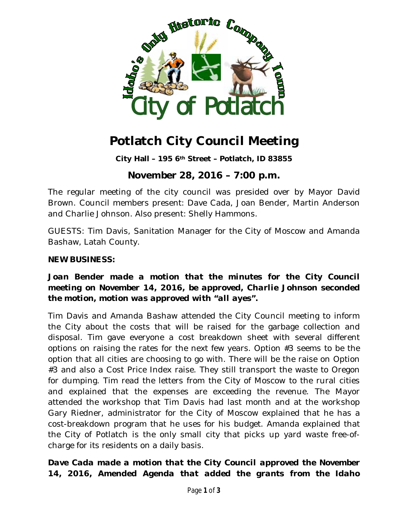

**City Hall – 195 6th Street – Potlatch, ID 83855**

## **November 28, 2016 – 7:00 p.m.**

The regular meeting of the city council was presided over by Mayor David Brown. Council members present: Dave Cada, Joan Bender, Martin Anderson and Charlie Johnson. Also present: Shelly Hammons.

GUESTS: Tim Davis, Sanitation Manager for the City of Moscow and Amanda Bashaw, Latah County.

#### **NEW BUSINESS:**

### *Joan Bender made a motion that the minutes for the City Council meeting on November 14, 2016, be approved, Charlie Johnson seconded the motion, motion was approved with "all ayes".*

Tim Davis and Amanda Bashaw attended the City Council meeting to inform the City about the costs that will be raised for the garbage collection and disposal. Tim gave everyone a cost breakdown sheet with several different options on raising the rates for the next few years. Option #3 seems to be the option that all cities are choosing to go with. There will be the raise on Option #3 and also a Cost Price Index raise. They still transport the waste to Oregon for dumping. Tim read the letters from the City of Moscow to the rural cities and explained that the expenses are exceeding the revenue. The Mayor attended the workshop that Tim Davis had last month and at the workshop Gary Riedner, administrator for the City of Moscow explained that he has a cost-breakdown program that he uses for his budget. Amanda explained that the City of Potlatch is the only small city that picks up yard waste free-ofcharge for its residents on a daily basis.

## *Dave Cada made a motion that the City Council approved the November 14, 2016, Amended Agenda that added the grants from the Idaho*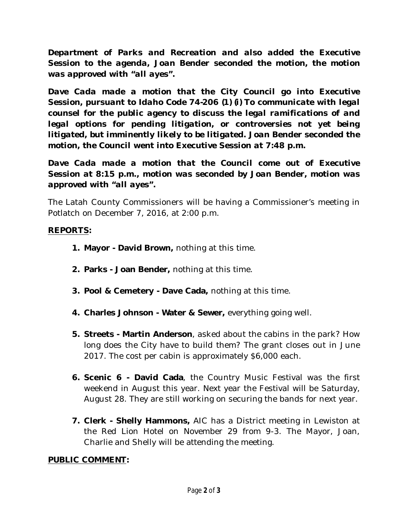*Department of Parks and Recreation and also added the Executive Session to the agenda, Joan Bender seconded the motion, the motion was approved with "all ayes".*

*Dave Cada made a motion that the City Council go into Executive Session, pursuant to Idaho Code 74-206 (1) (i) To communicate with legal counsel for the public agency to discuss the legal ramifications of and legal options for pending litigation, or controversies not yet being litigated, but imminently likely to be litigated. Joan Bender seconded the motion, the Council went into Executive Session at 7:48 p.m.*

*Dave Cada made a motion that the Council come out of Executive Session at 8:15 p.m., motion was seconded by Joan Bender, motion was approved with "all ayes".*

The Latah County Commissioners will be having a Commissioner's meeting in Potlatch on December 7, 2016, at 2:00 p.m.

### **REPORTS:**

- **1. Mayor - David Brown,** nothing at this time.
- **2. Parks - Joan Bender,** nothing at this time.
- **3. Pool & Cemetery - Dave Cada,** nothing at this time.
- **4. Charles Johnson - Water & Sewer,** everything going well.
- **5. Streets - Martin Anderson**, asked about the cabins in the park? How long does the City have to build them? The grant closes out in June 2017. The cost per cabin is approximately \$6,000 each.
- **6. Scenic 6 - David Cada**, the Country Music Festival was the first weekend in August this year. Next year the Festival will be Saturday, August 28. They are still working on securing the bands for next year.
- **7. Clerk - Shelly Hammons,** AIC has a District meeting in Lewiston at the Red Lion Hotel on November 29 from 9-3. The Mayor, Joan, Charlie and Shelly will be attending the meeting.

#### **PUBLIC COMMENT***:*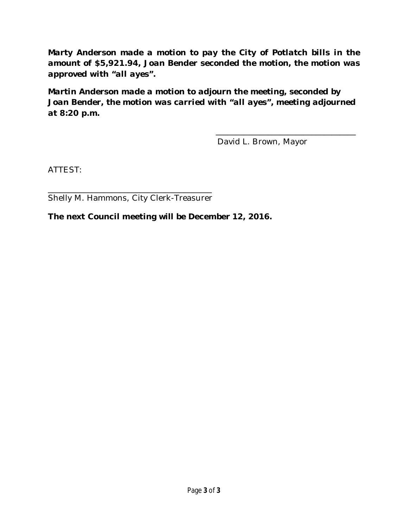*Marty Anderson made a motion to pay the City of Potlatch bills in the amount of \$5,921.94, Joan Bender seconded the motion, the motion was approved with "all ayes".* 

*Martin Anderson made a motion to adjourn the meeting, seconded by Joan Bender, the motion was carried with "all ayes", meeting adjourned at 8:20 p.m.*

David L. Brown, Mayor

\_\_\_\_\_\_\_\_\_\_\_\_\_\_\_\_\_\_\_\_\_\_\_\_\_\_\_\_\_\_\_\_\_\_\_

ATTEST:

\_\_\_\_\_\_\_\_\_\_\_\_\_\_\_\_\_\_\_\_\_\_\_\_\_\_\_\_\_\_\_\_\_\_\_\_\_\_\_\_\_ Shelly M. Hammons, City Clerk-Treasurer

**The next Council meeting will be December 12, 2016.**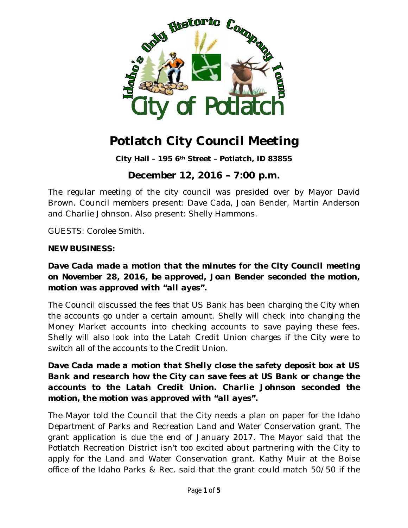

**City Hall – 195 6th Street – Potlatch, ID 83855**

# **December 12, 2016 – 7:00 p.m.**

The regular meeting of the city council was presided over by Mayor David Brown. Council members present: Dave Cada, Joan Bender, Martin Anderson and Charlie Johnson. Also present: Shelly Hammons.

GUESTS: Corolee Smith.

#### **NEW BUSINESS:**

#### *Dave Cada made a motion that the minutes for the City Council meeting on November 28, 2016, be approved, Joan Bender seconded the motion, motion was approved with "all ayes".*

The Council discussed the fees that US Bank has been charging the City when the accounts go under a certain amount. Shelly will check into changing the Money Market accounts into checking accounts to save paying these fees. Shelly will also look into the Latah Credit Union charges if the City were to switch all of the accounts to the Credit Union.

### *Dave Cada made a motion that Shelly close the safety deposit box at US Bank and research how the City can save fees at US Bank or change the accounts to the Latah Credit Union. Charlie Johnson seconded the motion, the motion was approved with "all ayes".*

The Mayor told the Council that the City needs a plan on paper for the Idaho Department of Parks and Recreation Land and Water Conservation grant. The grant application is due the end of January 2017. The Mayor said that the Potlatch Recreation District isn't too excited about partnering with the City to apply for the Land and Water Conservation grant. Kathy Muir at the Boise office of the Idaho Parks & Rec. said that the grant could match 50/50 if the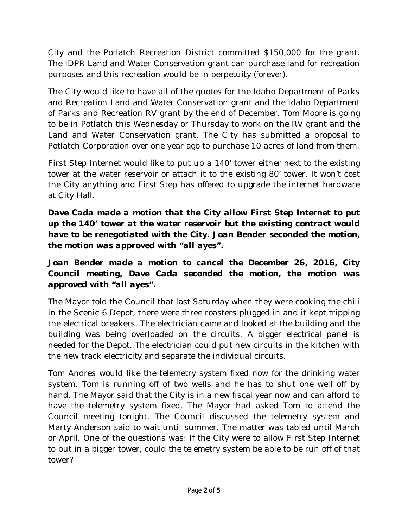City and the Potlatch Recreation District committed \$150,000 for the grant. The IDPR Land and Water Conservation grant can purchase land for recreation purposes and this recreation would be in perpetuity (forever).

The City would like to have all of the quotes for the Idaho Department of Parks and Recreation Land and Water Conservation grant and the Idaho Department of Parks and Recreation RV grant by the end of December. Tom Moore is going to be in Potlatch this Wednesday or Thursday to work on the RV grant and the Land and Water Conservation grant. The City has submitted a proposal to Potlatch Corporation over one year ago to purchase 10 acres of land from them.

First Step Internet would like to put up a 140' tower either next to the existing tower at the water reservoir or attach it to the existing 80' tower. It won't cost the City anything and First Step has offered to upgrade the internet hardware at City Hall.

*Dave Cada made a motion that the City allow First Step Internet to put up the 140' tower at the water reservoir but the existing contract would have to be renegotiated with the City. Joan Bender seconded the motion, the motion was approved with "all ayes".*

## *Joan Bender made a motion to cancel the December 26, 2016, City Council meeting, Dave Cada seconded the motion, the motion was approved with "all ayes".*

The Mayor told the Council that last Saturday when they were cooking the chili in the Scenic 6 Depot, there were three roasters plugged in and it kept tripping the electrical breakers. The electrician came and looked at the building and the building was being overloaded on the circuits. A bigger electrical panel is needed for the Depot. The electrician could put new circuits in the kitchen with the new track electricity and separate the individual circuits.

Tom Andres would like the telemetry system fixed now for the drinking water system. Tom is running off of two wells and he has to shut one well off by hand. The Mayor said that the City is in a new fiscal year now and can afford to have the telemetry system fixed. The Mayor had asked Tom to attend the Council meeting tonight. The Council discussed the telemetry system and Marty Anderson said to wait until summer. The matter was tabled until March or April. One of the questions was: If the City were to allow First Step Internet to put in a bigger tower, could the telemetry system be able to be run off of that tower?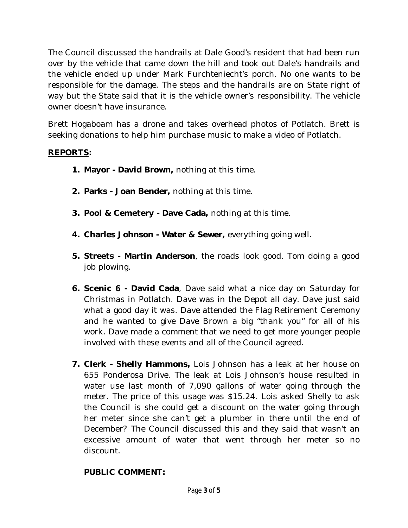The Council discussed the handrails at Dale Good's resident that had been run over by the vehicle that came down the hill and took out Dale's handrails and the vehicle ended up under Mark Furchteniecht's porch. No one wants to be responsible for the damage. The steps and the handrails are on State right of way but the State said that it is the vehicle owner's responsibility. The vehicle owner doesn't have insurance.

Brett Hogaboam has a drone and takes overhead photos of Potlatch. Brett is seeking donations to help him purchase music to make a video of Potlatch.

#### **REPORTS:**

- **1. Mayor - David Brown,** nothing at this time.
- **2. Parks - Joan Bender,** nothing at this time.
- **3. Pool & Cemetery - Dave Cada,** nothing at this time.
- **4. Charles Johnson - Water & Sewer,** everything going well.
- **5. Streets - Martin Anderson**, the roads look good. Tom doing a good job plowing.
- **6. Scenic 6 - David Cada**, Dave said what a nice day on Saturday for Christmas in Potlatch. Dave was in the Depot all day. Dave just said what a good day it was. Dave attended the Flag Retirement Ceremony and he wanted to give Dave Brown a big "thank you" for all of his work. Dave made a comment that we need to get more younger people involved with these events and all of the Council agreed.
- **7. Clerk - Shelly Hammons,** Lois Johnson has a leak at her house on 655 Ponderosa Drive. The leak at Lois Johnson's house resulted in water use last month of 7,090 gallons of water going through the meter. The price of this usage was \$15.24. Lois asked Shelly to ask the Council is she could get a discount on the water going through her meter since she can't get a plumber in there until the end of December? The Council discussed this and they said that wasn't an excessive amount of water that went through her meter so no discount.

## **PUBLIC COMMENT***:*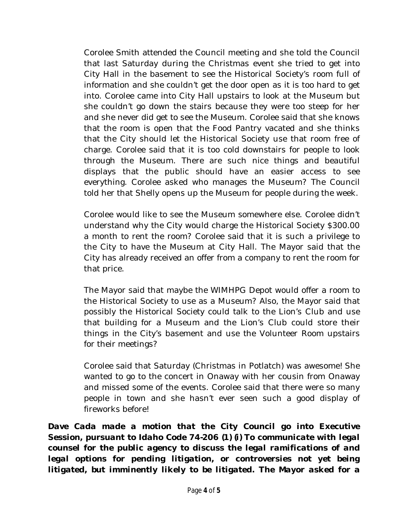Corolee Smith attended the Council meeting and she told the Council that last Saturday during the Christmas event she tried to get into City Hall in the basement to see the Historical Society's room full of information and she couldn't get the door open as it is too hard to get into. Corolee came into City Hall upstairs to look at the Museum but she couldn't go down the stairs because they were too steep for her and she never did get to see the Museum. Corolee said that she knows that the room is open that the Food Pantry vacated and she thinks that the City should let the Historical Society use that room free of charge. Corolee said that it is too cold downstairs for people to look through the Museum. There are such nice things and beautiful displays that the public should have an easier access to see everything. Corolee asked who manages the Museum? The Council told her that Shelly opens up the Museum for people during the week.

Corolee would like to see the Museum somewhere else. Corolee didn't understand why the City would charge the Historical Society \$300.00 a month to rent the room? Corolee said that it is such a privilege to the City to have the Museum at City Hall. The Mayor said that the City has already received an offer from a company to rent the room for that price.

The Mayor said that maybe the WIMHPG Depot would offer a room to the Historical Society to use as a Museum? Also, the Mayor said that possibly the Historical Society could talk to the Lion's Club and use that building for a Museum and the Lion's Club could store their things in the City's basement and use the Volunteer Room upstairs for their meetings?

Corolee said that Saturday (Christmas in Potlatch) was awesome! She wanted to go to the concert in Onaway with her cousin from Onaway and missed some of the events. Corolee said that there were so many people in town and she hasn't ever seen such a good display of fireworks before!

*Dave Cada made a motion that the City Council go into Executive Session, pursuant to Idaho Code 74-206 (1) (i) To communicate with legal counsel for the public agency to discuss the legal ramifications of and legal options for pending litigation, or controversies not yet being litigated, but imminently likely to be litigated. The Mayor asked for a*